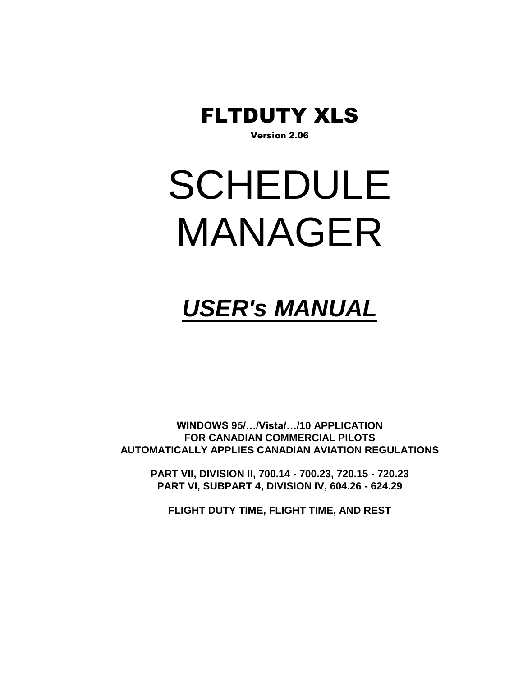

Version 2.06

# SCHEDULE MANAGER

# *USER's MANUAL*

**WINDOWS 95/…/Vista/…/10 APPLICATION FOR CANADIAN COMMERCIAL PILOTS AUTOMATICALLY APPLIES CANADIAN AVIATION REGULATIONS**

**PART VII, DIVISION II, 700.14 - 700.23, 720.15 - 720.23 PART VI, SUBPART 4, DIVISION IV, 604.26 - 624.29**

**FLIGHT DUTY TIME, FLIGHT TIME, AND REST**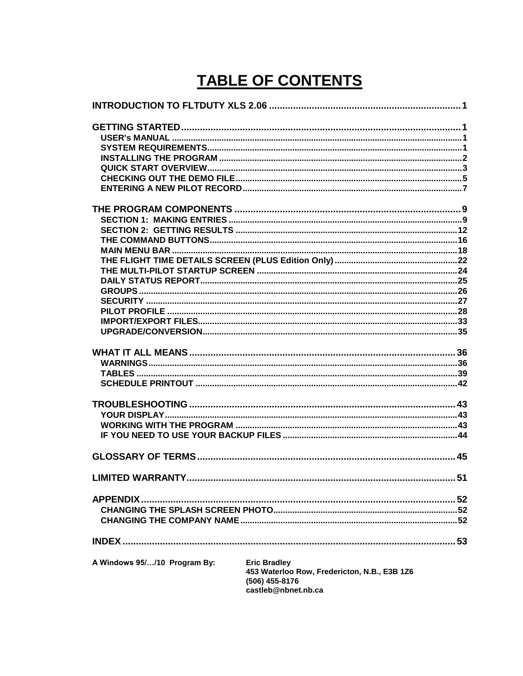# **TABLE OF CONTENTS**

| A Windows 95//10 Program By: | <b>Eric Bradley</b><br>453 Waterloo Row, Fredericton, N.B., E3B 1Z6<br>(506) 455-8176<br>castleb@nbnet.nb.ca |  |
|------------------------------|--------------------------------------------------------------------------------------------------------------|--|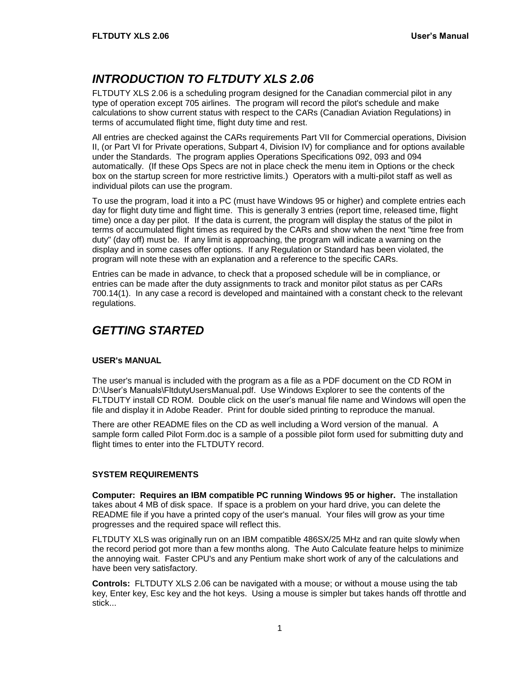# <span id="page-4-0"></span>*INTRODUCTION TO FLTDUTY XLS 2.06*

FLTDUTY XLS 2.06 is a scheduling program designed for the Canadian commercial pilot in any type of operation except 705 airlines. The program will record the pilot's schedule and make calculations to show current status with respect to the CARs (Canadian Aviation Regulations) in terms of accumulated flight time, flight duty time and rest.

All entries are checked against the CARs requirements Part VII for Commercial operations, Division II, (or Part VI for Private operations, Subpart 4, Division IV) for compliance and for options available under the Standards. The program applies Operations Specifications 092, 093 and 094 automatically. (If these Ops Specs are not in place check the menu item in Options or the check box on the startup screen for more restrictive limits.) Operators with a multi-pilot staff as well as individual pilots can use the program.

To use the program, load it into a PC (must have Windows 95 or higher) and complete entries each day for flight duty time and flight time. This is generally 3 entries (report time, released time, flight time) once a day per pilot. If the data is current, the program will display the status of the pilot in terms of accumulated flight times as required by the CARs and show when the next "time free from duty" (day off) must be. If any limit is approaching, the program will indicate a warning on the display and in some cases offer options. If any Regulation or Standard has been violated, the program will note these with an explanation and a reference to the specific CARs.

Entries can be made in advance, to check that a proposed schedule will be in compliance, or entries can be made after the duty assignments to track and monitor pilot status as per CARs 700.14(1). In any case a record is developed and maintained with a constant check to the relevant regulations.

# <span id="page-4-1"></span>*GETTING STARTED*

#### <span id="page-4-2"></span>**USER's MANUAL**

The user's manual is included with the program as a file as a PDF document on the CD ROM in D:\User's Manuals\FltdutyUsersManual.pdf. Use Windows Explorer to see the contents of the FLTDUTY install CD ROM. Double click on the user's manual file name and Windows will open the file and display it in Adobe Reader. Print for double sided printing to reproduce the manual.

There are other README files on the CD as well including a Word version of the manual. A sample form called Pilot Form.doc is a sample of a possible pilot form used for submitting duty and flight times to enter into the FLTDUTY record.

#### <span id="page-4-3"></span>**SYSTEM REQUIREMENTS**

**Computer: Requires an IBM compatible PC running Windows 95 or higher.** The installation takes about 4 MB of disk space. If space is a problem on your hard drive, you can delete the README file if you have a printed copy of the user's manual. Your files will grow as your time progresses and the required space will reflect this.

FLTDUTY XLS was originally run on an IBM compatible 486SX/25 MHz and ran quite slowly when the record period got more than a few months along. The Auto Calculate feature helps to minimize the annoying wait. Faster CPU's and any Pentium make short work of any of the calculations and have been very satisfactory.

**Controls:** FLTDUTY XLS 2.06 can be navigated with a mouse; or without a mouse using the tab key, Enter key, Esc key and the hot keys. Using a mouse is simpler but takes hands off throttle and stick...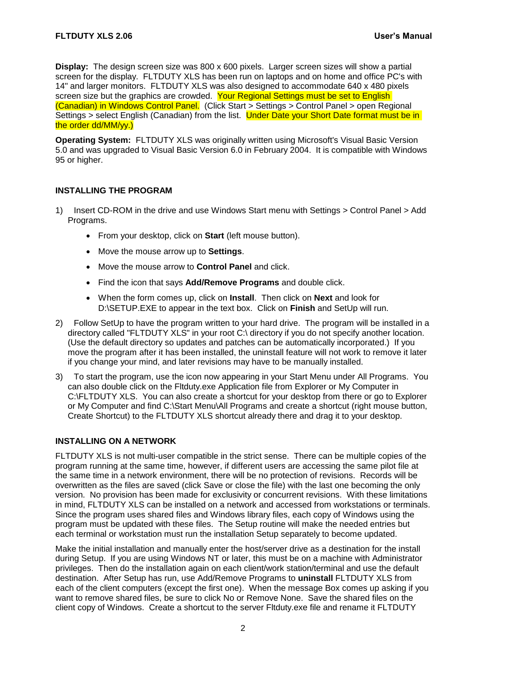**Display:** The design screen size was 800 x 600 pixels. Larger screen sizes will show a partial screen for the display. FLTDUTY XLS has been run on laptops and on home and office PC's with 14" and larger monitors. FLTDUTY XLS was also designed to accommodate 640 x 480 pixels screen size but the graphics are crowded. Your Regional Settings must be set to English (Canadian) in Windows Control Panel. (Click Start > Settings > Control Panel > open Regional Settings > select English (Canadian) from the list. Under Date your Short Date format must be in the order dd/MM/yy.)

**Operating System:** FLTDUTY XLS was originally written using Microsoft's Visual Basic Version 5.0 and was upgraded to Visual Basic Version 6.0 in February 2004. It is compatible with Windows 95 or higher.

#### <span id="page-5-0"></span>**INSTALLING THE PROGRAM**

- 1) Insert CD-ROM in the drive and use Windows Start menu with Settings > Control Panel > Add Programs.
	- From your desktop, click on **Start** (left mouse button).
	- Move the mouse arrow up to **Settings**.
	- Move the mouse arrow to **Control Panel** and click.
	- Find the icon that says **Add/Remove Programs** and double click.
	- When the form comes up, click on **Install**. Then click on **Next** and look for D:\SETUP.EXE to appear in the text box. Click on **Finish** and SetUp will run.
- 2) Follow SetUp to have the program written to your hard drive. The program will be installed in a directory called "FLTDUTY XLS" in your root C:\ directory if you do not specify another location. (Use the default directory so updates and patches can be automatically incorporated.) If you move the program after it has been installed, the uninstall feature will not work to remove it later if you change your mind, and later revisions may have to be manually installed.
- 3) To start the program, use the icon now appearing in your Start Menu under All Programs. You can also double click on the Fltduty.exe Application file from Explorer or My Computer in C:\FLTDUTY XLS. You can also create a shortcut for your desktop from there or go to Explorer or My Computer and find C:\Start Menu\All Programs and create a shortcut (right mouse button, Create Shortcut) to the FLTDUTY XLS shortcut already there and drag it to your desktop.

#### **INSTALLING ON A NETWORK**

FLTDUTY XLS is not multi-user compatible in the strict sense. There can be multiple copies of the program running at the same time, however, if different users are accessing the same pilot file at the same time in a network environment, there will be no protection of revisions. Records will be overwritten as the files are saved (click Save or close the file) with the last one becoming the only version. No provision has been made for exclusivity or concurrent revisions. With these limitations in mind, FLTDUTY XLS can be installed on a network and accessed from workstations or terminals. Since the program uses shared files and Windows library files, each copy of Windows using the program must be updated with these files. The Setup routine will make the needed entries but each terminal or workstation must run the installation Setup separately to become updated.

Make the initial installation and manually enter the host/server drive as a destination for the install during Setup. If you are using Windows NT or later, this must be on a machine with Administrator privileges. Then do the installation again on each client/work station/terminal and use the default destination. After Setup has run, use Add/Remove Programs to **uninstall** FLTDUTY XLS from each of the client computers (except the first one). When the message Box comes up asking if you want to remove shared files, be sure to click No or Remove None. Save the shared files on the client copy of Windows. Create a shortcut to the server Fltduty.exe file and rename it FLTDUTY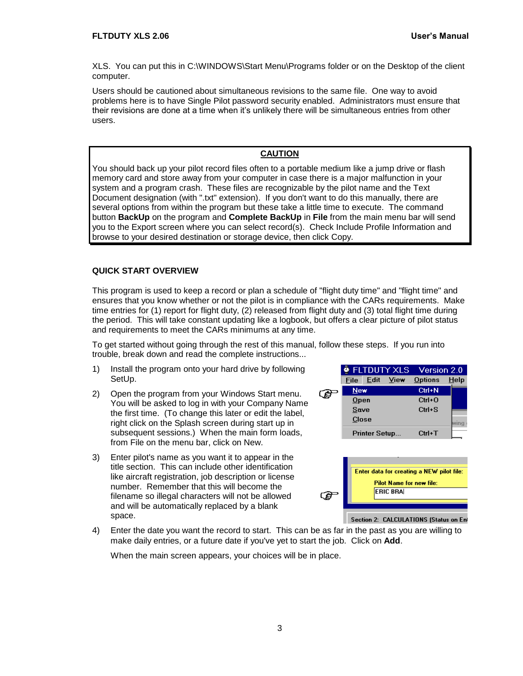XLS. You can put this in C:\WINDOWS\Start Menu\Programs folder or on the Desktop of the client computer.

Users should be cautioned about simultaneous revisions to the same file. One way to avoid problems here is to have Single Pilot password security enabled. Administrators must ensure that their revisions are done at a time when it's unlikely there will be simultaneous entries from other users.

#### **CAUTION**

You should back up your pilot record files often to a portable medium like a jump drive or flash memory card and store away from your computer in case there is a major malfunction in your system and a program crash. These files are recognizable by the pilot name and the Text Document designation (with ".txt" extension). If you don't want to do this manually, there are several options from within the program but these take a little time to execute. The command button **BackUp** on the program and **Complete BackUp** in **File** from the main menu bar will send you to the Export screen where you can select record(s). Check Include Profile Information and browse to your desired destination or storage device, then click Copy.

#### <span id="page-6-0"></span>**QUICK START OVERVIEW**

This program is used to keep a record or plan a schedule of "flight duty time" and "flight time" and ensures that you know whether or not the pilot is in compliance with the CARs requirements. Make time entries for (1) report for flight duty, (2) released from flight duty and (3) total flight time during the period. This will take constant updating like a logbook, but offers a clear picture of pilot status and requirements to meet the CARs minimums at any time.

To get started without going through the rest of this manual, follow these steps. If you run into trouble, break down and read the complete instructions...

- 1) Install the program onto your hard drive by following SetUp.
- 2) Open the program from your Windows Start menu. You will be asked to log in with your Company Name the first time. (To change this later or edit the label, right click on the Splash screen during start up in subsequent sessions.) When the main form loads, from File on the menu bar, click on New.
- 3) Enter pilot's name as you want it to appear in the title section. This can include other identification like aircraft registration, job description or license number. Remember that this will become the filename so illegal characters will not be allowed and will be automatically replaced by a blank space.

|            |                      | <b>ELTDUTY XLS</b> | Version 2.0 |      |
|------------|----------------------|--------------------|-------------|------|
|            | File Edit View       |                    | Options     | Help |
| <b>New</b> |                      |                    | Ctrl+N      |      |
| Open       |                      |                    | $Ctrl + 0$  |      |
| Save       |                      |                    | $CrI + S$   |      |
| Close      |                      |                    |             |      |
|            | <b>Printer Setup</b> |                    | $Ctrl+T$    |      |
|            |                      |                    |             |      |



Section 2: CALCULATIONS (Status on Enl

4) Enter the date you want the record to start. This can be as far in the past as you are willing to make daily entries, or a future date if you've yet to start the job. Click on **Add**.

When the main screen appears, your choices will be in place.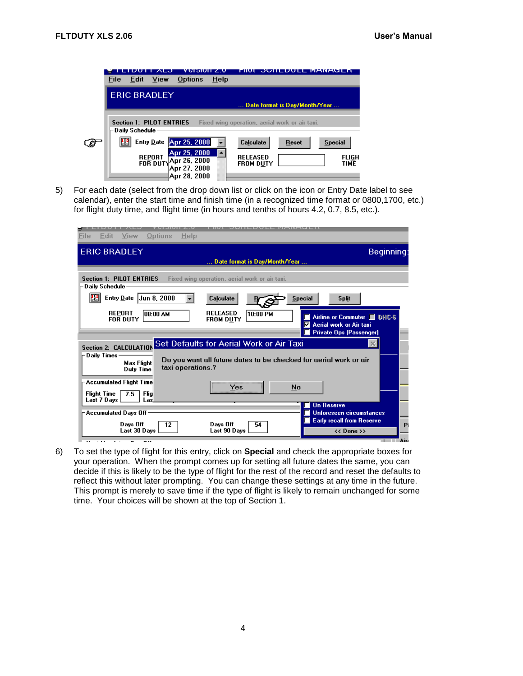

5) For each date (select from the drop down list or click on the icon or Entry Date label to see calendar), enter the start time and finish time (in a recognized time format or 0800,1700, etc.) for flight duty time, and flight time (in hours and tenths of hours 4.2, 0.7, 8.5, etc.).

| File<br>Edit                                                       | Options<br><b>View</b>         | Help              |                                     |                                                |                |                                                                                                 |   |
|--------------------------------------------------------------------|--------------------------------|-------------------|-------------------------------------|------------------------------------------------|----------------|-------------------------------------------------------------------------------------------------|---|
| <b>ERIC BRADLEY</b><br>Beginning:<br>Date format is Day/Month/Year |                                |                   |                                     |                                                |                |                                                                                                 |   |
|                                                                    |                                |                   |                                     |                                                |                |                                                                                                 |   |
| <b>Section 1: PILOT ENTRIES</b><br>Daily Schedule:                 |                                |                   |                                     | Fixed wing operation, aerial work or air taxi. |                |                                                                                                 |   |
| 법2                                                                 | Entry Date $\vert$ Jun 8, 2000 |                   | Calculate                           |                                                | <b>Special</b> | <b>Split</b>                                                                                    |   |
| <b>REPORT</b><br><b>FOR DUTY</b>                                   | INA NN BAI                     |                   | <b>RELEASED</b><br><b>FROM DUTY</b> | 10:00 PM                                       | ⊽              | Airline or Commuter <b>B</b> DHC-6<br>Aerial work or Air taxi<br><b>Private Ops (Passenger)</b> |   |
| Section 2: CALCULATION                                             |                                |                   |                                     | Set Defaults for Aerial Work or Air Taxi       |                | $\times$                                                                                        |   |
| Daily Times                                                        | <b>Max Flight</b><br>Duty Time | taxi operations.? |                                     |                                                |                | Do you want all future dates to be checked for aerial work or air                               |   |
| ⊢Accumulated Flight Time                                           |                                |                   | Yes                                 |                                                | No             |                                                                                                 |   |
| <b>Flight Time</b><br>Last 7 Days                                  | 7.5<br>Flia<br>Las.            |                   |                                     |                                                |                | <b>On Reserve</b>                                                                               |   |
| -Accumulated Davs Off                                              |                                |                   |                                     |                                                |                | Unforeseen circumstances                                                                        |   |
|                                                                    | Days Off<br>Last 30 Days       | 12                | Days Off<br>Last 90 Days            | 54                                             |                | <b>Early recall from Reserve</b><br>$<<$ Done $>>$                                              | P |
|                                                                    | --                             |                   |                                     |                                                |                |                                                                                                 |   |

6) To set the type of flight for this entry, click on **Special** and check the appropriate boxes for your operation. When the prompt comes up for setting all future dates the same, you can decide if this is likely to be the type of flight for the rest of the record and reset the defaults to reflect this without later prompting. You can change these settings at any time in the future. This prompt is merely to save time if the type of flight is likely to remain unchanged for some time. Your choices will be shown at the top of Section 1.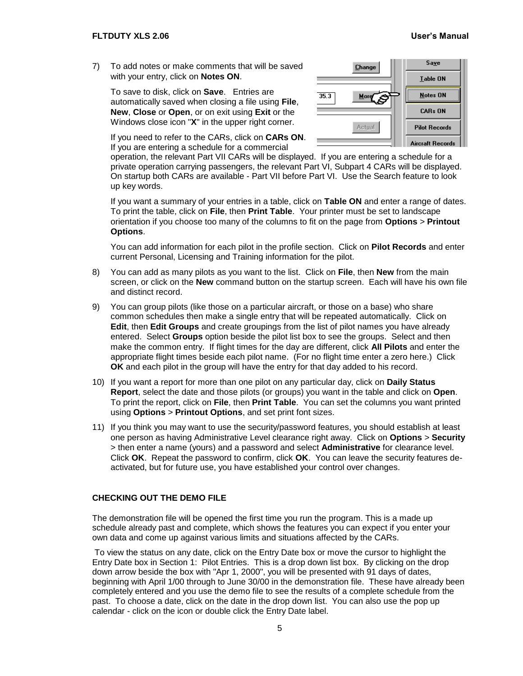7) To add notes or make comments that will be saved with your entry, click on **Notes ON**.

To save to disk, click on **Save**. Entries are automatically saved when closing a file using **File**, **New**, **Close** or **Open**, or on exit using **Exit** or the Windows close icon "**X**" in the upper right corner.



If you need to refer to the CARs, click on **CARs ON**. If you are entering a schedule for a commercial

operation, the relevant Part VII CARs will be displayed. If you are entering a schedule for a private operation carrying passengers, the relevant Part VI, Subpart 4 CARs will be displayed. On startup both CARs are available - Part VII before Part VI. Use the Search feature to look up key words.

If you want a summary of your entries in a table, click on **Table ON** and enter a range of dates. To print the table, click on **File**, then **Print Table**. Your printer must be set to landscape orientation if you choose too many of the columns to fit on the page from **Options** > **Printout Options**.

You can add information for each pilot in the profile section. Click on **Pilot Records** and enter current Personal, Licensing and Training information for the pilot.

- 8) You can add as many pilots as you want to the list. Click on **File**, then **New** from the main screen, or click on the **New** command button on the startup screen. Each will have his own file and distinct record.
- 9) You can group pilots (like those on a particular aircraft, or those on a base) who share common schedules then make a single entry that will be repeated automatically. Click on **Edit**, then **Edit Groups** and create groupings from the list of pilot names you have already entered. Select **Groups** option beside the pilot list box to see the groups. Select and then make the common entry. If flight times for the day are different, click **All Pilots** and enter the appropriate flight times beside each pilot name. (For no flight time enter a zero here.) Click **OK** and each pilot in the group will have the entry for that day added to his record.
- 10) If you want a report for more than one pilot on any particular day, click on **Daily Status Report**, select the date and those pilots (or groups) you want in the table and click on **Open**. To print the report, click on **File**, then **Print Table**. You can set the columns you want printed using **Options** > **Printout Options**, and set print font sizes.
- 11) If you think you may want to use the security/password features, you should establish at least one person as having Administrative Level clearance right away. Click on **Options** > **Security** > then enter a name (yours) and a password and select **Administrative** for clearance level. Click **OK**. Repeat the password to confirm, click **OK**. You can leave the security features deactivated, but for future use, you have established your control over changes.

#### <span id="page-8-0"></span>**CHECKING OUT THE DEMO FILE**

The demonstration file will be opened the first time you run the program. This is a made up schedule already past and complete, which shows the features you can expect if you enter your own data and come up against various limits and situations affected by the CARs.

To view the status on any date, click on the Entry Date box or move the cursor to highlight the Entry Date box in Section 1: Pilot Entries. This is a drop down list box. By clicking on the drop down arrow beside the box with "Apr 1, 2000", you will be presented with 91 days of dates, beginning with April 1/00 through to June 30/00 in the demonstration file. These have already been completely entered and you use the demo file to see the results of a complete schedule from the past. To choose a date, click on the date in the drop down list. You can also use the pop up calendar - click on the icon or double click the Entry Date label.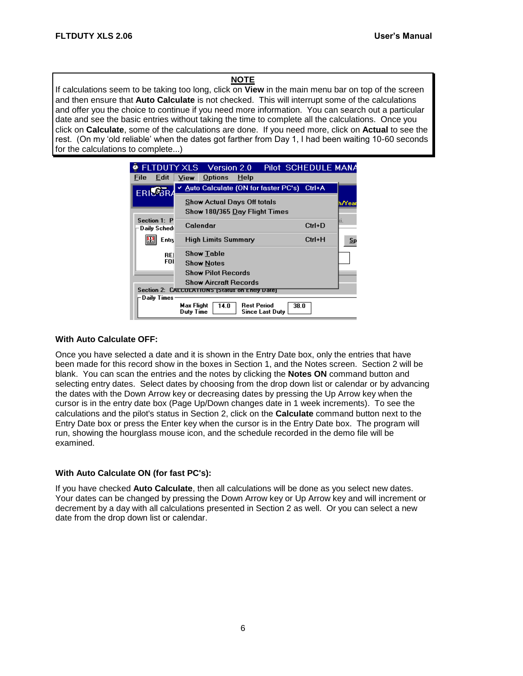#### **NOTE**

If calculations seem to be taking too long, click on **View** in the main menu bar on top of the screen and then ensure that **Auto Calculate** is not checked. This will interrupt some of the calculations and offer you the choice to continue if you need more information. You can search out a particular date and see the basic entries without taking the time to complete all the calculations. Once you click on **Calculate**, some of the calculations are done. If you need more, click on **Actual** to see the rest. (On my 'old reliable' when the dates got farther from Day 1, I had been waiting 10-60 seconds for the calculations to complete...)

| <b>FLTDUTY XLS</b> Version 2.0                 |                         |                                            |             |                                              |      | Pilot SCHEDULE MANA |                |
|------------------------------------------------|-------------------------|--------------------------------------------|-------------|----------------------------------------------|------|---------------------|----------------|
| Edit<br>File                                   | View                    | <b>Options</b>                             | <b>Help</b> |                                              |      |                     |                |
| <b>ERILSAT</b>                                 |                         | Auto Calculate (ON for faster PC's) Ctrl+A |             |                                              |      |                     |                |
|                                                |                         | <b>Show Actual Days Off totals</b>         |             |                                              |      |                     | h/Year         |
|                                                |                         | Show 180/365 Day Flight Times              |             |                                              |      |                     |                |
| Section 1: P<br>Daily Sched                    |                         | Calendar                                   |             |                                              |      | $Ctrl + D$          | άĪ.            |
| <b>Entry</b>                                   |                         | High Limits Summary                        |             |                                              |      | Ctrl+H              | $\mathbf{S}$ p |
| <b>REI</b>                                     |                         | Show Table                                 |             |                                              |      |                     |                |
| FOI                                            |                         | Show Notes                                 |             |                                              |      |                     |                |
|                                                |                         | <b>Show Pilot Records</b>                  |             |                                              |      |                     |                |
|                                                |                         | Show Aircraft Records                      |             |                                              |      |                     |                |
| Section 2: CALCULATIUNS (Status on Entry Date) |                         |                                            |             |                                              |      |                     |                |
| Daily Times                                    |                         |                                            |             |                                              |      |                     |                |
|                                                | Max Flight<br>Duty Time | 14.0                                       |             | <b>Rest Period</b><br><b>Since Last Duty</b> | 38.0 |                     |                |

#### **With Auto Calculate OFF:**

Once you have selected a date and it is shown in the Entry Date box, only the entries that have been made for this record show in the boxes in Section 1, and the Notes screen. Section 2 will be blank. You can scan the entries and the notes by clicking the **Notes ON** command button and selecting entry dates. Select dates by choosing from the drop down list or calendar or by advancing the dates with the Down Arrow key or decreasing dates by pressing the Up Arrow key when the cursor is in the entry date box (Page Up/Down changes date in 1 week increments). To see the calculations and the pilot's status in Section 2, click on the **Calculate** command button next to the Entry Date box or press the Enter key when the cursor is in the Entry Date box. The program will run, showing the hourglass mouse icon, and the schedule recorded in the demo file will be examined.

#### **With Auto Calculate ON (for fast PC's):**

If you have checked **Auto Calculate**, then all calculations will be done as you select new dates. Your dates can be changed by pressing the Down Arrow key or Up Arrow key and will increment or decrement by a day with all calculations presented in Section 2 as well. Or you can select a new date from the drop down list or calendar.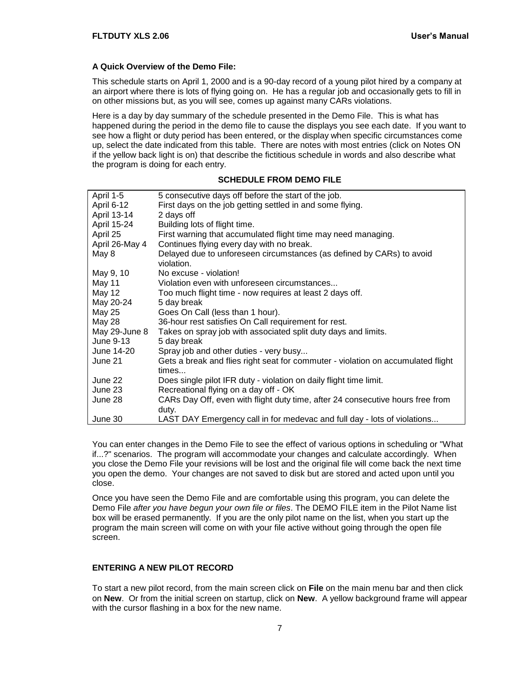#### **A Quick Overview of the Demo File:**

This schedule starts on April 1, 2000 and is a 90-day record of a young pilot hired by a company at an airport where there is lots of flying going on. He has a regular job and occasionally gets to fill in on other missions but, as you will see, comes up against many CARs violations.

Here is a day by day summary of the schedule presented in the Demo File. This is what has happened during the period in the demo file to cause the displays you see each date. If you want to see how a flight or duty period has been entered, or the display when specific circumstances come up, select the date indicated from this table. There are notes with most entries (click on Notes ON if the yellow back light is on) that describe the fictitious schedule in words and also describe what the program is doing for each entry.

#### **SCHEDULE FROM DEMO FILE**

| April 1-5      | 5 consecutive days off before the start of the job.                                       |
|----------------|-------------------------------------------------------------------------------------------|
| April 6-12     | First days on the job getting settled in and some flying.                                 |
| April 13-14    | 2 days off                                                                                |
| April 15-24    | Building lots of flight time.                                                             |
| April 25       | First warning that accumulated flight time may need managing.                             |
| April 26-May 4 | Continues flying every day with no break.                                                 |
| May 8          | Delayed due to unforeseen circumstances (as defined by CARs) to avoid<br>violation.       |
| May 9, 10      | No excuse - violation!                                                                    |
| May 11         | Violation even with unforeseen circumstances                                              |
| May 12         | Too much flight time - now requires at least 2 days off.                                  |
| May 20-24      | 5 day break                                                                               |
| May 25         | Goes On Call (less than 1 hour).                                                          |
| May 28         | 36-hour rest satisfies On Call requirement for rest.                                      |
| May 29-June 8  | Takes on spray job with associated split duty days and limits.                            |
| June 9-13      | 5 day break                                                                               |
| June 14-20     | Spray job and other duties - very busy                                                    |
| June 21        | Gets a break and flies right seat for commuter - violation on accumulated flight<br>times |
| June 22        | Does single pilot IFR duty - violation on daily flight time limit.                        |
| June 23        | Recreational flying on a day off - OK                                                     |
| June 28        | CARs Day Off, even with flight duty time, after 24 consecutive hours free from<br>duty.   |
| June 30        | LAST DAY Emergency call in for medevac and full day - lots of violations                  |

You can enter changes in the Demo File to see the effect of various options in scheduling or "What if...?" scenarios. The program will accommodate your changes and calculate accordingly. When you close the Demo File your revisions will be lost and the original file will come back the next time you open the demo. Your changes are not saved to disk but are stored and acted upon until you close.

Once you have seen the Demo File and are comfortable using this program, you can delete the Demo File *after you have begun your own file or files*. The DEMO FILE item in the Pilot Name list box will be erased permanently. If you are the only pilot name on the list, when you start up the program the main screen will come on with your file active without going through the open file screen.

#### <span id="page-10-0"></span>**ENTERING A NEW PILOT RECORD**

To start a new pilot record, from the main screen click on **File** on the main menu bar and then click on **New**. Or from the initial screen on startup, click on **New**. A yellow background frame will appear with the cursor flashing in a box for the new name.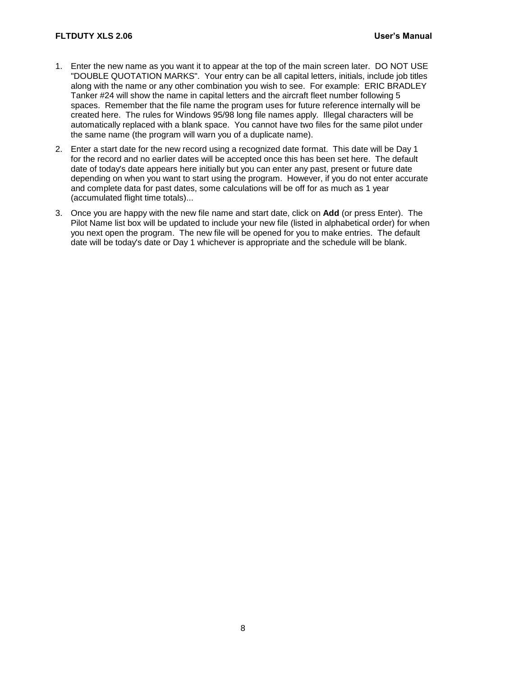- 1. Enter the new name as you want it to appear at the top of the main screen later. DO NOT USE "DOUBLE QUOTATION MARKS". Your entry can be all capital letters, initials, include job titles along with the name or any other combination you wish to see. For example: ERIC BRADLEY Tanker #24 will show the name in capital letters and the aircraft fleet number following 5 spaces. Remember that the file name the program uses for future reference internally will be created here. The rules for Windows 95/98 long file names apply. Illegal characters will be automatically replaced with a blank space. You cannot have two files for the same pilot under the same name (the program will warn you of a duplicate name).
- 2. Enter a start date for the new record using a recognized date format. This date will be Day 1 for the record and no earlier dates will be accepted once this has been set here. The default date of today's date appears here initially but you can enter any past, present or future date depending on when you want to start using the program. However, if you do not enter accurate and complete data for past dates, some calculations will be off for as much as 1 year (accumulated flight time totals)...
- 3. Once you are happy with the new file name and start date, click on **Add** (or press Enter). The Pilot Name list box will be updated to include your new file (listed in alphabetical order) for when you next open the program. The new file will be opened for you to make entries. The default date will be today's date or Day 1 whichever is appropriate and the schedule will be blank.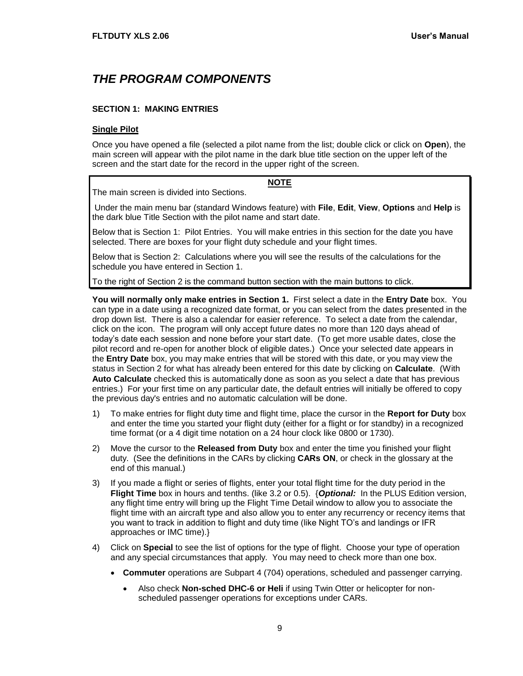# <span id="page-12-0"></span>*THE PROGRAM COMPONENTS*

#### <span id="page-12-1"></span>**SECTION 1: MAKING ENTRIES**

#### **Single Pilot**

Once you have opened a file (selected a pilot name from the list; double click or click on **Open**), the main screen will appear with the pilot name in the dark blue title section on the upper left of the screen and the start date for the record in the upper right of the screen.

**NOTE**

The main screen is divided into Sections.

#### Under the main menu bar (standard Windows feature) with **File**, **Edit**, **View**, **Options** and **Help** is the dark blue Title Section with the pilot name and start date.

Below that is Section 1: Pilot Entries. You will make entries in this section for the date you have selected. There are boxes for your flight duty schedule and your flight times.

Below that is Section 2: Calculations where you will see the results of the calculations for the schedule you have entered in Section 1.

To the right of Section 2 is the command button section with the main buttons to click.

**You will normally only make entries in Section 1.** First select a date in the **Entry Date** box. You can type in a date using a recognized date format, or you can select from the dates presented in the drop down list. There is also a calendar for easier reference. To select a date from the calendar, click on the icon. The program will only accept future dates no more than 120 days ahead of today's date each session and none before your start date. (To get more usable dates, close the pilot record and re-open for another block of eligible dates.) Once your selected date appears in the **Entry Date** box, you may make entries that will be stored with this date, or you may view the status in Section 2 for what has already been entered for this date by clicking on **Calculate**. (With **Auto Calculate** checked this is automatically done as soon as you select a date that has previous entries.) For your first time on any particular date, the default entries will initially be offered to copy the previous day's entries and no automatic calculation will be done.

- 1) To make entries for flight duty time and flight time, place the cursor in the **Report for Duty** box and enter the time you started your flight duty (either for a flight or for standby) in a recognized time format (or a 4 digit time notation on a 24 hour clock like 0800 or 1730).
- 2) Move the cursor to the **Released from Duty** box and enter the time you finished your flight duty. (See the definitions in the CARs by clicking **CARs ON**, or check in the glossary at the end of this manual.)
- 3) If you made a flight or series of flights, enter your total flight time for the duty period in the **Flight Time** box in hours and tenths. (like 3.2 or 0.5). {*Optional:* In the PLUS Edition version, any flight time entry will bring up the Flight Time Detail window to allow you to associate the flight time with an aircraft type and also allow you to enter any recurrency or recency items that you want to track in addition to flight and duty time (like Night TO's and landings or IFR approaches or IMC time).}
- 4) Click on **Special** to see the list of options for the type of flight. Choose your type of operation and any special circumstances that apply. You may need to check more than one box.
	- **Commuter** operations are Subpart 4 (704) operations, scheduled and passenger carrying.
		- Also check **Non-sched DHC-6 or Heli** if using Twin Otter or helicopter for nonscheduled passenger operations for exceptions under CARs.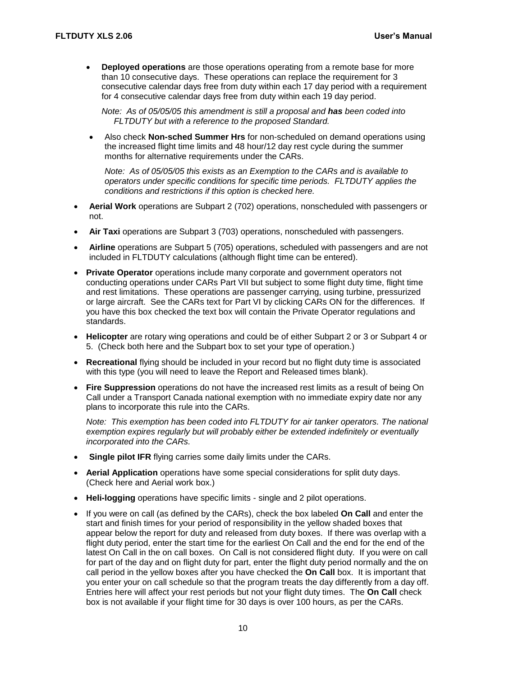**Deployed operations** are those operations operating from a remote base for more than 10 consecutive days. These operations can replace the requirement for 3 consecutive calendar days free from duty within each 17 day period with a requirement for 4 consecutive calendar days free from duty within each 19 day period.

*Note: As of 05/05/05 this amendment is still a proposal and has been coded into FLTDUTY but with a reference to the proposed Standard.*

 Also check **Non-sched Summer Hrs** for non-scheduled on demand operations using the increased flight time limits and 48 hour/12 day rest cycle during the summer months for alternative requirements under the CARs.

*Note: As of 05/05/05 this exists as an Exemption to the CARs and is available to operators under specific conditions for specific time periods. FLTDUTY applies the conditions and restrictions if this option is checked here.*

- **Aerial Work** operations are Subpart 2 (702) operations, nonscheduled with passengers or not.
- **Air Taxi** operations are Subpart 3 (703) operations, nonscheduled with passengers.
- **Airline** operations are Subpart 5 (705) operations, scheduled with passengers and are not included in FLTDUTY calculations (although flight time can be entered).
- **Private Operator** operations include many corporate and government operators not conducting operations under CARs Part VII but subject to some flight duty time, flight time and rest limitations. These operations are passenger carrying, using turbine, pressurized or large aircraft. See the CARs text for Part VI by clicking CARs ON for the differences. If you have this box checked the text box will contain the Private Operator regulations and standards.
- **Helicopter** are rotary wing operations and could be of either Subpart 2 or 3 or Subpart 4 or 5. (Check both here and the Subpart box to set your type of operation.)
- **Recreational** flying should be included in your record but no flight duty time is associated with this type (you will need to leave the Report and Released times blank).
- **Fire Suppression** operations do not have the increased rest limits as a result of being On Call under a Transport Canada national exemption with no immediate expiry date nor any plans to incorporate this rule into the CARs.

*Note: This exemption has been coded into FLTDUTY for air tanker operators. The national exemption expires regularly but will probably either be extended indefinitely or eventually incorporated into the CARs.*

- **Single pilot IFR** flying carries some daily limits under the CARs.
- **Aerial Application** operations have some special considerations for split duty days. (Check here and Aerial work box.)
- **Heli-logging** operations have specific limits single and 2 pilot operations.
- If you were on call (as defined by the CARs), check the box labeled **On Call** and enter the start and finish times for your period of responsibility in the yellow shaded boxes that appear below the report for duty and released from duty boxes. If there was overlap with a flight duty period, enter the start time for the earliest On Call and the end for the end of the latest On Call in the on call boxes. On Call is not considered flight duty. If you were on call for part of the day and on flight duty for part, enter the flight duty period normally and the on call period in the yellow boxes after you have checked the **On Call** box. It is important that you enter your on call schedule so that the program treats the day differently from a day off. Entries here will affect your rest periods but not your flight duty times. The **On Call** check box is not available if your flight time for 30 days is over 100 hours, as per the CARs.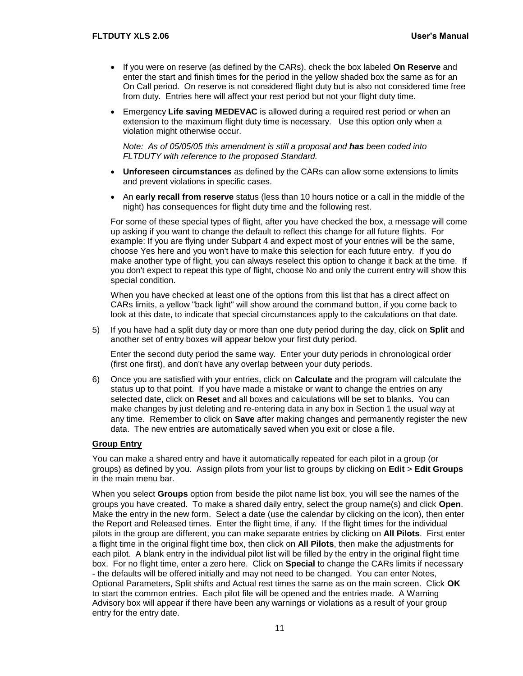- If you were on reserve (as defined by the CARs), check the box labeled **On Reserve** and enter the start and finish times for the period in the yellow shaded box the same as for an On Call period. On reserve is not considered flight duty but is also not considered time free from duty. Entries here will affect your rest period but not your flight duty time.
- Emergency **Life saving MEDEVAC** is allowed during a required rest period or when an extension to the maximum flight duty time is necessary. Use this option only when a violation might otherwise occur.

*Note: As of 05/05/05 this amendment is still a proposal and has been coded into FLTDUTY with reference to the proposed Standard.*

- **Unforeseen circumstances** as defined by the CARs can allow some extensions to limits and prevent violations in specific cases.
- An **early recall from reserve** status (less than 10 hours notice or a call in the middle of the night) has consequences for flight duty time and the following rest.

For some of these special types of flight, after you have checked the box, a message will come up asking if you want to change the default to reflect this change for all future flights. For example: If you are flying under Subpart 4 and expect most of your entries will be the same, choose Yes here and you won't have to make this selection for each future entry. If you do make another type of flight, you can always reselect this option to change it back at the time. If you don't expect to repeat this type of flight, choose No and only the current entry will show this special condition.

When you have checked at least one of the options from this list that has a direct affect on CARs limits, a yellow "back light" will show around the command button, if you come back to look at this date, to indicate that special circumstances apply to the calculations on that date.

5) If you have had a split duty day or more than one duty period during the day, click on **Split** and another set of entry boxes will appear below your first duty period.

Enter the second duty period the same way. Enter your duty periods in chronological order (first one first), and don't have any overlap between your duty periods.

6) Once you are satisfied with your entries, click on **Calculate** and the program will calculate the status up to that point. If you have made a mistake or want to change the entries on any selected date, click on **Reset** and all boxes and calculations will be set to blanks. You can make changes by just deleting and re-entering data in any box in Section 1 the usual way at any time. Remember to click on **Save** after making changes and permanently register the new data. The new entries are automatically saved when you exit or close a file.

#### **Group Entry**

You can make a shared entry and have it automatically repeated for each pilot in a group (or groups) as defined by you. Assign pilots from your list to groups by clicking on **Edit** > **Edit Groups** in the main menu bar.

When you select **Groups** option from beside the pilot name list box, you will see the names of the groups you have created. To make a shared daily entry, select the group name(s) and click **Open**. Make the entry in the new form. Select a date (use the calendar by clicking on the icon), then enter the Report and Released times. Enter the flight time, if any. If the flight times for the individual pilots in the group are different, you can make separate entries by clicking on **All Pilots**. First enter a flight time in the original flight time box, then click on **All Pilots**, then make the adjustments for each pilot. A blank entry in the individual pilot list will be filled by the entry in the original flight time box. For no flight time, enter a zero here. Click on **Special** to change the CARs limits if necessary - the defaults will be offered initially and may not need to be changed. You can enter Notes, Optional Parameters, Split shifts and Actual rest times the same as on the main screen. Click **OK** to start the common entries. Each pilot file will be opened and the entries made. A Warning Advisory box will appear if there have been any warnings or violations as a result of your group entry for the entry date.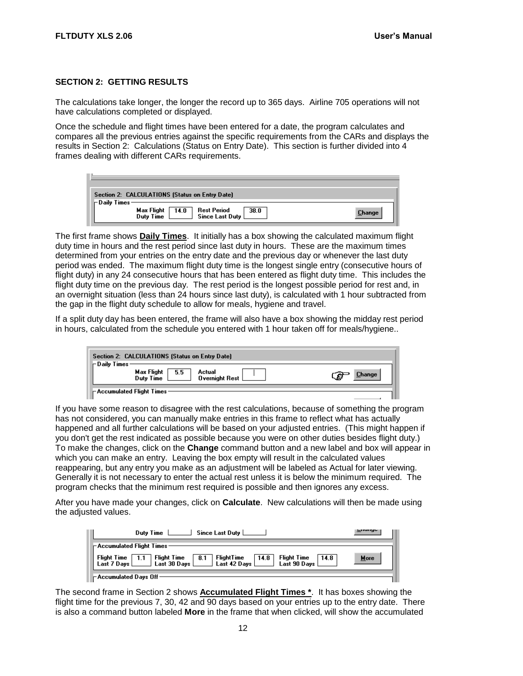#### <span id="page-15-0"></span>**SECTION 2: GETTING RESULTS**

The calculations take longer, the longer the record up to 365 days. Airline 705 operations will not have calculations completed or displayed.

Once the schedule and flight times have been entered for a date, the program calculates and compares all the previous entries against the specific requirements from the CARs and displays the results in Section 2: Calculations (Status on Entry Date). This section is further divided into 4 frames dealing with different CARs requirements.

| Section 2: CALCULATIONS (Status on Entry Date)                            |               |
|---------------------------------------------------------------------------|---------------|
| $\vdash$ Daily Times                                                      |               |
| Max Flight<br>Rest Period<br>Since Last Duty<br>38.0<br>14.0<br>Duty Time | <b>Change</b> |

The first frame shows **Daily Times**. It initially has a box showing the calculated maximum flight duty time in hours and the rest period since last duty in hours. These are the maximum times determined from your entries on the entry date and the previous day or whenever the last duty period was ended. The maximum flight duty time is the longest single entry (consecutive hours of flight duty) in any 24 consecutive hours that has been entered as flight duty time. This includes the flight duty time on the previous day. The rest period is the longest possible period for rest and, in an overnight situation (less than 24 hours since last duty), is calculated with 1 hour subtracted from the gap in the flight duty schedule to allow for meals, hygiene and travel.

If a split duty day has been entered, the frame will also have a box showing the midday rest period in hours, calculated from the schedule you entered with 1 hour taken off for meals/hygiene..

| Section 2: CALCULATIONS (Status on Entry Date)                                            |             |  |  |  |
|-------------------------------------------------------------------------------------------|-------------|--|--|--|
| $\vdash$ Daily Times<br>Max Flight<br>5.5<br>Actual<br><b>Overnight Rest</b><br>Duty Time | Change<br>£ |  |  |  |
| $\vdash$ Accumulated Flight Times :                                                       |             |  |  |  |

If you have some reason to disagree with the rest calculations, because of something the program has not considered, you can manually make entries in this frame to reflect what has actually happened and all further calculations will be based on your adjusted entries. (This might happen if you don't get the rest indicated as possible because you were on other duties besides flight duty.) To make the changes, click on the **Change** command button and a new label and box will appear in which you can make an entry. Leaving the box empty will result in the calculated values reappearing, but any entry you make as an adjustment will be labeled as Actual for later viewing. Generally it is not necessary to enter the actual rest unless it is below the minimum required. The program checks that the minimum rest required is possible and then ignores any excess.

After you have made your changes, click on **Calculate**. New calculations will then be made using the adjusted values.

| Duty Time Since Last Duty                                                                                               |      |
|-------------------------------------------------------------------------------------------------------------------------|------|
| ⊩Accumulated Flight Times−                                                                                              |      |
| Flight Time 1.1 Flight Time 8.1 Flight Time 14.8 Flight Time 14.8<br>Last 7 Days Last 30 Days Last 42 Days Last 90 Days | More |
| $\vdash$ Accumulated Days Off $\cdot$                                                                                   |      |

The second frame in Section 2 shows **Accumulated Flight Times \***. It has boxes showing the flight time for the previous 7, 30, 42 and 90 days based on your entries up to the entry date. There is also a command button labeled **More** in the frame that when clicked, will show the accumulated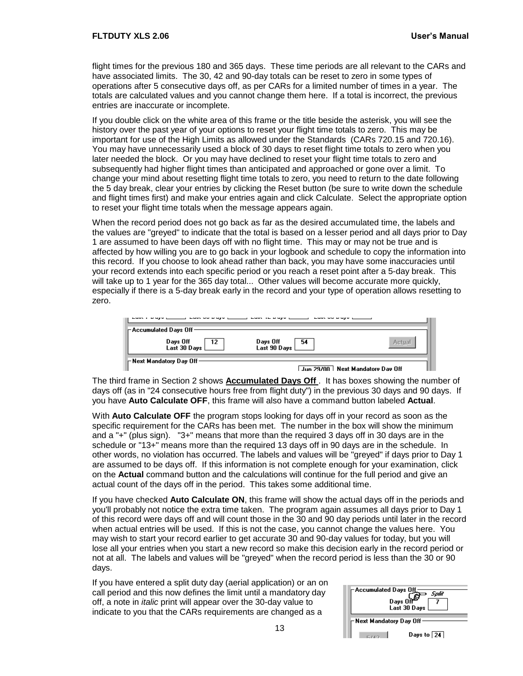flight times for the previous 180 and 365 days. These time periods are all relevant to the CARs and have associated limits. The 30, 42 and 90-day totals can be reset to zero in some types of operations after 5 consecutive days off, as per CARs for a limited number of times in a year. The totals are calculated values and you cannot change them here. If a total is incorrect, the previous entries are inaccurate or incomplete.

If you double click on the white area of this frame or the title beside the asterisk, you will see the history over the past year of your options to reset your flight time totals to zero. This may be important for use of the High Limits as allowed under the Standards (CARs 720.15 and 720.16). You may have unnecessarily used a block of 30 days to reset flight time totals to zero when you later needed the block. Or you may have declined to reset your flight time totals to zero and subsequently had higher flight times than anticipated and approached or gone over a limit. To change your mind about resetting flight time totals to zero, you need to return to the date following the 5 day break, clear your entries by clicking the Reset button (be sure to write down the schedule and flight times first) and make your entries again and click Calculate. Select the appropriate option to reset your flight time totals when the message appears again.

When the record period does not go back as far as the desired accumulated time, the labels and the values are "greyed" to indicate that the total is based on a lesser period and all days prior to Day 1 are assumed to have been days off with no flight time. This may or may not be true and is affected by how willing you are to go back in your logbook and schedule to copy the information into this record. If you choose to look ahead rather than back, you may have some inaccuracies until your record extends into each specific period or you reach a reset point after a 5-day break. This will take up to 1 year for the 365 day total... Other values will become accurate more quickly, especially if there is a 5-day break early in the record and your type of operation allows resetting to zero.

| $\vdash$ Accumulated Days Off -          |                                  |                                  |
|------------------------------------------|----------------------------------|----------------------------------|
| Days Off<br>Last 30 Days [<br>$\perp$ 12 | Days Off<br>Last 90 Days [<br>54 |                                  |
| ⊢Next Mandatory Day Off-                 |                                  | Jun 29/00 Next Mandatory Day Off |

The third frame in Section 2 shows **Accumulated Days Off** . It has boxes showing the number of days off (as in "24 consecutive hours free from flight duty") in the previous 30 days and 90 days. If you have **Auto Calculate OFF**, this frame will also have a command button labeled **Actual**.

With **Auto Calculate OFF** the program stops looking for days off in your record as soon as the specific requirement for the CARs has been met. The number in the box will show the minimum and a "+" (plus sign). "3+" means that more than the required 3 days off in 30 days are in the schedule or "13+" means more than the required 13 days off in 90 days are in the schedule. In other words, no violation has occurred. The labels and values will be "greyed" if days prior to Day 1 are assumed to be days off. If this information is not complete enough for your examination, click on the **Actual** command button and the calculations will continue for the full period and give an actual count of the days off in the period. This takes some additional time.

If you have checked **Auto Calculate ON**, this frame will show the actual days off in the periods and you'll probably not notice the extra time taken. The program again assumes all days prior to Day 1 of this record were days off and will count those in the 30 and 90 day periods until later in the record when actual entries will be used. If this is not the case, you cannot change the values here. You may wish to start your record earlier to get accurate 30 and 90-day values for today, but you will lose all your entries when you start a new record so make this decision early in the record period or not at all. The labels and values will be "greyed" when the record period is less than the 30 or 90 days.

If you have entered a split duty day (aerial application) or an on call period and this now defines the limit until a mandatory day off, a note in *italic* print will appear over the 30-day value to indicate to you that the CARs requirements are changed as a

| -Accumulated Days Off<br>Solit<br>Days Off <sup>er</sup><br>Last 30 Days |  |  |  |
|--------------------------------------------------------------------------|--|--|--|
| -Next Mandatory Day Off                                                  |  |  |  |
| Days to $\boxed{24}$                                                     |  |  |  |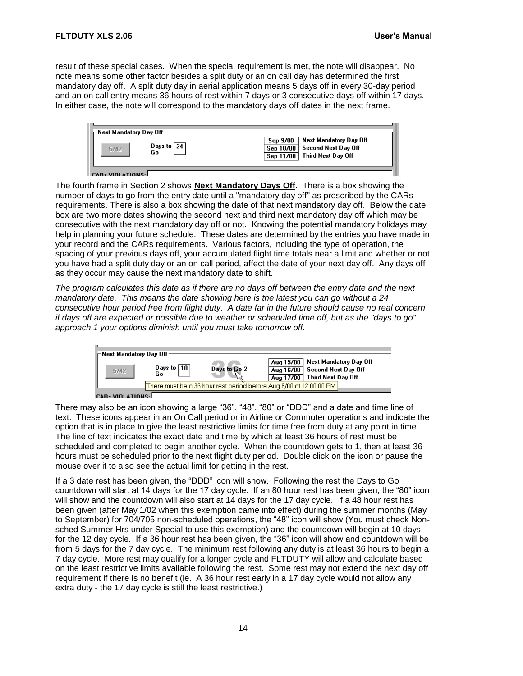result of these special cases. When the special requirement is met, the note will disappear. No note means some other factor besides a split duty or an on call day has determined the first mandatory day off. A split duty day in aerial application means 5 days off in every 30-day period and an on call entry means 36 hours of rest within 7 days or 3 consecutive days off within 17 days. In either case, the note will correspond to the mandatory days off dates in the next frame.

| ⊢Next Mandatory Day Off<br>Days to $\boxed{24}$<br>5/42<br>Go | Sep 9/00 Next Mandatory Day Off<br>Sep 10/00 Second Next Day Off<br>Sep 11/00 Third Next Day Off |
|---------------------------------------------------------------|--------------------------------------------------------------------------------------------------|
| CAR. VIOLATIONS.                                              |                                                                                                  |

The fourth frame in Section 2 shows **Next Mandatory Days Off**. There is a box showing the number of days to go from the entry date until a "mandatory day off" as prescribed by the CARs requirements. There is also a box showing the date of that next mandatory day off. Below the date box are two more dates showing the second next and third next mandatory day off which may be consecutive with the next mandatory day off or not. Knowing the potential mandatory holidays may help in planning your future schedule. These dates are determined by the entries you have made in your record and the CARs requirements. Various factors, including the type of operation, the spacing of your previous days off, your accumulated flight time totals near a limit and whether or not you have had a split duty day or an on call period, affect the date of your next day off. Any days off as they occur may cause the next mandatory date to shift.

*The program calculates this date as if there are no days off between the entry date and the next mandatory date. This means the date showing here is the latest you can go without a 24 consecutive hour period free from flight duty. A date far in the future should cause no real concern if days off are expected or possible due to weather or scheduled time off, but as the "days to go" approach 1 your options diminish until you must take tomorrow off.*

| $\vdash$ Next Mandatory Day Off $\cdot$ |                      |                                                                      |                                     |                                                                       |
|-----------------------------------------|----------------------|----------------------------------------------------------------------|-------------------------------------|-----------------------------------------------------------------------|
| 5/42                                    | Days to $ 10 $<br>Go | Days to Go 2                                                         | Aug 15/00<br>Aug 16/00<br>Aug 17/00 | Next Mandatory Day Off<br>Second Next Day Off  <br>Third Next Day Off |
|                                         |                      | There must be a 36 hour rest period before Aug 8/00 at 12:00:00 PM.] |                                     |                                                                       |
|                                         |                      |                                                                      |                                     |                                                                       |

There may also be an icon showing a large "36", "48", "80" or "DDD" and a date and time line of text. These icons appear in an On Call period or in Airline or Commuter operations and indicate the option that is in place to give the least restrictive limits for time free from duty at any point in time. The line of text indicates the exact date and time by which at least 36 hours of rest must be scheduled and completed to begin another cycle. When the countdown gets to 1, then at least 36 hours must be scheduled prior to the next flight duty period. Double click on the icon or pause the mouse over it to also see the actual limit for getting in the rest.

If a 3 date rest has been given, the "DDD" icon will show. Following the rest the Days to Go countdown will start at 14 days for the 17 day cycle. If an 80 hour rest has been given, the "80" icon will show and the countdown will also start at 14 days for the 17 day cycle. If a 48 hour rest has been given (after May 1/02 when this exemption came into effect) during the summer months (May to September) for 704/705 non-scheduled operations, the "48" icon will show (You must check Nonsched Summer Hrs under Special to use this exemption) and the countdown will begin at 10 days for the 12 day cycle. If a 36 hour rest has been given, the "36" icon will show and countdown will be from 5 days for the 7 day cycle. The minimum rest following any duty is at least 36 hours to begin a 7 day cycle. More rest may qualify for a longer cycle and FLTDUTY will allow and calculate based on the least restrictive limits available following the rest. Some rest may not extend the next day off requirement if there is no benefit (ie. A 36 hour rest early in a 17 day cycle would not allow any extra duty - the 17 day cycle is still the least restrictive.)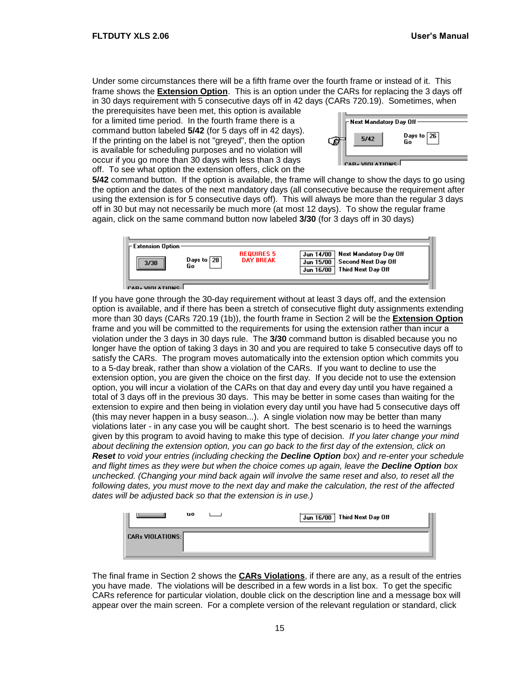Under some circumstances there will be a fifth frame over the fourth frame or instead of it. This frame shows the **Extension Option**. This is an option under the CARs for replacing the 3 days off in 30 days requirement with 5 consecutive days off in 42 days (CARs 720.19). Sometimes, when

the prerequisites have been met, this option is available for a limited time period. In the fourth frame there is a command button labeled **5/42** (for 5 days off in 42 days). If the printing on the label is not "greyed", then the option is available for scheduling purposes and no violation will occur if you go more than 30 days with less than 3 days off. To see what option the extension offers, click on the

| ⊢Next Mandatory Day Off      |
|------------------------------|
| Days to $\boxed{26}$<br>5/42 |
| CAR. VIOLATIONS              |

**5/42** command button. If the option is available, the frame will change to show the days to go using the option and the dates of the next mandatory days (all consecutive because the requirement after using the extension is for 5 consecutive days off). This will always be more than the regular 3 days off in 30 but may not necessarily be much more (at most 12 days). To show the regular frame again, click on the same command button now labeled **3/30** (for 3 days off in 30 days)



If you have gone through the 30-day requirement without at least 3 days off, and the extension option is available, and if there has been a stretch of consecutive flight duty assignments extending more than 30 days (CARs 720.19 (1b)), the fourth frame in Section 2 will be the **Extension Option** frame and you will be committed to the requirements for using the extension rather than incur a violation under the 3 days in 30 days rule. The **3/30** command button is disabled because you no longer have the option of taking 3 days in 30 and you are required to take 5 consecutive days off to satisfy the CARs. The program moves automatically into the extension option which commits you to a 5-day break, rather than show a violation of the CARs. If you want to decline to use the extension option, you are given the choice on the first day. If you decide not to use the extension option, you will incur a violation of the CARs on that day and every day until you have regained a total of 3 days off in the previous 30 days. This may be better in some cases than waiting for the extension to expire and then being in violation every day until you have had 5 consecutive days off (this may never happen in a busy season...). A single violation now may be better than many violations later - in any case you will be caught short. The best scenario is to heed the warnings given by this program to avoid having to make this type of decision. *If you later change your mind about declining the extension option, you can go back to the first day of the extension, click on Reset to void your entries (including checking the Decline Option box) and re-enter your schedule and flight times as they were but when the choice comes up again, leave the Decline Option box unchecked. (Changing your mind back again will involve the same reset and also, to reset all the following dates, you must move to the next day and make the calculation, the rest of the affected dates will be adjusted back so that the extension is in use.)*

|                         | uo. |  | Jun 16/00 Third Next Day Off |
|-------------------------|-----|--|------------------------------|
| <b>CARs VIOLATIONS:</b> |     |  |                              |

The final frame in Section 2 shows the **CARs Violations**, if there are any, as a result of the entries you have made. The violations will be described in a few words in a list box. To get the specific CARs reference for particular violation, double click on the description line and a message box will appear over the main screen. For a complete version of the relevant regulation or standard, click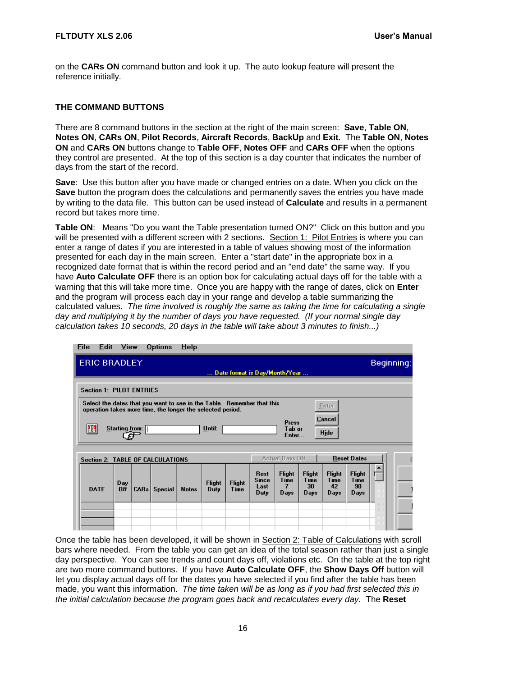#### **FLTDUTY XLS 2.06 User's Manual**

on the **CARs ON** command button and look it up. The auto lookup feature will present the reference initially.

#### <span id="page-19-0"></span>**THE COMMAND BUTTONS**

There are 8 command buttons in the section at the right of the main screen: **Save**, **Table ON**, **Notes ON**, **CARs ON**, **Pilot Records**, **Aircraft Records**, **BackUp** and **Exit**. The **Table ON**, **Notes ON** and **CARs ON** buttons change to **Table OFF**, **Notes OFF** and **CARs OFF** when the options they control are presented. At the top of this section is a day counter that indicates the number of days from the start of the record.

**Save**: Use this button after you have made or changed entries on a date. When you click on the **Save** button the program does the calculations and permanently saves the entries you have made by writing to the data file. This button can be used instead of **Calculate** and results in a permanent record but takes more time.

**Table ON**: Means "Do you want the Table presentation turned ON?" Click on this button and you will be presented with a different screen with 2 sections. Section 1: Pilot Entries is where you can enter a range of dates if you are interested in a table of values showing most of the information presented for each day in the main screen. Enter a "start date" in the appropriate box in a recognized date format that is within the record period and an "end date" the same way. If you have **Auto Calculate OFF** there is an option box for calculating actual days off for the table with a warning that this will take more time. Once you are happy with the range of dates, click on **Enter** and the program will process each day in your range and develop a table summarizing the calculated values. *The time involved is roughly the same as taking the time for calculating a single day and multiplying it by the number of days you have requested. (If your normal single day calculation takes 10 seconds, 20 days in the table will take about 3 minutes to finish...)* 

| <b>File</b> | Edit View                       |      | Options                                                                                                                              | $He$ lp      |               |               |                               |                                 |                       |                       |                       |            |
|-------------|---------------------------------|------|--------------------------------------------------------------------------------------------------------------------------------------|--------------|---------------|---------------|-------------------------------|---------------------------------|-----------------------|-----------------------|-----------------------|------------|
|             | <b>ERIC BRADLEY</b>             |      |                                                                                                                                      |              |               |               |                               |                                 |                       |                       |                       | Beginning: |
|             |                                 |      |                                                                                                                                      |              |               |               | Date format is Day/Month/Year |                                 |                       |                       |                       |            |
|             | <b>Section 1: PILOT ENTRIES</b> |      |                                                                                                                                      |              |               |               |                               |                                 |                       |                       |                       |            |
|             |                                 |      | Select the dates that you want to see in the Table. Remember that this<br>operation takes more time, the longer the selected period. |              |               |               |                               |                                 |                       | Enter                 |                       |            |
| 醞           | $Starting$ from: $\parallel$    |      |                                                                                                                                      |              | Until:        |               |                               | <b>Press</b><br>Tab or<br>Enter |                       | Cancel<br>Hide        |                       |            |
|             |                                 |      | <b>Section 2: TABLE OF CALCULATIONS</b>                                                                                              |              |               |               |                               | <b>Actual Days Off</b>          |                       |                       | <b>Reset Dates</b>    |            |
|             |                                 |      |                                                                                                                                      |              |               |               |                               |                                 |                       |                       |                       |            |
|             | Day                             |      |                                                                                                                                      |              | <b>Flight</b> | <b>Flight</b> | Rest<br>Since                 | <b>Flight</b><br>Time           | <b>Flight</b><br>Time | <b>Flight</b><br>Time | <b>Flight</b><br>Time |            |
| <b>DATE</b> | Off                             | CARS | <b>Special</b>                                                                                                                       | <b>Notes</b> | Duty          | Time          | Last<br>Duty                  | 7<br>Days                       | 30<br>Days            | 42<br>Days            | 90<br>Days            |            |
|             |                                 |      |                                                                                                                                      |              |               |               |                               |                                 |                       |                       |                       |            |
|             |                                 |      |                                                                                                                                      |              |               |               |                               |                                 |                       |                       |                       |            |

Once the table has been developed, it will be shown in Section 2: Table of Calculations with scroll bars where needed. From the table you can get an idea of the total season rather than just a single day perspective. You can see trends and count days off, violations etc. On the table at the top right are two more command buttons. If you have **Auto Calculate OFF**, the **Show Days Off** button will let you display actual days off for the dates you have selected if you find after the table has been made, you want this information. *The time taken will be as long as if you had first selected this in the initial calculation because the program goes back and recalculates every day.* The **Reset**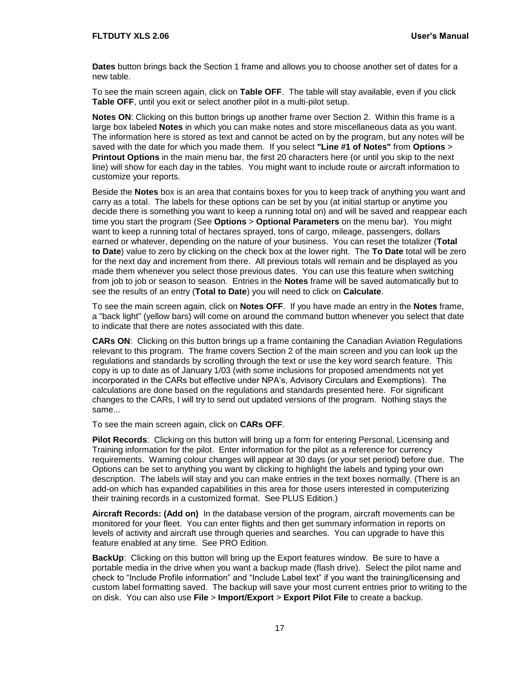**Dates** button brings back the Section 1 frame and allows you to choose another set of dates for a new table.

To see the main screen again, click on **Table OFF**. The table will stay available, even if you click **Table OFF**, until you exit or select another pilot in a multi-pilot setup.

**Notes ON**: Clicking on this button brings up another frame over Section 2. Within this frame is a large box labeled **Notes** in which you can make notes and store miscellaneous data as you want. The information here is stored as text and cannot be acted on by the program, but any notes will be saved with the date for which you made them. If you select **"Line #1 of Notes"** from **Options** > **Printout Options** in the main menu bar, the first 20 characters here (or until you skip to the next line) will show for each day in the tables. You might want to include route or aircraft information to customize your reports.

Beside the **Notes** box is an area that contains boxes for you to keep track of anything you want and carry as a total. The labels for these options can be set by you (at initial startup or anytime you decide there is something you want to keep a running total on) and will be saved and reappear each time you start the program (See **Options** > **Optional Parameters** on the menu bar). You might want to keep a running total of hectares sprayed, tons of cargo, mileage, passengers, dollars earned or whatever, depending on the nature of your business. You can reset the totalizer (**Total to Date**) value to zero by clicking on the check box at the lower right. The **To Date** total will be zero for the next day and increment from there. All previous totals will remain and be displayed as you made them whenever you select those previous dates. You can use this feature when switching from job to job or season to season. Entries in the **Notes** frame will be saved automatically but to see the results of an entry (**Total to Date**) you will need to click on **Calculate**.

To see the main screen again, click on **Notes OFF**. If you have made an entry in the **Notes** frame, a "back light" (yellow bars) will come on around the command button whenever you select that date to indicate that there are notes associated with this date.

**CARs ON**: Clicking on this button brings up a frame containing the Canadian Aviation Regulations relevant to this program. The frame covers Section 2 of the main screen and you can look up the regulations and standards by scrolling through the text or use the key word search feature. This copy is up to date as of January 1/03 (with some inclusions for proposed amendments not yet incorporated in the CARs but effective under NPA's, Advisory Circulars and Exemptions). The calculations are done based on the regulations and standards presented here. For significant changes to the CARs, I will try to send out updated versions of the program. Nothing stays the same...

To see the main screen again, click on **CARs OFF**.

**Pilot Records**: Clicking on this button will bring up a form for entering Personal, Licensing and Training information for the pilot. Enter information for the pilot as a reference for currency requirements. Warning colour changes will appear at 30 days (or your set period) before due. The Options can be set to anything you want by clicking to highlight the labels and typing your own description. The labels will stay and you can make entries in the text boxes normally. (There is an add-on which has expanded capabilities in this area for those users interested in computerizing their training records in a customized format. See PLUS Edition.)

**Aircraft Records: (Add on)** In the database version of the program, aircraft movements can be monitored for your fleet. You can enter flights and then get summary information in reports on levels of activity and aircraft use through queries and searches. You can upgrade to have this feature enabled at any time. See PRO Edition.

BackUp: Clicking on this button will bring up the Export features window. Be sure to have a portable media in the drive when you want a backup made (flash drive). Select the pilot name and check to "Include Profile information" and "Include Label text" if you want the training/licensing and custom label formatting saved. The backup will save your most current entries prior to writing to the on disk. You can also use **File** > **Import/Export** > **Export Pilot File** to create a backup.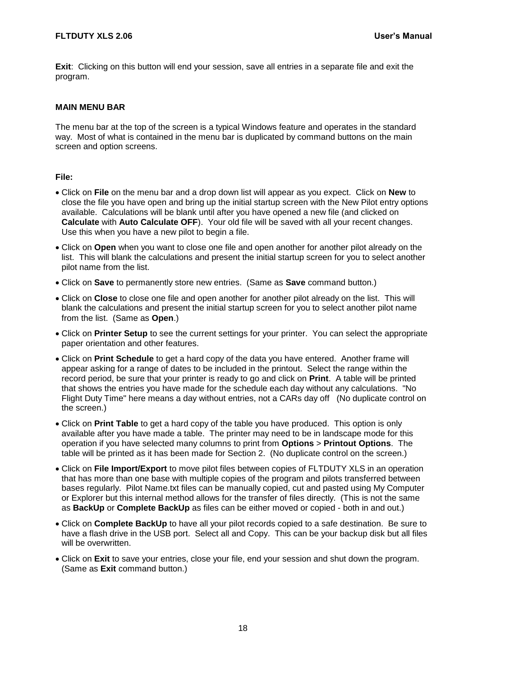**Exit**: Clicking on this button will end your session, save all entries in a separate file and exit the program.

#### <span id="page-21-0"></span>**MAIN MENU BAR**

The menu bar at the top of the screen is a typical Windows feature and operates in the standard way. Most of what is contained in the menu bar is duplicated by command buttons on the main screen and option screens.

#### **File:**

- Click on **File** on the menu bar and a drop down list will appear as you expect. Click on **New** to close the file you have open and bring up the initial startup screen with the New Pilot entry options available. Calculations will be blank until after you have opened a new file (and clicked on **Calculate** with **Auto Calculate OFF**). Your old file will be saved with all your recent changes. Use this when you have a new pilot to begin a file.
- Click on **Open** when you want to close one file and open another for another pilot already on the list. This will blank the calculations and present the initial startup screen for you to select another pilot name from the list.
- Click on **Save** to permanently store new entries. (Same as **Save** command button.)
- Click on **Close** to close one file and open another for another pilot already on the list. This will blank the calculations and present the initial startup screen for you to select another pilot name from the list. (Same as **Open**.)
- Click on **Printer Setup** to see the current settings for your printer. You can select the appropriate paper orientation and other features.
- Click on **Print Schedule** to get a hard copy of the data you have entered. Another frame will appear asking for a range of dates to be included in the printout. Select the range within the record period, be sure that your printer is ready to go and click on **Print**. A table will be printed that shows the entries you have made for the schedule each day without any calculations. "No Flight Duty Time" here means a day without entries, not a CARs day off (No duplicate control on the screen.)
- Click on **Print Table** to get a hard copy of the table you have produced. This option is only available after you have made a table. The printer may need to be in landscape mode for this operation if you have selected many columns to print from **Options** > **Printout Options**. The table will be printed as it has been made for Section 2. (No duplicate control on the screen.)
- Click on **File Import/Export** to move pilot files between copies of FLTDUTY XLS in an operation that has more than one base with multiple copies of the program and pilots transferred between bases regularly. Pilot Name.txt files can be manually copied, cut and pasted using My Computer or Explorer but this internal method allows for the transfer of files directly. (This is not the same as **BackUp** or **Complete BackUp** as files can be either moved or copied - both in and out.)
- Click on **Complete BackUp** to have all your pilot records copied to a safe destination. Be sure to have a flash drive in the USB port. Select all and Copy. This can be your backup disk but all files will be overwritten.
- Click on **Exit** to save your entries, close your file, end your session and shut down the program. (Same as **Exit** command button.)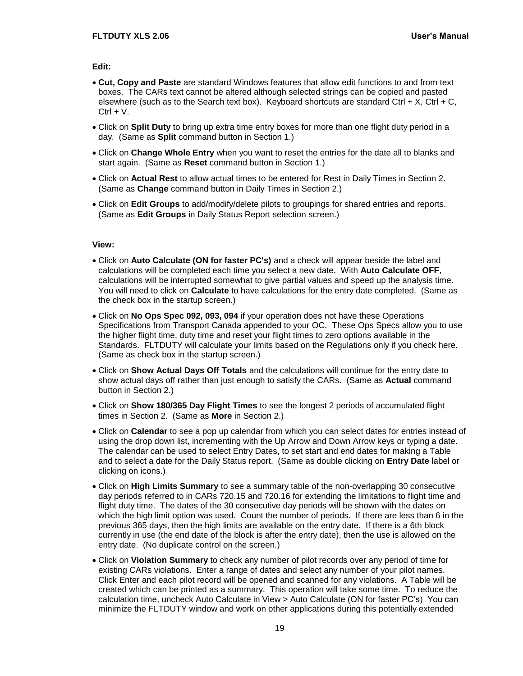**Edit:**

- **Cut, Copy and Paste** are standard Windows features that allow edit functions to and from text boxes. The CARs text cannot be altered although selected strings can be copied and pasted elsewhere (such as to the Search text box). Keyboard shortcuts are standard Ctrl + X, Ctrl + C,  $Ctrl + V.$
- Click on **Split Duty** to bring up extra time entry boxes for more than one flight duty period in a day. (Same as **Split** command button in Section 1.)
- Click on **Change Whole Entry** when you want to reset the entries for the date all to blanks and start again. (Same as **Reset** command button in Section 1.)
- Click on **Actual Rest** to allow actual times to be entered for Rest in Daily Times in Section 2. (Same as **Change** command button in Daily Times in Section 2.)
- Click on **Edit Groups** to add/modify/delete pilots to groupings for shared entries and reports. (Same as **Edit Groups** in Daily Status Report selection screen.)

#### **View:**

- Click on **Auto Calculate (ON for faster PC's)** and a check will appear beside the label and calculations will be completed each time you select a new date. With **Auto Calculate OFF**, calculations will be interrupted somewhat to give partial values and speed up the analysis time. You will need to click on **Calculate** to have calculations for the entry date completed. (Same as the check box in the startup screen.)
- Click on **No Ops Spec 092, 093, 094** if your operation does not have these Operations Specifications from Transport Canada appended to your OC. These Ops Specs allow you to use the higher flight time, duty time and reset your flight times to zero options available in the Standards. FLTDUTY will calculate your limits based on the Regulations only if you check here. (Same as check box in the startup screen.)
- Click on **Show Actual Days Off Totals** and the calculations will continue for the entry date to show actual days off rather than just enough to satisfy the CARs. (Same as **Actual** command button in Section 2.)
- Click on **Show 180/365 Day Flight Times** to see the longest 2 periods of accumulated flight times in Section 2. (Same as **More** in Section 2.)
- Click on **Calendar** to see a pop up calendar from which you can select dates for entries instead of using the drop down list, incrementing with the Up Arrow and Down Arrow keys or typing a date. The calendar can be used to select Entry Dates, to set start and end dates for making a Table and to select a date for the Daily Status report. (Same as double clicking on **Entry Date** label or clicking on icons.)
- Click on **High Limits Summary** to see a summary table of the non-overlapping 30 consecutive day periods referred to in CARs 720.15 and 720.16 for extending the limitations to flight time and flight duty time. The dates of the 30 consecutive day periods will be shown with the dates on which the high limit option was used. Count the number of periods. If there are less than 6 in the previous 365 days, then the high limits are available on the entry date. If there is a 6th block currently in use (the end date of the block is after the entry date), then the use is allowed on the entry date. (No duplicate control on the screen.)
- Click on **Violation Summary** to check any number of pilot records over any period of time for existing CARs violations. Enter a range of dates and select any number of your pilot names. Click Enter and each pilot record will be opened and scanned for any violations. A Table will be created which can be printed as a summary. This operation will take some time. To reduce the calculation time, uncheck Auto Calculate in View > Auto Calculate (ON for faster PC's) You can minimize the FLTDUTY window and work on other applications during this potentially extended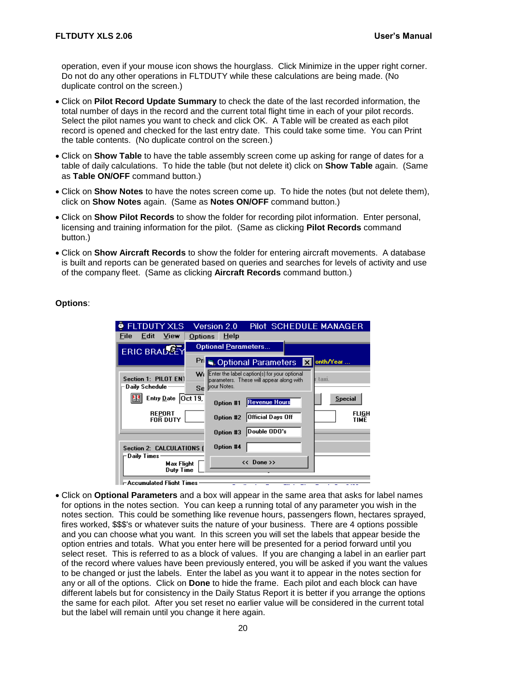operation, even if your mouse icon shows the hourglass. Click Minimize in the upper right corner. Do not do any other operations in FLTDUTY while these calculations are being made. (No duplicate control on the screen.)

- Click on **Pilot Record Update Summary** to check the date of the last recorded information, the total number of days in the record and the current total flight time in each of your pilot records. Select the pilot names you want to check and click OK. A Table will be created as each pilot record is opened and checked for the last entry date. This could take some time. You can Print the table contents. (No duplicate control on the screen.)
- Click on **Show Table** to have the table assembly screen come up asking for range of dates for a table of daily calculations. To hide the table (but not delete it) click on **Show Table** again. (Same as **Table ON/OFF** command button.)
- Click on **Show Notes** to have the notes screen come up. To hide the notes (but not delete them), click on **Show Notes** again. (Same as **Notes ON/OFF** command button.)
- Click on **Show Pilot Records** to show the folder for recording pilot information. Enter personal, licensing and training information for the pilot. (Same as clicking **Pilot Records** command button.)
- Click on **Show Aircraft Records** to show the folder for entering aircraft movements. A database is built and reports can be generated based on queries and searches for levels of activity and use of the company fleet. (Same as clicking **Aircraft Records** command button.)

#### **Options**:

| <b>FLTDUTY XLS</b>                                 | Version 2.0<br><b>Pilot SCHEDULE MANAGER</b>                                                                      |
|----------------------------------------------------|-------------------------------------------------------------------------------------------------------------------|
| View<br>Edit<br>File:<br>Options                   | HeIp                                                                                                              |
| ERIC BRADE                                         | <b>Optional Parameters</b>                                                                                        |
| Pri                                                | onth/Year<br>Optional Parameters<br>$\mathsf{x}$                                                                  |
| W.<br>Section 1: PILOT EN1<br>Daily Schedule<br>Se | Enter the label caption(s) for your optional<br>taxi.<br>parameters. These will appear along with<br>Ivour Notes. |
| Entry Date $[Oct 19]$<br>Еđ                        | <b>Special</b><br><b>Revenue Hours</b><br><b>Option #1</b>                                                        |
| <b>REPORT</b><br><b>FOR DUTY</b>                   | FLIGH<br>Official Days Off<br>Option #2<br>TIME                                                                   |
|                                                    | Double ODO's<br>Option #3                                                                                         |
| Section 2: CALCULATIONS (<br>Daily Times           | <b>Option #4</b>                                                                                                  |
| Max Flight<br>Duty Time                            | $<<$ Done >>                                                                                                      |
| ⊢Accumulated Flight Times                          | -                                                                                                                 |

 Click on **Optional Parameters** and a box will appear in the same area that asks for label names for options in the notes section. You can keep a running total of any parameter you wish in the notes section. This could be something like revenue hours, passengers flown, hectares sprayed, fires worked, \$\$\$'s or whatever suits the nature of your business. There are 4 options possible and you can choose what you want. In this screen you will set the labels that appear beside the option entries and totals. What you enter here will be presented for a period forward until you select reset. This is referred to as a block of values. If you are changing a label in an earlier part of the record where values have been previously entered, you will be asked if you want the values to be changed or just the labels. Enter the label as you want it to appear in the notes section for any or all of the options. Click on **Done** to hide the frame. Each pilot and each block can have different labels but for consistency in the Daily Status Report it is better if you arrange the options the same for each pilot. After you set reset no earlier value will be considered in the current total but the label will remain until you change it here again.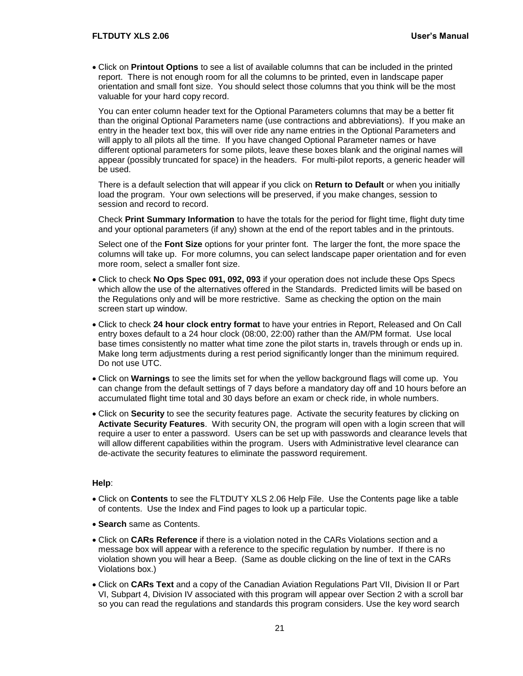Click on **Printout Options** to see a list of available columns that can be included in the printed report. There is not enough room for all the columns to be printed, even in landscape paper orientation and small font size. You should select those columns that you think will be the most valuable for your hard copy record.

You can enter column header text for the Optional Parameters columns that may be a better fit than the original Optional Parameters name (use contractions and abbreviations). If you make an entry in the header text box, this will over ride any name entries in the Optional Parameters and will apply to all pilots all the time. If you have changed Optional Parameter names or have different optional parameters for some pilots, leave these boxes blank and the original names will appear (possibly truncated for space) in the headers. For multi-pilot reports, a generic header will be used.

There is a default selection that will appear if you click on **Return to Default** or when you initially load the program. Your own selections will be preserved, if you make changes, session to session and record to record.

Check **Print Summary Information** to have the totals for the period for flight time, flight duty time and your optional parameters (if any) shown at the end of the report tables and in the printouts.

Select one of the **Font Size** options for your printer font. The larger the font, the more space the columns will take up. For more columns, you can select landscape paper orientation and for even more room, select a smaller font size.

- Click to check **No Ops Spec 091, 092, 093** if your operation does not include these Ops Specs which allow the use of the alternatives offered in the Standards. Predicted limits will be based on the Regulations only and will be more restrictive. Same as checking the option on the main screen start up window.
- Click to check **24 hour clock entry format** to have your entries in Report, Released and On Call entry boxes default to a 24 hour clock (08:00, 22:00) rather than the AM/PM format. Use local base times consistently no matter what time zone the pilot starts in, travels through or ends up in. Make long term adjustments during a rest period significantly longer than the minimum required. Do not use UTC.
- Click on **Warnings** to see the limits set for when the yellow background flags will come up. You can change from the default settings of 7 days before a mandatory day off and 10 hours before an accumulated flight time total and 30 days before an exam or check ride, in whole numbers.
- Click on **Security** to see the security features page. Activate the security features by clicking on **Activate Security Features**. With security ON, the program will open with a login screen that will require a user to enter a password. Users can be set up with passwords and clearance levels that will allow different capabilities within the program. Users with Administrative level clearance can de-activate the security features to eliminate the password requirement.

#### **Help**:

- Click on **Contents** to see the FLTDUTY XLS 2.06 Help File. Use the Contents page like a table of contents. Use the Index and Find pages to look up a particular topic.
- **Search** same as Contents.
- Click on **CARs Reference** if there is a violation noted in the CARs Violations section and a message box will appear with a reference to the specific regulation by number. If there is no violation shown you will hear a Beep. (Same as double clicking on the line of text in the CARs Violations box.)
- Click on **CARs Text** and a copy of the Canadian Aviation Regulations Part VII, Division II or Part VI, Subpart 4, Division IV associated with this program will appear over Section 2 with a scroll bar so you can read the regulations and standards this program considers. Use the key word search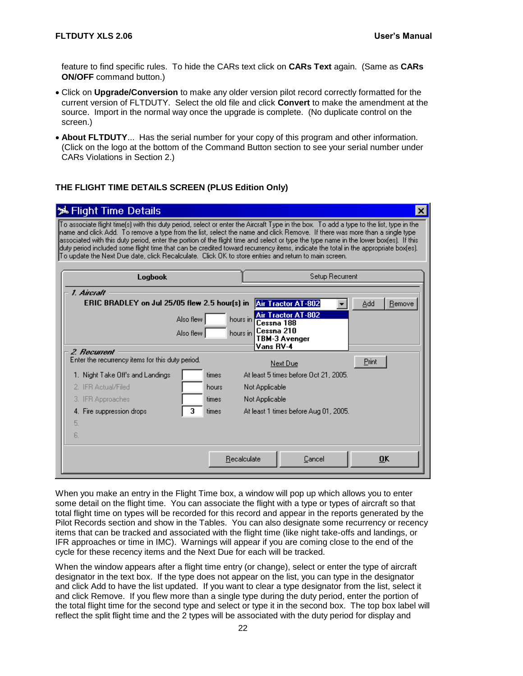feature to find specific rules. To hide the CARs text click on **CARs Text** again. (Same as **CARs ON/OFF** command button.)

- Click on **Upgrade/Conversion** to make any older version pilot record correctly formatted for the current version of FLTDUTY. Select the old file and click **Convert** to make the amendment at the source. Import in the normal way once the upgrade is complete. (No duplicate control on the screen.)
- **About FLTDUTY**... Has the serial number for your copy of this program and other information. (Click on the logo at the bottom of the Command Button section to see your serial number under CARs Violations in Section 2.)

#### <span id="page-25-0"></span>**THE FLIGHT TIME DETAILS SCREEN (PLUS Edition Only)**

| <b>メFlight Time Details</b>                                                                                                                                                                                                                                                                                                                                                                                                                                                                                                                                                                                                                                      |          |                                       | $\vert x \vert$ |
|------------------------------------------------------------------------------------------------------------------------------------------------------------------------------------------------------------------------------------------------------------------------------------------------------------------------------------------------------------------------------------------------------------------------------------------------------------------------------------------------------------------------------------------------------------------------------------------------------------------------------------------------------------------|----------|---------------------------------------|-----------------|
| [To associate flight time[s] with this duty period, select or enter the Aircraft Type in the box. To add a type to the list, type in the<br>Iname and click Add. To remove a type from the list, select the name and click Remove. If there was more than a single type<br>lassociated with this duty period, enter the portion of the flight time and select or type the type name in the lower box[es]. If this<br>lduty period included some flight time that can be credited toward recurrency items, indicate the total in the appropriate box(es).<br>To update the Next Due date, click Recalculate. Click OK to store entries and return to main screen. |          |                                       |                 |
| <b>Logbook</b>                                                                                                                                                                                                                                                                                                                                                                                                                                                                                                                                                                                                                                                   |          | Setup Recurrent                       |                 |
| 1. Aircraft                                                                                                                                                                                                                                                                                                                                                                                                                                                                                                                                                                                                                                                      |          |                                       |                 |
| ERIC BRADLEY on Jul 25/05 flew 2.5 hour(s) in                                                                                                                                                                                                                                                                                                                                                                                                                                                                                                                                                                                                                    |          | Air Tractor AT-802                    | Add<br>Remove   |
| Also flew                                                                                                                                                                                                                                                                                                                                                                                                                                                                                                                                                                                                                                                        | hours in | Air Tractor AT-802<br>Cessna 188      |                 |
| Also flew                                                                                                                                                                                                                                                                                                                                                                                                                                                                                                                                                                                                                                                        | hours in | Cessna 210<br>TBM-3 Avenger           |                 |
| 2. Recurrent                                                                                                                                                                                                                                                                                                                                                                                                                                                                                                                                                                                                                                                     |          | Vans RV-4                             |                 |
| Enter the recurrency items for this duty period.                                                                                                                                                                                                                                                                                                                                                                                                                                                                                                                                                                                                                 |          | Next Due                              | Print           |
| 1. Night Take Off's and Landings                                                                                                                                                                                                                                                                                                                                                                                                                                                                                                                                                                                                                                 | times    | At least 5 times before Oct 21, 2005. |                 |
| 2. IFR Actual/Filed                                                                                                                                                                                                                                                                                                                                                                                                                                                                                                                                                                                                                                              | hours    | Not Applicable                        |                 |
| 3. IFR Approaches                                                                                                                                                                                                                                                                                                                                                                                                                                                                                                                                                                                                                                                | times    | Not Applicable                        |                 |
| 3<br>4. Fire suppression drops                                                                                                                                                                                                                                                                                                                                                                                                                                                                                                                                                                                                                                   | times    | At least 1 times before Aug 01, 2005. |                 |
| 5.                                                                                                                                                                                                                                                                                                                                                                                                                                                                                                                                                                                                                                                               |          |                                       |                 |
| 6.                                                                                                                                                                                                                                                                                                                                                                                                                                                                                                                                                                                                                                                               |          |                                       |                 |
|                                                                                                                                                                                                                                                                                                                                                                                                                                                                                                                                                                                                                                                                  |          |                                       |                 |
|                                                                                                                                                                                                                                                                                                                                                                                                                                                                                                                                                                                                                                                                  |          | Recalculate<br>Cancel                 | <b>OK</b>       |
|                                                                                                                                                                                                                                                                                                                                                                                                                                                                                                                                                                                                                                                                  |          |                                       |                 |

When you make an entry in the Flight Time box, a window will pop up which allows you to enter some detail on the flight time. You can associate the flight with a type or types of aircraft so that total flight time on types will be recorded for this record and appear in the reports generated by the Pilot Records section and show in the Tables. You can also designate some recurrency or recency items that can be tracked and associated with the flight time (like night take-offs and landings, or IFR approaches or time in IMC). Warnings will appear if you are coming close to the end of the cycle for these recency items and the Next Due for each will be tracked.

When the window appears after a flight time entry (or change), select or enter the type of aircraft designator in the text box. If the type does not appear on the list, you can type in the designator and click Add to have the list updated. If you want to clear a type designator from the list, select it and click Remove. If you flew more than a single type during the duty period, enter the portion of the total flight time for the second type and select or type it in the second box. The top box label will reflect the split flight time and the 2 types will be associated with the duty period for display and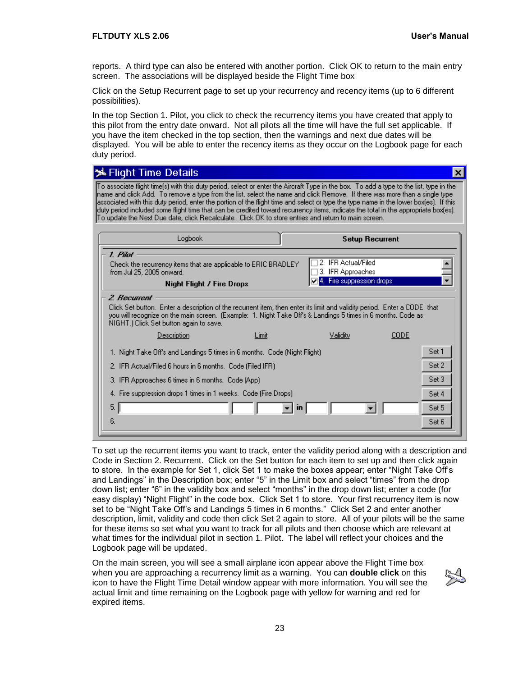reports. A third type can also be entered with another portion. Click OK to return to the main entry screen. The associations will be displayed beside the Flight Time box

Click on the Setup Recurrent page to set up your recurrency and recency items (up to 6 different possibilities).

In the top Section 1. Pilot, you click to check the recurrency items you have created that apply to this pilot from the entry date onward. Not all pilots all the time will have the full set applicable. If you have the item checked in the top section, then the warnings and next due dates will be displayed. You will be able to enter the recency items as they occur on the Logbook page for each duty period.

| <b>メFlight Time Details</b>                                                                                                                                                                                                                                                                                                                                                                                                                                                                                                                                                                                                                                    |              |                                                                       | $\vert x \vert$ |
|----------------------------------------------------------------------------------------------------------------------------------------------------------------------------------------------------------------------------------------------------------------------------------------------------------------------------------------------------------------------------------------------------------------------------------------------------------------------------------------------------------------------------------------------------------------------------------------------------------------------------------------------------------------|--------------|-----------------------------------------------------------------------|-----------------|
| To associate flight time(s) with this duty period, select or enter the Aircraft Type in the box. To add a type to the list, type in the<br>hame and click Add. To remove a type from the list, select the name and click Remove. If there was more than a single type<br>associated with this duty period, enter the portion of the flight time and select or type the type name in the lower box(es). If this<br>lduty period included some flight time that can be credited toward recurrency items, indicate the total in the appropriate box(es).<br>To update the Next Due date, click Recalculate.  Click OK to store entries and return to main screen. |              |                                                                       |                 |
| Logbook                                                                                                                                                                                                                                                                                                                                                                                                                                                                                                                                                                                                                                                        |              | <b>Setup Recurrent</b>                                                |                 |
| 1. Pilat<br>Check the recurrency items that are applicable to ERIC BRADLEY<br>from Jul 25, 2005 onward.<br><b>Night Flight / Fire Drops</b>                                                                                                                                                                                                                                                                                                                                                                                                                                                                                                                    |              | 2. IFR Actual/Filed<br>3. IFR Approaches<br>4. Fire suppression drops |                 |
| 2 Recurrent<br>Click Set button. Enter a description of the recurrent item, then enter its limit and validity period. Enter a CODE that<br>you will recognize on the main screen. [Example: 1, Night Take Off's & Landings 5 times in 6 months. Code as<br>NIGHT.) Click Set button again to save.                                                                                                                                                                                                                                                                                                                                                             |              |                                                                       |                 |
| Description                                                                                                                                                                                                                                                                                                                                                                                                                                                                                                                                                                                                                                                    | Limit        | Validity                                                              | CODE            |
| 1. Night Take Off's and Landings 5 times in 6 months. Code (Night Flight)                                                                                                                                                                                                                                                                                                                                                                                                                                                                                                                                                                                      |              |                                                                       | Set 1           |
| 2. IFR Actual/Filed 6 hours in 6 months. Code (Filed IFR)                                                                                                                                                                                                                                                                                                                                                                                                                                                                                                                                                                                                      |              |                                                                       | Set 2           |
| 3. IFR Approaches 6 times in 6 months. Code (App).                                                                                                                                                                                                                                                                                                                                                                                                                                                                                                                                                                                                             |              |                                                                       | Set 3           |
| 4. Fire suppression drops 1 times in 1 weeks. Code (Fire Drops).                                                                                                                                                                                                                                                                                                                                                                                                                                                                                                                                                                                               |              |                                                                       | Set 4           |
| 5.1                                                                                                                                                                                                                                                                                                                                                                                                                                                                                                                                                                                                                                                            | $\mathbf{m}$ |                                                                       | Set 5           |
| 6.                                                                                                                                                                                                                                                                                                                                                                                                                                                                                                                                                                                                                                                             |              |                                                                       | Set 6           |
|                                                                                                                                                                                                                                                                                                                                                                                                                                                                                                                                                                                                                                                                |              |                                                                       |                 |

To set up the recurrent items you want to track, enter the validity period along with a description and Code in Section 2. Recurrent. Click on the Set button for each item to set up and then click again to store. In the example for Set 1, click Set 1 to make the boxes appear; enter "Night Take Off's and Landings" in the Description box; enter "5" in the Limit box and select "times" from the drop down list; enter "6" in the validity box and select "months" in the drop down list; enter a code (for easy display) "Night Flight" in the code box. Click Set 1 to store. Your first recurrency item is now set to be "Night Take Off's and Landings 5 times in 6 months." Click Set 2 and enter another description, limit, validity and code then click Set 2 again to store. All of your pilots will be the same for these items so set what you want to track for all pilots and then choose which are relevant at what times for the individual pilot in section 1. Pilot. The label will reflect your choices and the Logbook page will be updated.

On the main screen, you will see a small airplane icon appear above the Flight Time box when you are approaching a recurrency limit as a warning. You can **double click** on this icon to have the Flight Time Detail window appear with more information. You will see the actual limit and time remaining on the Logbook page with yellow for warning and red for expired items.

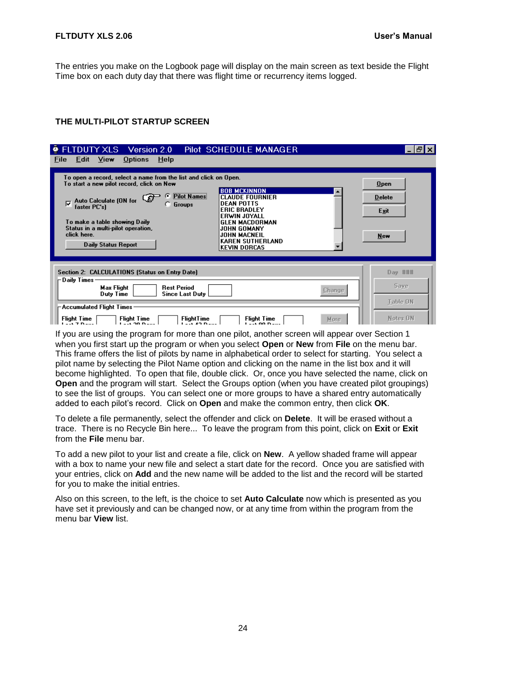The entries you make on the Logbook page will display on the main screen as text beside the Flight Time box on each duty day that there was flight time or recurrency items logged.

#### <span id="page-27-0"></span>**THE MULTI-PILOT STARTUP SCREEN**

| ELTDUTY XLS Version 2.0<br>Pilot SCHEDULE MANAGER                                                                                                                                                                                                                                                                                                                                                                                                                                                                                                                                                                             | ا 15                                        |
|-------------------------------------------------------------------------------------------------------------------------------------------------------------------------------------------------------------------------------------------------------------------------------------------------------------------------------------------------------------------------------------------------------------------------------------------------------------------------------------------------------------------------------------------------------------------------------------------------------------------------------|---------------------------------------------|
| View<br>Options<br>Help<br><b>File</b><br>Edit<br>To open a record, select a name from the list and click on Open.<br>To start a new pilot record, click on New<br><b>BOB MCKINNON</b><br><b>Pilot Names</b><br>$\epsilon$<br><b>CLAUDE FOURNIER</b><br><b>Auto Calculate (ON for</b><br>ঢ়<br><b>DEAN POTTS</b><br><b>Groups</b><br>faster PC's)<br><b>ERIC BRADLEY</b><br>ERWIN JOYALL<br>To make a table showing Daily<br><b>GLEN MACDORMAN</b><br>Status in a multi-pilot operation,<br>JOHN GOMANY<br>click here.<br><b>JOHN MACNEIL</b><br><b>KAREN SUTHERLAND</b><br><b>Daily Status Report</b><br><b>KEVIN DORCAS</b> | <b>Open</b><br><b>Delete</b><br>Exit<br>New |
| Section 2: CALCULATIONS (Status on Entry Date)<br>-Daily Times:<br>Max Flight<br><b>Rest Period</b><br><b>Change</b><br>Duty Time<br><b>Since Last Duty</b>                                                                                                                                                                                                                                                                                                                                                                                                                                                                   | Day ###<br>Save                             |
| $\mathsf{\neg\textsf{Accumulated Flight Times}}$ .<br><b>Flight Time</b><br><b>FlightTime</b><br>Flight Time<br>Flight Time<br>More.<br>$-1.20B$                                                                                                                                                                                                                                                                                                                                                                                                                                                                              | Table ON<br>Notes ON                        |

If you are using the program for more than one pilot, another screen will appear over Section 1 when you first start up the program or when you select **Open** or **New** from **File** on the menu bar. This frame offers the list of pilots by name in alphabetical order to select for starting. You select a pilot name by selecting the Pilot Name option and clicking on the name in the list box and it will become highlighted. To open that file, double click. Or, once you have selected the name, click on **Open** and the program will start. Select the Groups option (when you have created pilot groupings) to see the list of groups. You can select one or more groups to have a shared entry automatically added to each pilot's record. Click on **Open** and make the common entry, then click **OK**.

To delete a file permanently, select the offender and click on **Delete**. It will be erased without a trace. There is no Recycle Bin here... To leave the program from this point, click on **Exit** or **Exit** from the **File** menu bar.

To add a new pilot to your list and create a file, click on **New**. A yellow shaded frame will appear with a box to name your new file and select a start date for the record. Once you are satisfied with your entries, click on **Add** and the new name will be added to the list and the record will be started for you to make the initial entries.

Also on this screen, to the left, is the choice to set **Auto Calculate** now which is presented as you have set it previously and can be changed now, or at any time from within the program from the menu bar **View** list.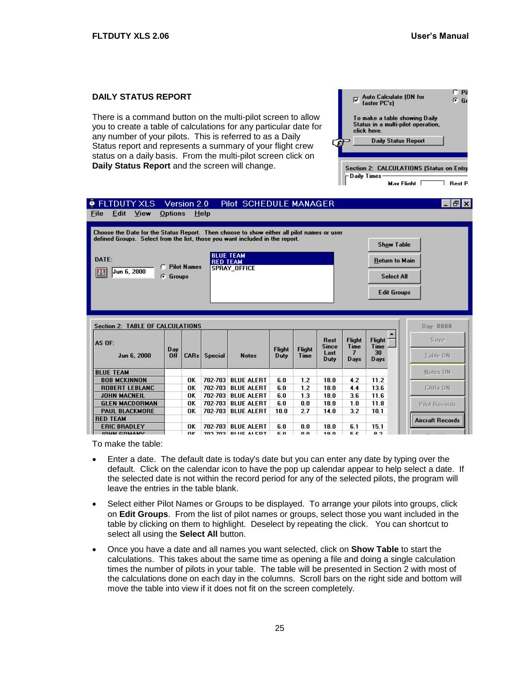Auto Calculate (ON for

To make a table showing Daily Status in a multi-pilot operation,

**Daily Status Report** 

Section 2: CALCULATIONS (Status on Entry

Max Flinht  $\Gamma$ 

 $\nabla$  Auto Calcula<br>faster PC's)

click here

Daily Times

C Pi

 $\overline{G}$  Gr

 $\overline{\phantom{a}}$  Rest P

#### <span id="page-28-0"></span>**DAILY STATUS REPORT**

There is a command button on the multi-pilot screen to allow you to create a table of calculations for any particular date for any number of your pilots. This is referred to as a Daily Status report and represents a summary of your flight crew status on a daily basis. From the multi-pilot screen click on **Daily Status Report** and the screen will change.

| <b>• FLTDUTY XLS</b><br>View<br>Edit<br>File                                                                                                                              | Options    | Version 2.0        | Help               | Pilot SCHEDULE MANAGER                 |                       |                       |                                             |                                    |                                     | Ð<br>l x                |
|---------------------------------------------------------------------------------------------------------------------------------------------------------------------------|------------|--------------------|--------------------|----------------------------------------|-----------------------|-----------------------|---------------------------------------------|------------------------------------|-------------------------------------|-------------------------|
| Choose the Date for the Status Report. Then choose to show either all pilot names or user<br>defined Groups. Select from the list, those you want included in the report. |            |                    |                    |                                        |                       |                       |                                             |                                    | <b>Show Table</b>                   |                         |
| DATE:                                                                                                                                                                     |            |                    | <b>RED TEAM</b>    | <b>BLUE TEAM</b>                       |                       |                       |                                             |                                    | Return to Main                      |                         |
| O<br>Jun 6, 2000<br>匷                                                                                                                                                     | G Groups   | <b>Pilot Names</b> |                    | <b>SPRAY OFFICE</b>                    |                       |                       |                                             |                                    | <b>Select All</b>                   |                         |
|                                                                                                                                                                           |            |                    |                    |                                        |                       |                       |                                             |                                    | <b>Edit Groups</b>                  |                         |
|                                                                                                                                                                           |            |                    |                    |                                        |                       |                       |                                             |                                    |                                     |                         |
| <b>Section 2: TABLE OF CALCULATIONS</b>                                                                                                                                   |            |                    |                    |                                        |                       |                       |                                             |                                    |                                     | Day ####                |
| AS OF:<br>Jun 6, 2000                                                                                                                                                     | Day<br>Off | CAR <sub>s</sub>   | <b>Special</b>     | <b>Notes</b>                           | <b>Flight</b><br>Duty | <b>Flight</b><br>Time | <b>Rest</b><br><b>Since</b><br>Last<br>Duty | <b>Flight</b><br>Time<br>7<br>Days | <b>Flight</b><br>Time<br>30<br>Days | Save<br><b>Table ON</b> |
| <b>BLUE TEAM</b>                                                                                                                                                          |            |                    |                    |                                        |                       |                       |                                             |                                    |                                     | Notes ON                |
| <b>BOB MCKINNON</b>                                                                                                                                                       |            | OK                 | 702-703            | <b>BLUE ALERT</b>                      | 6.0                   | 1.2                   | 18.0                                        | 4.2                                | 11.2                                |                         |
| <b>ROBERT LEBLANC</b>                                                                                                                                                     |            | OK                 | 702-703            | <b>BLUE ALERT</b>                      | 6.0                   | 1.2                   | 18.0                                        | 4.4                                | 13.6                                | <b>CARs ON</b>          |
| <b>JOHN MACNEIL</b><br><b>GLEN MACDORMAN</b>                                                                                                                              |            | ΩK<br>OK           | 702-703<br>702-703 | <b>BLUE ALERT</b><br><b>BLUE ALERT</b> | 6.0<br>6.0            | 1.3<br>0.0            | 18.0<br>18.0                                | 3.6<br>1.0                         | 11.6<br>11.8                        |                         |
| <b>PAUL BLACKMORE</b>                                                                                                                                                     |            | ΠK                 | 702-703            | <b>BLUE ALERT</b>                      | 10.0                  | 2.7                   | 14.0                                        | 3.2                                | 10.1                                | <b>Pilot Records</b>    |
| <b>RED TEAM</b>                                                                                                                                                           |            |                    |                    |                                        |                       |                       |                                             |                                    |                                     | <b>Aircraft Records</b> |
| <b>ERIC BRADLEY</b>                                                                                                                                                       |            | OK                 | 702-703            | <b>BLUE ALERT</b>                      | 6.0                   | 0.0                   | 18.0                                        | 6.1                                | 15.1                                |                         |
| <b>IOUN COMANY</b>                                                                                                                                                        |            | ΠK                 |                    | 702 702 DI HE ALEDT                    | бn                    | n n                   | 10 0                                        | БC.                                | 0.2                                 |                         |

To make the table:

- Enter a date. The default date is today's date but you can enter any date by typing over the default. Click on the calendar icon to have the pop up calendar appear to help select a date. If the selected date is not within the record period for any of the selected pilots, the program will leave the entries in the table blank.
- Select either Pilot Names or Groups to be displayed. To arrange your pilots into groups, click on **Edit Groups**. From the list of pilot names or groups, select those you want included in the table by clicking on them to highlight. Deselect by repeating the click. You can shortcut to select all using the **Select All** button.
- Once you have a date and all names you want selected, click on **Show Table** to start the calculations. This takes about the same time as opening a file and doing a single calculation times the number of pilots in your table. The table will be presented in Section 2 with most of the calculations done on each day in the columns. Scroll bars on the right side and bottom will move the table into view if it does not fit on the screen completely.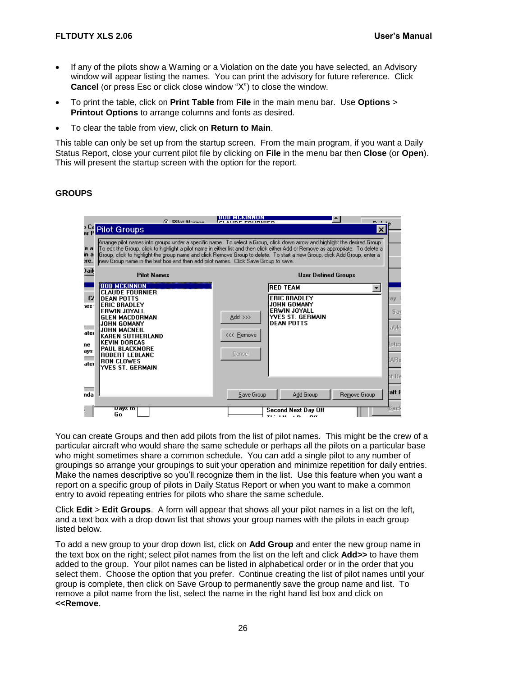- If any of the pilots show a Warning or a Violation on the date you have selected, an Advisory window will appear listing the names. You can print the advisory for future reference. Click **Cancel** (or press Esc or click close window "X") to close the window.
- To print the table, click on **Print Table** from **File** in the main menu bar. Use **Options** > **Printout Options** to arrange columns and fonts as desired.
- To clear the table from view, click on **Return to Main**.

This table can only be set up from the startup screen. From the main program, if you want a Daily Status Report, close your current pilot file by clicking on **File** in the menu bar then **Close** (or **Open**). This will present the startup screen with the option for the report.

#### <span id="page-29-0"></span>**GROUPS**

|                                               | <b>G. Dilot Mamoo</b>                                                                                                                                                                                                                                                                                          | IBUB MCKINNUN<br>$\sim$ $\sim$                                                                                                                                                                                                                                                                                                                                                                 |     |
|-----------------------------------------------|----------------------------------------------------------------------------------------------------------------------------------------------------------------------------------------------------------------------------------------------------------------------------------------------------------------|------------------------------------------------------------------------------------------------------------------------------------------------------------------------------------------------------------------------------------------------------------------------------------------------------------------------------------------------------------------------------------------------|-----|
|                                               | <b>Pilot Groups</b>                                                                                                                                                                                                                                                                                            | $\vert x \vert$                                                                                                                                                                                                                                                                                                                                                                                |     |
| e a<br>ın a<br>нe.                            | new Group name in the text box and then add pilot names. Click Save Group to save.                                                                                                                                                                                                                             | Arrange pilot names into groups under a specific name. To select a Group, click down arrow and highlight the desired Group.<br>To edit the Group, click to highlight a pilot name in either list and then click either Add or Remove as appropriate. To delete a<br>(Group, click to highlight the group name and click Remove Group to delete. To start a new Group, click Add Group, enter a |     |
| ) ail:                                        | <b>Pilot Names</b>                                                                                                                                                                                                                                                                                             | <b>User Defined Groups</b>                                                                                                                                                                                                                                                                                                                                                                     |     |
| $\alpha$<br>les.<br>ater<br>ne<br>ays<br>ater | <b>BOB MCKINNON</b><br><b>CLAUDE FOURNIER</b><br><b>DEAN POTTS</b><br><b>ERIC BRADLEY</b><br>ERWIN JOYALL<br><b>GLEN MACDORMAN</b><br>JOHN GOMANY<br>JOHN MACNEIL<br><b>KAREN SUTHERLAND</b><br><b>KEVIN DORCAS</b><br>PAUL BLACKMORE<br><b>ROBERT LEBLANC</b><br><b>RON CLOWES</b><br><b>YVES ST. GERMAIN</b> | <b>RED TEAM</b><br><b>ERIC BRADLEY</b><br>ay<br><b>JOHN GOMANY</b><br>ERWIN JOYALL<br>Add >>><br><b>YVES ST. GERMAIN</b><br><b>DEAN POTTS</b><br>lable<br><<< Remove<br>lotes<br>Cancel<br>AR <sub>s</sub><br>at Re                                                                                                                                                                            | Sas |
| nda                                           |                                                                                                                                                                                                                                                                                                                | aft F<br>Save Group<br>Add Group<br>Remove Group                                                                                                                                                                                                                                                                                                                                               |     |
|                                               | एवण्ड रठ<br>Go                                                                                                                                                                                                                                                                                                 | Back<br>Second Next Day Off<br>n ee                                                                                                                                                                                                                                                                                                                                                            |     |

You can create Groups and then add pilots from the list of pilot names. This might be the crew of a particular aircraft who would share the same schedule or perhaps all the pilots on a particular base who might sometimes share a common schedule. You can add a single pilot to any number of groupings so arrange your groupings to suit your operation and minimize repetition for daily entries. Make the names descriptive so you'll recognize them in the list. Use this feature when you want a report on a specific group of pilots in Daily Status Report or when you want to make a common entry to avoid repeating entries for pilots who share the same schedule.

Click **Edit** > **Edit Groups**. A form will appear that shows all your pilot names in a list on the left, and a text box with a drop down list that shows your group names with the pilots in each group listed below.

To add a new group to your drop down list, click on **Add Group** and enter the new group name in the text box on the right; select pilot names from the list on the left and click **Add>>** to have them added to the group. Your pilot names can be listed in alphabetical order or in the order that you select them. Choose the option that you prefer. Continue creating the list of pilot names until your group is complete, then click on Save Group to permanently save the group name and list. To remove a pilot name from the list, select the name in the right hand list box and click on **<<Remove**.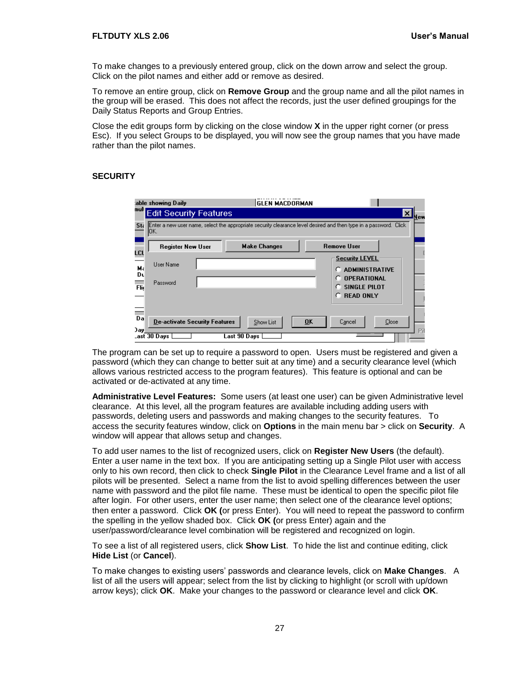#### **FLTDUTY XLS 2.06 User's Manual**

To make changes to a previously entered group, click on the down arrow and select the group. Click on the pilot names and either add or remove as desired.

To remove an entire group, click on **Remove Group** and the group name and all the pilot names in the group will be erased. This does not affect the records, just the user defined groupings for the Daily Status Reports and Group Entries.

Close the edit groups form by clicking on the close window **X** in the upper right corner (or press Esc). If you select Groups to be displayed, you will now see the group names that you have made rather than the pilot names.

#### <span id="page-30-0"></span>**SECURITY**

| able showing Daily:                             | <b>GLEN MACDORMAN</b>                                                                                             |                                                |
|-------------------------------------------------|-------------------------------------------------------------------------------------------------------------------|------------------------------------------------|
| muli j<br><b>Edit Security Features</b>         |                                                                                                                   | ×<br>New                                       |
| Sta<br>JOK.                                     | Enter a new user name, select the appropriate security clearance level desired and then type in a password. Click |                                                |
| <b>Register New User</b><br>LCL                 | <b>Make Changes</b>                                                                                               | <b>Remove User</b>                             |
| User Name<br>Мá                                 |                                                                                                                   | <b>Security LEVEL</b><br><b>ADMINISTRATIVE</b> |
| Dυ<br>Password<br>Flic                          |                                                                                                                   | <b>OPERATIONAL</b><br>n<br>SINGLE PILOT        |
|                                                 |                                                                                                                   | <b>READ ONLY</b><br>n                          |
| ÷<br>Da<br><b>De-activate Security Features</b> | $\overline{\mathbf{0}}$ K<br><b>Show List</b>                                                                     | Close<br>Cancel                                |
| ) av<br>_ast 30 Days                            | Last 90 Days                                                                                                      | Př                                             |

The program can be set up to require a password to open. Users must be registered and given a password (which they can change to better suit at any time) and a security clearance level (which allows various restricted access to the program features). This feature is optional and can be activated or de-activated at any time.

**Administrative Level Features:** Some users (at least one user) can be given Administrative level clearance. At this level, all the program features are available including adding users with passwords, deleting users and passwords and making changes to the security features. To access the security features window, click on **Options** in the main menu bar > click on **Security**. A window will appear that allows setup and changes.

To add user names to the list of recognized users, click on **Register New Users** (the default). Enter a user name in the text box. If you are anticipating setting up a Single Pilot user with access only to his own record, then click to check **Single Pilot** in the Clearance Level frame and a list of all pilots will be presented. Select a name from the list to avoid spelling differences between the user name with password and the pilot file name. These must be identical to open the specific pilot file after login. For other users, enter the user name; then select one of the clearance level options; then enter a password. Click **OK (**or press Enter). You will need to repeat the password to confirm the spelling in the yellow shaded box. Click **OK (**or press Enter) again and the user/password/clearance level combination will be registered and recognized on login.

To see a list of all registered users, click **Show List**. To hide the list and continue editing, click **Hide List** (or **Cancel**).

To make changes to existing users' passwords and clearance levels, click on **Make Changes**. A list of all the users will appear; select from the list by clicking to highlight (or scroll with up/down arrow keys); click **OK**. Make your changes to the password or clearance level and click **OK**.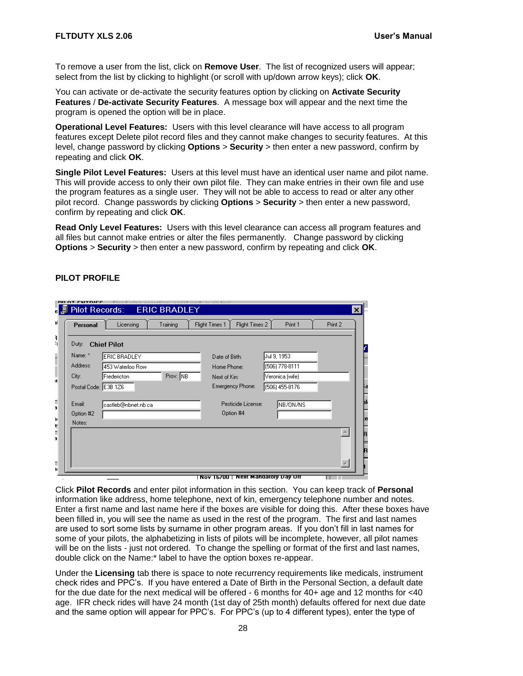To remove a user from the list, click on **Remove User**. The list of recognized users will appear; select from the list by clicking to highlight (or scroll with up/down arrow keys); click **OK**.

You can activate or de-activate the security features option by clicking on **Activate Security Features** / **De-activate Security Features**. A message box will appear and the next time the program is opened the option will be in place.

**Operational Level Features:** Users with this level clearance will have access to all program features except Delete pilot record files and they cannot make changes to security features. At this level, change password by clicking **Options** > **Security** > then enter a new password, confirm by repeating and click **OK**.

**Single Pilot Level Features:** Users at this level must have an identical user name and pilot name. This will provide access to only their own pilot file. They can make entries in their own file and use the program features as a single user. They will not be able to access to read or alter any other pilot record. Change passwords by clicking **Options** > **Security** > then enter a new password, confirm by repeating and click **OK**.

**Read Only Level Features:** Users with this level clearance can access all program features and all files but cannot make entries or alter the files permanently. Change password by clicking **Options** > **Security** > then enter a new password, confirm by repeating and click **OK**.

#### <span id="page-31-0"></span>**PILOT PROFILE**

| DU OT CNTDICC        | Pilot Records: ERIC BRADLEY |                                      |                  | $\vert x \vert$ |
|----------------------|-----------------------------|--------------------------------------|------------------|-----------------|
| Personal             | Licensing<br>Training       | Flight Times 2<br>Flight Times 1     | Print 1          | Print 2         |
| Duty:                | <b>Chief Pilot</b>          |                                      |                  |                 |
| Name: *              | ERIC BRADLEY                | Date of Birth:                       | Jul 9, 1953      |                 |
| Address:             | 453 Waterloo Row            | Home Phone:                          | (506) 778-8111   |                 |
| City:                | Prov: NB<br>Fredericton     | Next of Kin:                         | Veronica (wife)  |                 |
| Postal Code: E3B 1Z6 |                             | <b>Emergency Phone:</b>              | $(506)$ 455-8176 |                 |
| Email:               | castleb@nbnet.nb.ca         | Pesticide License:                   | NB/ON/NS         |                 |
| Option #2            |                             | Option #4                            |                  |                 |
| Notes:               |                             |                                      |                  |                 |
|                      |                             |                                      |                  |                 |
|                      |                             |                                      |                  |                 |
|                      |                             |                                      |                  |                 |
|                      |                             |                                      |                  |                 |
|                      |                             | Nov   b/00   "Next Mandatory Day Off |                  |                 |

Click **Pilot Records** and enter pilot information in this section. You can keep track of **Personal** information like address, home telephone, next of kin, emergency telephone number and notes. Enter a first name and last name here if the boxes are visible for doing this. After these boxes have been filled in, you will see the name as used in the rest of the program. The first and last names are used to sort some lists by surname in other program areas. If you don't fill in last names for some of your pilots, the alphabetizing in lists of pilots will be incomplete, however, all pilot names will be on the lists - just not ordered. To change the spelling or format of the first and last names, double click on the Name:\* label to have the option boxes re-appear.

Under the **Licensing** tab there is space to note recurrency requirements like medicals, instrument check rides and PPC's. If you have entered a Date of Birth in the Personal Section, a default date for the due date for the next medical will be offered - 6 months for 40+ age and 12 months for <40 age. IFR check rides will have 24 month (1st day of 25th month) defaults offered for next due date and the same option will appear for PPC's. For PPC's (up to 4 different types), enter the type of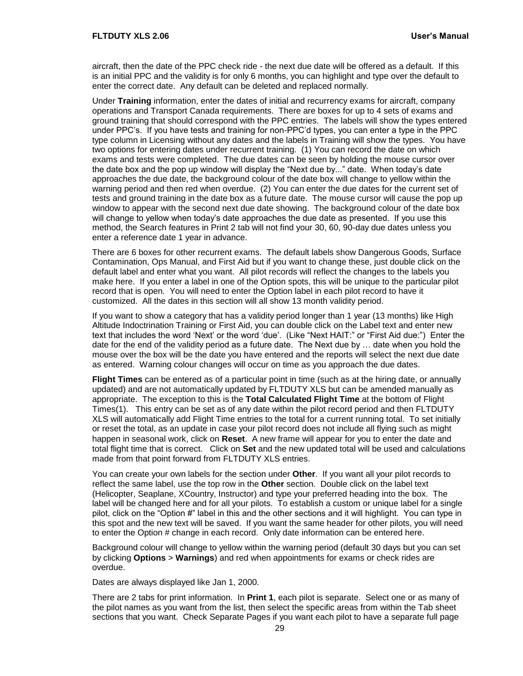aircraft, then the date of the PPC check ride - the next due date will be offered as a default. If this is an initial PPC and the validity is for only 6 months, you can highlight and type over the default to enter the correct date. Any default can be deleted and replaced normally.

Under **Training** information, enter the dates of initial and recurrency exams for aircraft, company operations and Transport Canada requirements. There are boxes for up to 4 sets of exams and ground training that should correspond with the PPC entries. The labels will show the types entered under PPC's. If you have tests and training for non-PPC'd types, you can enter a type in the PPC type column in Licensing without any dates and the labels in Training will show the types. You have two options for entering dates under recurrent training. (1) You can record the date on which exams and tests were completed. The due dates can be seen by holding the mouse cursor over the date box and the pop up window will display the "Next due by..." date. When today's date approaches the due date, the background colour of the date box will change to yellow within the warning period and then red when overdue. (2) You can enter the due dates for the current set of tests and ground training in the date box as a future date. The mouse cursor will cause the pop up window to appear with the second next due date showing. The background colour of the date box will change to yellow when today's date approaches the due date as presented. If you use this method, the Search features in Print 2 tab will not find your 30, 60, 90-day due dates unless you enter a reference date 1 year in advance.

There are 6 boxes for other recurrent exams. The default labels show Dangerous Goods, Surface Contamination, Ops Manual, and First Aid but if you want to change these, just double click on the default label and enter what you want. All pilot records will reflect the changes to the labels you make here. If you enter a label in one of the Option spots, this will be unique to the particular pilot record that is open. You will need to enter the Option label in each pilot record to have it customized. All the dates in this section will all show 13 month validity period.

If you want to show a category that has a validity period longer than 1 year (13 months) like High Altitude Indoctrination Training or First Aid, you can double click on the Label text and enter new text that includes the word 'Next' or the word 'due'. (Like "Next HAIT:" or "First Aid due:") Enter the date for the end of the validity period as a future date. The Next due by … date when you hold the mouse over the box will be the date you have entered and the reports will select the next due date as entered. Warning colour changes will occur on time as you approach the due dates.

**Flight Times** can be entered as of a particular point in time (such as at the hiring date, or annually updated) and are not automatically updated by FLTDUTY XLS but can be amended manually as appropriate. The exception to this is the **Total Calculated Flight Time** at the bottom of Flight Times(1). This entry can be set as of any date within the pilot record period and then FLTDUTY XLS will automatically add Flight Time entries to the total for a current running total. To set initially or reset the total, as an update in case your pilot record does not include all flying such as might happen in seasonal work, click on **Reset**. A new frame will appear for you to enter the date and total flight time that is correct. Click on **Set** and the new updated total will be used and calculations made from that point forward from FLTDUTY XLS entries.

You can create your own labels for the section under **Other**. If you want all your pilot records to reflect the same label, use the top row in the **Other** section. Double click on the label text (Helicopter, Seaplane, XCountry, Instructor) and type your preferred heading into the box. The label will be changed here and for all your pilots. To establish a custom or unique label for a single pilot, click on the "Option #" label in this and the other sections and it will highlight. You can type in this spot and the new text will be saved. If you want the same header for other pilots, you will need to enter the Option # change in each record. Only date information can be entered here.

Background colour will change to yellow within the warning period (default 30 days but you can set by clicking **Options** > **Warnings**) and red when appointments for exams or check rides are overdue.

Dates are always displayed like Jan 1, 2000.

There are 2 tabs for print information. In **Print 1**, each pilot is separate. Select one or as many of the pilot names as you want from the list, then select the specific areas from within the Tab sheet sections that you want. Check Separate Pages if you want each pilot to have a separate full page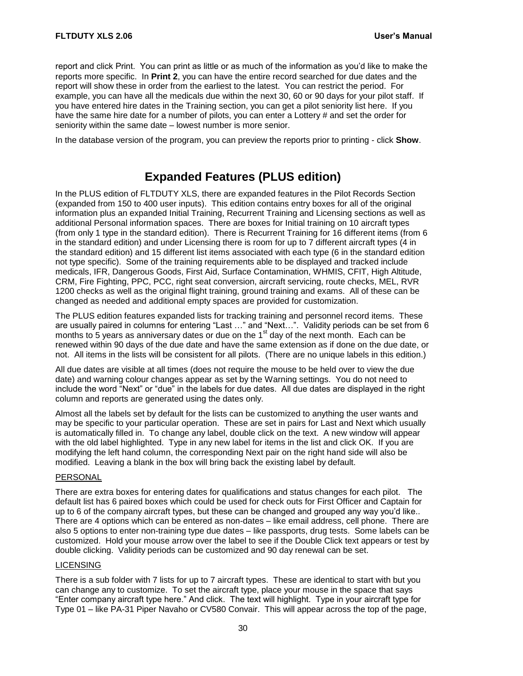report and click Print. You can print as little or as much of the information as you'd like to make the reports more specific. In **Print 2**, you can have the entire record searched for due dates and the report will show these in order from the earliest to the latest. You can restrict the period. For example, you can have all the medicals due within the next 30, 60 or 90 days for your pilot staff. If you have entered hire dates in the Training section, you can get a pilot seniority list here. If you have the same hire date for a number of pilots, you can enter a Lottery # and set the order for seniority within the same date – lowest number is more senior.

In the database version of the program, you can preview the reports prior to printing - click **Show**.

# **Expanded Features (PLUS edition)**

In the PLUS edition of FLTDUTY XLS, there are expanded features in the Pilot Records Section (expanded from 150 to 400 user inputs). This edition contains entry boxes for all of the original information plus an expanded Initial Training, Recurrent Training and Licensing sections as well as additional Personal information spaces. There are boxes for Initial training on 10 aircraft types (from only 1 type in the standard edition). There is Recurrent Training for 16 different items (from 6 in the standard edition) and under Licensing there is room for up to 7 different aircraft types (4 in the standard edition) and 15 different list items associated with each type (6 in the standard edition not type specific). Some of the training requirements able to be displayed and tracked include medicals, IFR, Dangerous Goods, First Aid, Surface Contamination, WHMIS, CFIT, High Altitude, CRM, Fire Fighting, PPC, PCC, right seat conversion, aircraft servicing, route checks, MEL, RVR 1200 checks as well as the original flight training, ground training and exams. All of these can be changed as needed and additional empty spaces are provided for customization.

The PLUS edition features expanded lists for tracking training and personnel record items. These are usually paired in columns for entering "Last …" and "Next…". Validity periods can be set from 6 months to 5 years as anniversary dates or due on the  $1<sup>st</sup>$  day of the next month. Each can be renewed within 90 days of the due date and have the same extension as if done on the due date, or not. All items in the lists will be consistent for all pilots. (There are no unique labels in this edition.)

All due dates are visible at all times (does not require the mouse to be held over to view the due date) and warning colour changes appear as set by the Warning settings. You do not need to include the word "Next" or "due" in the labels for due dates. All due dates are displayed in the right column and reports are generated using the dates only.

Almost all the labels set by default for the lists can be customized to anything the user wants and may be specific to your particular operation. These are set in pairs for Last and Next which usually is automatically filled in. To change any label, double click on the text. A new window will appear with the old label highlighted. Type in any new label for items in the list and click OK. If you are modifying the left hand column, the corresponding Next pair on the right hand side will also be modified. Leaving a blank in the box will bring back the existing label by default.

#### PERSONAL

There are extra boxes for entering dates for qualifications and status changes for each pilot. The default list has 6 paired boxes which could be used for check outs for First Officer and Captain for up to 6 of the company aircraft types, but these can be changed and grouped any way you'd like.. There are 4 options which can be entered as non-dates – like email address, cell phone. There are also 5 options to enter non-training type due dates – like passports, drug tests. Some labels can be customized. Hold your mouse arrow over the label to see if the Double Click text appears or test by double clicking. Validity periods can be customized and 90 day renewal can be set.

#### LICENSING

There is a sub folder with 7 lists for up to 7 aircraft types. These are identical to start with but you can change any to customize. To set the aircraft type, place your mouse in the space that says "Enter company aircraft type here." And click. The text will highlight. Type in your aircraft type for Type 01 – like PA-31 Piper Navaho or CV580 Convair. This will appear across the top of the page,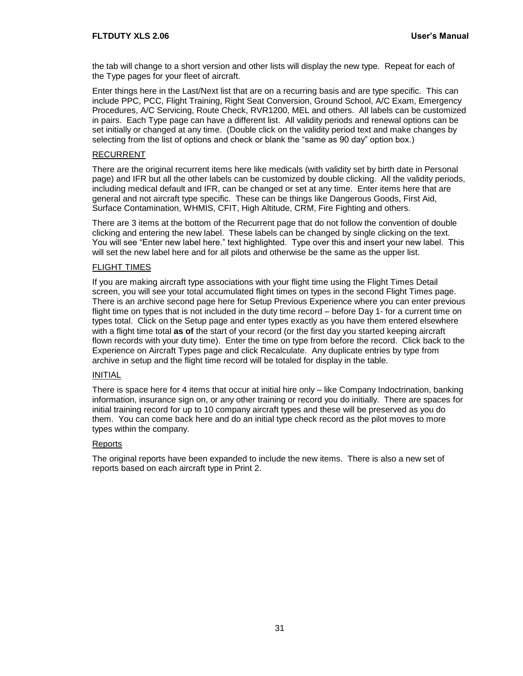the tab will change to a short version and other lists will display the new type. Repeat for each of the Type pages for your fleet of aircraft.

Enter things here in the Last/Next list that are on a recurring basis and are type specific. This can include PPC, PCC, Flight Training, Right Seat Conversion, Ground School, A/C Exam, Emergency Procedures, A/C Servicing, Route Check, RVR1200, MEL and others. All labels can be customized in pairs. Each Type page can have a different list. All validity periods and renewal options can be set initially or changed at any time. (Double click on the validity period text and make changes by selecting from the list of options and check or blank the "same as 90 day" option box.)

#### RECURRENT

There are the original recurrent items here like medicals (with validity set by birth date in Personal page) and IFR but all the other labels can be customized by double clicking. All the validity periods, including medical default and IFR, can be changed or set at any time. Enter items here that are general and not aircraft type specific. These can be things like Dangerous Goods, First Aid, Surface Contamination, WHMIS, CFIT, High Altitude, CRM, Fire Fighting and others.

There are 3 items at the bottom of the Recurrent page that do not follow the convention of double clicking and entering the new label. These labels can be changed by single clicking on the text. You will see "Enter new label here." text highlighted. Type over this and insert your new label. This will set the new label here and for all pilots and otherwise be the same as the upper list.

#### FLIGHT TIMES

If you are making aircraft type associations with your flight time using the Flight Times Detail screen, you will see your total accumulated flight times on types in the second Flight Times page. There is an archive second page here for Setup Previous Experience where you can enter previous flight time on types that is not included in the duty time record – before Day 1- for a current time on types total. Click on the Setup page and enter types exactly as you have them entered elsewhere with a flight time total **as of** the start of your record (or the first day you started keeping aircraft flown records with your duty time). Enter the time on type from before the record. Click back to the Experience on Aircraft Types page and click Recalculate. Any duplicate entries by type from archive in setup and the flight time record will be totaled for display in the table.

#### INITIAL

There is space here for 4 items that occur at initial hire only – like Company Indoctrination, banking information, insurance sign on, or any other training or record you do initially. There are spaces for initial training record for up to 10 company aircraft types and these will be preserved as you do them. You can come back here and do an initial type check record as the pilot moves to more types within the company.

#### **Reports**

The original reports have been expanded to include the new items. There is also a new set of reports based on each aircraft type in Print 2.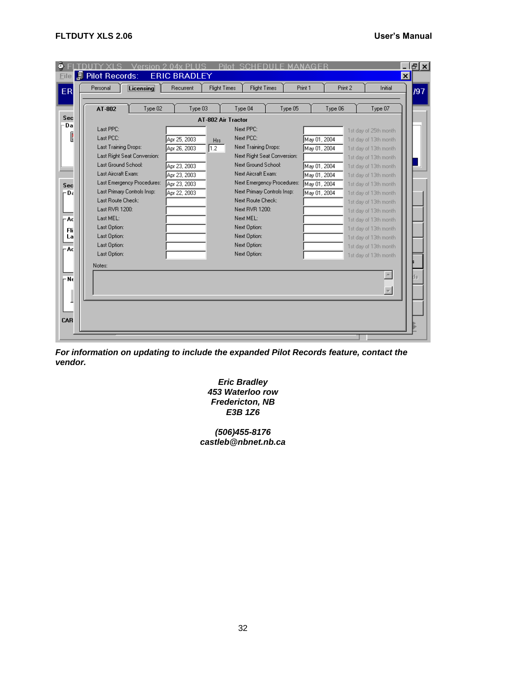| AT-802                      | Type 02      | Type 03            | Type 04                     | Type 05                    |              | Type 06 | Type 07               |
|-----------------------------|--------------|--------------------|-----------------------------|----------------------------|--------------|---------|-----------------------|
|                             |              | AT-802 Air Tractor |                             |                            |              |         |                       |
| Last PPC:                   |              |                    | Next PPC:                   |                            |              |         | 1st day of 25th month |
| Last PCC:                   | Apr 25, 2003 | Hrs                | Next PCC:                   |                            | May 01, 2004 |         | 1st day of 13th month |
| Last Training Drops:        | Apr 26, 2003 | 1.2                | Next Training Drops:        |                            | May 01, 2004 |         | 1st day of 13th month |
| Last Right Seat Conversion: |              |                    | Next Right Seat Conversion: |                            |              |         | 1st day of 13th month |
| Last Ground School:         | Apr 23, 2003 |                    | Next Ground School:         |                            | May 01, 2004 |         | 1st day of 13th month |
| Last Aircraft Exam:         | Apr 23, 2003 |                    | Next Aircraft Exam:         |                            | May 01, 2004 |         | 1st day of 13th month |
| Last Emergency Procedures:  | Apr 23, 2003 |                    |                             | Next Emergency Procedures: | May 01, 2004 |         | 1st day of 13th month |
| Last Primary Controls Insp: | Apr 22, 2003 |                    | Next Primary Controls Insp: |                            | May 01, 2004 |         | 1st day of 13th month |
| Last Route Check:           |              |                    | Next Route Check:           |                            |              |         | 1st day of 13th month |
| Last RVR 1200:              |              |                    | Next RVR 1200:              |                            |              |         | 1st day of 13th month |
| Last MEL:                   |              |                    | Next MEL:                   |                            |              |         | 1st day of 13th month |
| Last Option:                |              |                    | Next Option:                |                            |              |         | 1st day of 13th month |
| Last Option:                |              |                    | Next Option:                |                            |              |         | 1st day of 13th month |
| Last Option:                |              |                    | Next Option:                |                            |              |         | 1st day of 13th month |
| Last Option:                |              |                    | Next Option:                |                            |              |         | 1st day of 13th month |
| Notes:                      |              |                    |                             |                            |              |         |                       |
|                             |              |                    |                             |                            |              |         |                       |
|                             |              |                    |                             |                            |              |         |                       |
|                             |              |                    |                             |                            |              |         | $\overline{\nabla}$   |

<span id="page-35-0"></span>*For information on updating to include the expanded Pilot Records feature, contact the vendor.*

> *Eric Bradley 453 Waterloo row Fredericton, NB E3B 1Z6*

*(506)455-8176 castleb@nbnet.nb.ca*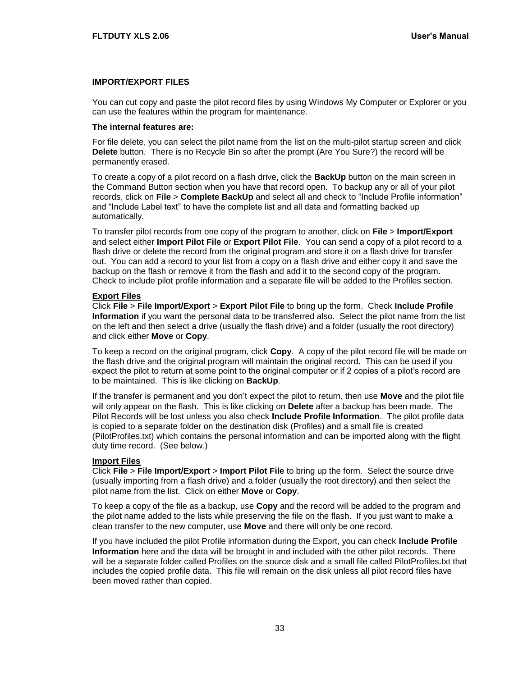#### **IMPORT/EXPORT FILES**

You can cut copy and paste the pilot record files by using Windows My Computer or Explorer or you can use the features within the program for maintenance.

#### **The internal features are:**

For file delete, you can select the pilot name from the list on the multi-pilot startup screen and click **Delete** button. There is no Recycle Bin so after the prompt (Are You Sure?) the record will be permanently erased.

To create a copy of a pilot record on a flash drive, click the **BackUp** button on the main screen in the Command Button section when you have that record open. To backup any or all of your pilot records, click on **File** > **Complete BackUp** and select all and check to "Include Profile information" and "Include Label text" to have the complete list and all data and formatting backed up automatically.

To transfer pilot records from one copy of the program to another, click on **File** > **Import/Export** and select either **Import Pilot File** or **Export Pilot File**. You can send a copy of a pilot record to a flash drive or delete the record from the original program and store it on a flash drive for transfer out. You can add a record to your list from a copy on a flash drive and either copy it and save the backup on the flash or remove it from the flash and add it to the second copy of the program. Check to include pilot profile information and a separate file will be added to the Profiles section.

#### **Export Files**

Click **File** > **File Import/Export** > **Export Pilot File** to bring up the form. Check **Include Profile Information** if you want the personal data to be transferred also. Select the pilot name from the list on the left and then select a drive (usually the flash drive) and a folder (usually the root directory) and click either **Move** or **Copy**.

To keep a record on the original program, click **Copy**. A copy of the pilot record file will be made on the flash drive and the original program will maintain the original record. This can be used if you expect the pilot to return at some point to the original computer or if 2 copies of a pilot's record are to be maintained. This is like clicking on **BackUp**.

If the transfer is permanent and you don't expect the pilot to return, then use **Move** and the pilot file will only appear on the flash. This is like clicking on **Delete** after a backup has been made. The Pilot Records will be lost unless you also check **Include Profile Information**. The pilot profile data is copied to a separate folder on the destination disk (Profiles) and a small file is created (PilotProfiles.txt) which contains the personal information and can be imported along with the flight duty time record. (See below.)

#### **Import Files**

Click **File** > **File Import/Export** > **Import Pilot File** to bring up the form. Select the source drive (usually importing from a flash drive) and a folder (usually the root directory) and then select the pilot name from the list. Click on either **Move** or **Copy**.

To keep a copy of the file as a backup, use **Copy** and the record will be added to the program and the pilot name added to the lists while preserving the file on the flash. If you just want to make a clean transfer to the new computer, use **Move** and there will only be one record.

If you have included the pilot Profile information during the Export, you can check **Include Profile Information** here and the data will be brought in and included with the other pilot records. There will be a separate folder called Profiles on the source disk and a small file called PilotProfiles.txt that includes the copied profile data. This file will remain on the disk unless all pilot record files have been moved rather than copied.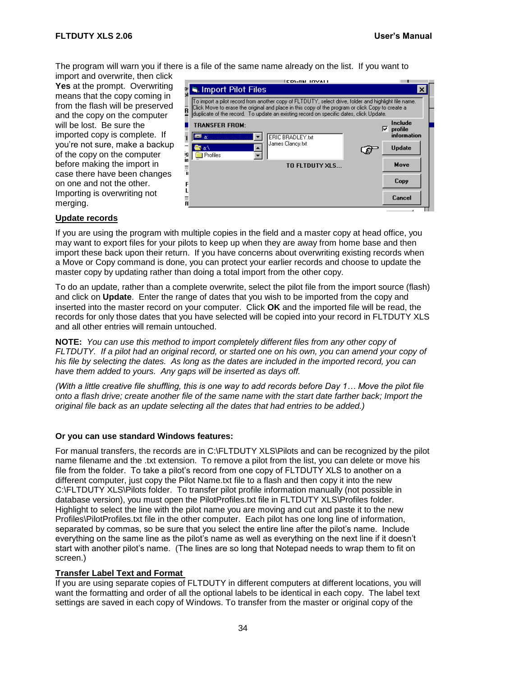The program will warn you if there is a file of the same name already on the list. If you want to

import and overwrite, then click Yes at the prompt. Overwriting means that the copy coming in from the flash will be preserved and the copy on the computer will be lost. Be sure the imported copy is complete. If you're not sure, make a backup of the copy on the computer before making the import in case there have been changes on one and not the other. Importing is overwriting not merging.

|          | <b>ICDMAN INVALI</b>                                                                                                                                                                                                                                                                               |                         |
|----------|----------------------------------------------------------------------------------------------------------------------------------------------------------------------------------------------------------------------------------------------------------------------------------------------------|-------------------------|
|          | ≋. Import Pilot Files                                                                                                                                                                                                                                                                              |                         |
| R        | To import a pilot record from another copy of FLTDUTY, select drive, folder and highlight file name.<br>Click Move to erase the original and place in this copy of the program or click Copy to create a<br>duplicate of the record. To update an existing record on specific dates, click Update. |                         |
|          | TRANSFER FROM:                                                                                                                                                                                                                                                                                     | Include<br>⊽<br>profile |
|          | ERIC BRADLEY.txt<br>la:                                                                                                                                                                                                                                                                            | information             |
| وا<br>in | James Clancy.txt<br>la:\<br>Profiles                                                                                                                                                                                                                                                               | <b>Update</b>           |
|          | TO FLTDUTY XLS                                                                                                                                                                                                                                                                                     | Move                    |
|          |                                                                                                                                                                                                                                                                                                    | Copy                    |
|          |                                                                                                                                                                                                                                                                                                    | Cancel                  |

#### **Update records**

If you are using the program with multiple copies in the field and a master copy at head office, you may want to export files for your pilots to keep up when they are away from home base and then import these back upon their return. If you have concerns about overwriting existing records when a Move or Copy command is done, you can protect your earlier records and choose to update the master copy by updating rather than doing a total import from the other copy.

To do an update, rather than a complete overwrite, select the pilot file from the import source (flash) and click on **Update**. Enter the range of dates that you wish to be imported from the copy and inserted into the master record on your computer. Click **OK** and the imported file will be read, the records for only those dates that you have selected will be copied into your record in FLTDUTY XLS and all other entries will remain untouched.

**NOTE:** *You can use this method to import completely different files from any other copy of FLTDUTY. If a pilot had an original record, or started one on his own, you can amend your copy of his file by selecting the dates. As long as the dates are included in the imported record, you can have them added to yours. Any gaps will be inserted as days off.* 

*(With a little creative file shuffling, this is one way to add records before Day 1… Move the pilot file onto a flash drive; create another file of the same name with the start date farther back; Import the original file back as an update selecting all the dates that had entries to be added.)* 

#### **Or you can use standard Windows features:**

For manual transfers, the records are in C:\FLTDUTY XLS\Pilots and can be recognized by the pilot name filename and the .txt extension. To remove a pilot from the list, you can delete or move his file from the folder. To take a pilot's record from one copy of FLTDUTY XLS to another on a different computer, just copy the Pilot Name.txt file to a flash and then copy it into the new C:\FLTDUTY XLS\Pilots folder. To transfer pilot profile information manually (not possible in database version), you must open the PilotProfiles.txt file in FLTDUTY XLS\Profiles folder. Highlight to select the line with the pilot name you are moving and cut and paste it to the new Profiles\PilotProfiles.txt file in the other computer. Each pilot has one long line of information, separated by commas, so be sure that you select the entire line after the pilot's name. Include everything on the same line as the pilot's name as well as everything on the next line if it doesn't start with another pilot's name. (The lines are so long that Notepad needs to wrap them to fit on screen.)

#### **Transfer Label Text and Format**

If you are using separate copies of FLTDUTY in different computers at different locations, you will want the formatting and order of all the optional labels to be identical in each copy. The label text settings are saved in each copy of Windows. To transfer from the master or original copy of the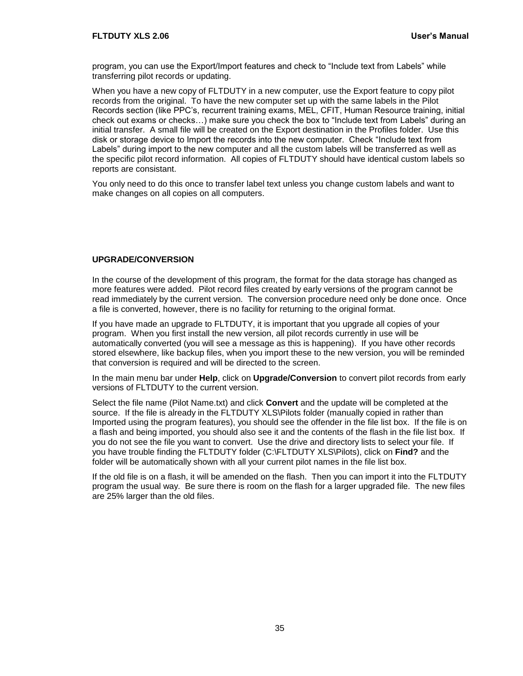program, you can use the Export/Import features and check to "Include text from Labels" while transferring pilot records or updating.

When you have a new copy of FLTDUTY in a new computer, use the Export feature to copy pilot records from the original. To have the new computer set up with the same labels in the Pilot Records section (like PPC's, recurrent training exams, MEL, CFIT, Human Resource training, initial check out exams or checks…) make sure you check the box to "Include text from Labels" during an initial transfer. A small file will be created on the Export destination in the Profiles folder. Use this disk or storage device to Import the records into the new computer. Check "Include text from Labels" during import to the new computer and all the custom labels will be transferred as well as the specific pilot record information. All copies of FLTDUTY should have identical custom labels so reports are consistant.

You only need to do this once to transfer label text unless you change custom labels and want to make changes on all copies on all computers.

#### <span id="page-38-0"></span>**UPGRADE/CONVERSION**

In the course of the development of this program, the format for the data storage has changed as more features were added. Pilot record files created by early versions of the program cannot be read immediately by the current version. The conversion procedure need only be done once. Once a file is converted, however, there is no facility for returning to the original format.

If you have made an upgrade to FLTDUTY, it is important that you upgrade all copies of your program. When you first install the new version, all pilot records currently in use will be automatically converted (you will see a message as this is happening). If you have other records stored elsewhere, like backup files, when you import these to the new version, you will be reminded that conversion is required and will be directed to the screen.

In the main menu bar under **Help**, click on **Upgrade/Conversion** to convert pilot records from early versions of FLTDUTY to the current version.

Select the file name (Pilot Name.txt) and click **Convert** and the update will be completed at the source. If the file is already in the FLTDUTY XLS\Pilots folder (manually copied in rather than Imported using the program features), you should see the offender in the file list box. If the file is on a flash and being imported, you should also see it and the contents of the flash in the file list box. If you do not see the file you want to convert. Use the drive and directory lists to select your file. If you have trouble finding the FLTDUTY folder (C:\FLTDUTY XLS\Pilots), click on **Find?** and the folder will be automatically shown with all your current pilot names in the file list box.

If the old file is on a flash, it will be amended on the flash. Then you can import it into the FLTDUTY program the usual way. Be sure there is room on the flash for a larger upgraded file. The new files are 25% larger than the old files.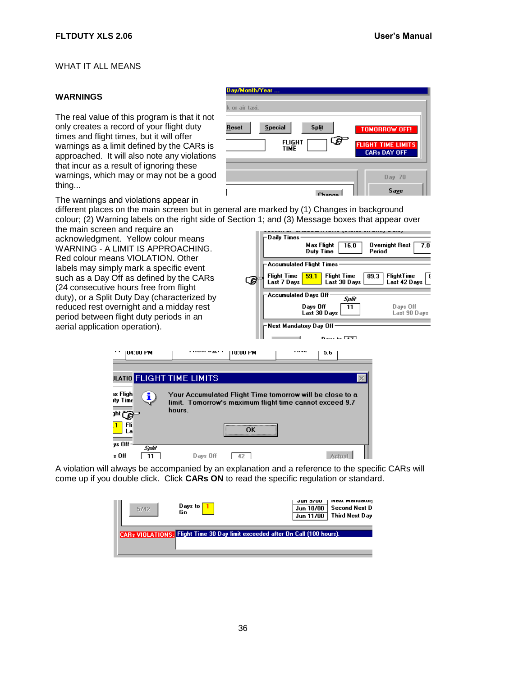#### <span id="page-39-1"></span><span id="page-39-0"></span>WHAT IT ALL MEANS

#### **WARNINGS**

The real value of this program is that it not only creates a record of your flight duty times and flight times, but it will offer warnings as a limit defined by the CARs is approached. It will also note any violations that incur as a result of ignoring these warnings, which may or may not be a good thing...

| Day/Month/Year<br>k or air taxi.                                               |                                                                          |
|--------------------------------------------------------------------------------|--------------------------------------------------------------------------|
| <b>Special</b><br><b>Split</b><br><b>Reset</b><br><b>FLIGHT</b><br><b>TIME</b> | <b>TOMORROW OFF!</b><br><b>FLIGHT TIME LIMITS</b><br><b>CARs DAY OFF</b> |
|                                                                                | $Day$ 70<br>Save                                                         |

The warnings and violations appear in

different places on the main screen but in general are marked by (1) Changes in background colour; (2) Warning labels on the right side of Section 1; and (3) Message boxes that appear over

the main screen and require an acknowledgment. Yellow colour means WARNING - A LIMIT IS APPROACHING Red colour means VIOLATION. Other labels may simply mark a specific even such as a Day Off as defined by the CA (24 consecutive hours free from flight duty), or a Split Duty Day (characterized reduced rest overnight and a midday re period between flight duty periods in an aerial application operation).

**IU4:UU PM** 

ax Fligh

itv Time

州国 Fli  $\mathbf{I}$ 

s Off

Lа ys Off

**JLATIO** FLIGHT TIME LI

Ŧ

Split

 $\boxed{11}$ 

Your Acci

limit. Ton hours.

Days Off

|                 | Daily Times-                                                                                                            |
|-----------------|-------------------------------------------------------------------------------------------------------------------------|
| s<br>١G.        | <b>Max Flight</b><br>Overnight Rest<br>7.0<br>16.0<br>Period<br>Duty Time                                               |
| ١t              | Accumulated Flight Times                                                                                                |
| <b>\Rs</b><br>ع | FlightTime<br>Flight Time<br><b>Flight Time</b><br>59.1<br>89.3<br>- 1<br>Last 7 Days  <br>Last 30 Days<br>Last 42 Days |
| d by            | Accumulated Days Off:<br>Split                                                                                          |
| est             | Days Off<br>Days Off<br>11<br>Last 30 Days<br>Last 90 Days                                                              |
|                 | Next Mandatory Day Off.                                                                                                 |
|                 | <b>Deas to First</b>                                                                                                    |
| TU:UU PM        | J.b                                                                                                                     |
|                 |                                                                                                                         |
| MITS            | ×                                                                                                                       |
|                 | ımulated Fliqht Time tomorrow will be close to a<br>1.7 norrow's maximum flight time cannot exceed                      |

Actual

A violation will always be accompanied by an explanation and a reference to the specific CARs will come up if you double click. Click **CARs ON** to read the specific regulation or standard.

 $-42$ 

 $\overline{\textbf{OK}}$ 

| 5/42 | Days to<br>Go                                                                 | Jun 3700<br>Jun 10/00<br>Jun 11/00 | NEXL MariualUI!<br><b>Second Next D</b><br><b>Third Next Dav</b> |
|------|-------------------------------------------------------------------------------|------------------------------------|------------------------------------------------------------------|
|      | CARs VIOLATIONS: Flight Time 30 Day limit exceeded after On Call (100 hours). |                                    |                                                                  |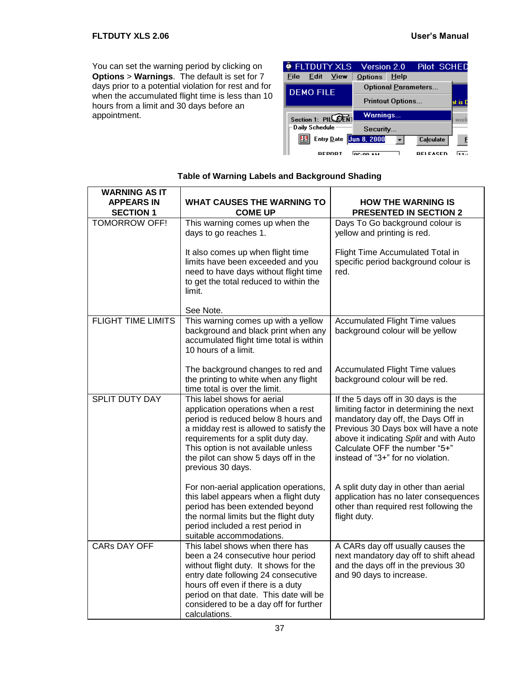You can set the warning period by clicking on **Options** > **Warnings**. The default is set for 7 days prior to a potential violation for rest and for when the accumulated flight time is less than 10 hours from a limit and 30 days before an appointment.



| <b>WARNING AS IT</b>                  |                                                                                                                                                                                                                                                                                                |                                                                                                                                                                                                                                                                                |
|---------------------------------------|------------------------------------------------------------------------------------------------------------------------------------------------------------------------------------------------------------------------------------------------------------------------------------------------|--------------------------------------------------------------------------------------------------------------------------------------------------------------------------------------------------------------------------------------------------------------------------------|
| <b>APPEARS IN</b><br><b>SECTION 1</b> | <b>WHAT CAUSES THE WARNING TO</b><br><b>COME UP</b>                                                                                                                                                                                                                                            | <b>HOW THE WARNING IS</b><br><b>PRESENTED IN SECTION 2</b>                                                                                                                                                                                                                     |
| <b>TOMORROW OFF!</b>                  | This warning comes up when the<br>days to go reaches 1.                                                                                                                                                                                                                                        | Days To Go background colour is<br>yellow and printing is red.                                                                                                                                                                                                                 |
|                                       | It also comes up when flight time<br>limits have been exceeded and you<br>need to have days without flight time<br>to get the total reduced to within the<br>limit.                                                                                                                            | Flight Time Accumulated Total in<br>specific period background colour is<br>red.                                                                                                                                                                                               |
|                                       | See Note.                                                                                                                                                                                                                                                                                      |                                                                                                                                                                                                                                                                                |
| <b>FLIGHT TIME LIMITS</b>             | This warning comes up with a yellow<br>background and black print when any<br>accumulated flight time total is within<br>10 hours of a limit.                                                                                                                                                  | <b>Accumulated Flight Time values</b><br>background colour will be yellow                                                                                                                                                                                                      |
|                                       | The background changes to red and<br>the printing to white when any flight<br>time total is over the limit.                                                                                                                                                                                    | <b>Accumulated Flight Time values</b><br>background colour will be red.                                                                                                                                                                                                        |
| <b>SPLIT DUTY DAY</b>                 | This label shows for aerial<br>application operations when a rest<br>period is reduced below 8 hours and<br>a midday rest is allowed to satisfy the<br>requirements for a split duty day.<br>This option is not available unless<br>the pilot can show 5 days off in the<br>previous 30 days.  | If the 5 days off in 30 days is the<br>limiting factor in determining the next<br>mandatory day off, the Days Off in<br>Previous 30 Days box will have a note<br>above it indicating Split and with Auto<br>Calculate OFF the number "5+"<br>instead of "3+" for no violation. |
|                                       | For non-aerial application operations,<br>this label appears when a flight duty<br>period has been extended beyond<br>the normal limits but the flight duty<br>period included a rest period in<br>suitable accommodations.                                                                    | A split duty day in other than aerial<br>application has no later consequences<br>other than required rest following the<br>flight duty.                                                                                                                                       |
| <b>CARS DAY OFF</b>                   | This label shows when there has<br>been a 24 consecutive hour period<br>without flight duty. It shows for the<br>entry date following 24 consecutive<br>hours off even if there is a duty<br>period on that date. This date will be<br>considered to be a day off for further<br>calculations. | A CARs day off usually causes the<br>next mandatory day off to shift ahead<br>and the days off in the previous 30<br>and 90 days to increase.                                                                                                                                  |

#### **Table of Warning Labels and Background Shading**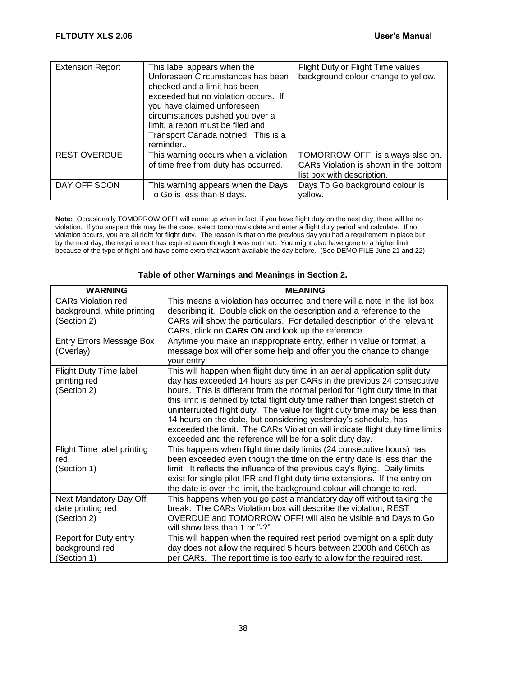| <b>Extension Report</b> | This label appears when the<br>Unforeseen Circumstances has been<br>checked and a limit has been<br>exceeded but no violation occurs. If<br>you have claimed unforeseen<br>circumstances pushed you over a<br>limit, a report must be filed and<br>Transport Canada notified. This is a<br>reminder | Flight Duty or Flight Time values<br>background colour change to yellow.                                |
|-------------------------|-----------------------------------------------------------------------------------------------------------------------------------------------------------------------------------------------------------------------------------------------------------------------------------------------------|---------------------------------------------------------------------------------------------------------|
| <b>REST OVERDUE</b>     | This warning occurs when a violation<br>of time free from duty has occurred.                                                                                                                                                                                                                        | TOMORROW OFF! is always also on.<br>CARs Violation is shown in the bottom<br>list box with description. |
| DAY OFF SOON            | This warning appears when the Days<br>To Go is less than 8 days.                                                                                                                                                                                                                                    | Days To Go background colour is<br>vellow.                                                              |

**Note:** Occasionally TOMORROW OFF! will come up when in fact, if you have flight duty on the next day, there will be no violation. If you suspect this may be the case, select tomorrow's date and enter a flight duty period and calculate. If no violation occurs, you are all right for flight duty. The reason is that on the previous day you had a requirement in place but by the next day, the requirement has expired even though it was not met. You might also have gone to a higher limit because of the type of flight and have some extra that wasn't available the day before. (See DEMO FILE June 21 and 22)

| <b>WARNING</b>                                                         | <b>MEANING</b>                                                                                                                                                                                                                                                                                                                                                                                                                                                                                                                                                                                                    |
|------------------------------------------------------------------------|-------------------------------------------------------------------------------------------------------------------------------------------------------------------------------------------------------------------------------------------------------------------------------------------------------------------------------------------------------------------------------------------------------------------------------------------------------------------------------------------------------------------------------------------------------------------------------------------------------------------|
| <b>CARs Violation red</b><br>background, white printing<br>(Section 2) | This means a violation has occurred and there will a note in the list box<br>describing it. Double click on the description and a reference to the<br>CARs will show the particulars. For detailed description of the relevant<br>CARs, click on CARs ON and look up the reference.                                                                                                                                                                                                                                                                                                                               |
| <b>Entry Errors Message Box</b><br>(Overlay)                           | Anytime you make an inappropriate entry, either in value or format, a<br>message box will offer some help and offer you the chance to change<br>your entry.                                                                                                                                                                                                                                                                                                                                                                                                                                                       |
| Flight Duty Time label<br>printing red<br>(Section 2)                  | This will happen when flight duty time in an aerial application split duty<br>day has exceeded 14 hours as per CARs in the previous 24 consecutive<br>hours. This is different from the normal period for flight duty time in that<br>this limit is defined by total flight duty time rather than longest stretch of<br>uninterrupted flight duty. The value for flight duty time may be less than<br>14 hours on the date, but considering yesterday's schedule, has<br>exceeded the limit. The CARs Violation will indicate flight duty time limits<br>exceeded and the reference will be for a split duty day. |
| Flight Time label printing<br>red.<br>(Section 1)                      | This happens when flight time daily limits (24 consecutive hours) has<br>been exceeded even though the time on the entry date is less than the<br>limit. It reflects the influence of the previous day's flying. Daily limits<br>exist for single pilot IFR and flight duty time extensions. If the entry on<br>the date is over the limit, the background colour will change to red.                                                                                                                                                                                                                             |
| Next Mandatory Day Off<br>date printing red<br>(Section 2)             | This happens when you go past a mandatory day off without taking the<br>break. The CARs Violation box will describe the violation, REST<br>OVERDUE and TOMORROW OFF! will also be visible and Days to Go<br>will show less than 1 or "-?".                                                                                                                                                                                                                                                                                                                                                                        |
| Report for Duty entry<br>background red<br>(Section 1)                 | This will happen when the required rest period overnight on a split duty<br>day does not allow the required 5 hours between 2000h and 0600h as<br>per CARs. The report time is too early to allow for the required rest.                                                                                                                                                                                                                                                                                                                                                                                          |

#### **Table of other Warnings and Meanings in Section 2.**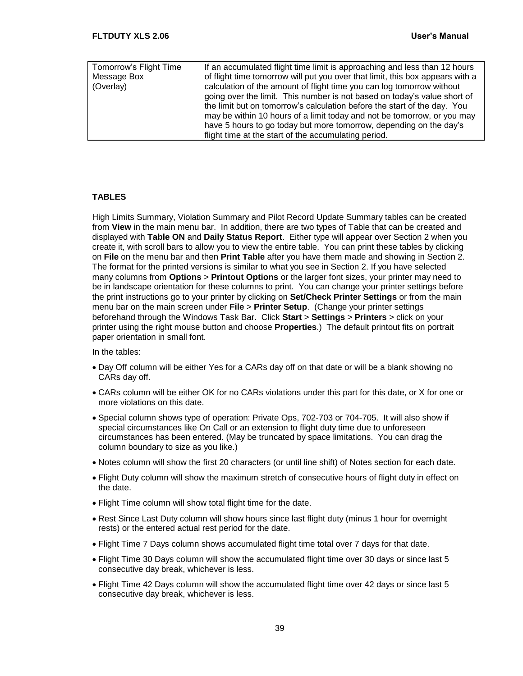| Tomorrow's Flight Time | If an accumulated flight time limit is approaching and less than 12 hours     |
|------------------------|-------------------------------------------------------------------------------|
| Message Box            | of flight time tomorrow will put you over that limit, this box appears with a |
| (Overlay)              | calculation of the amount of flight time you can log tomorrow without         |
|                        | going over the limit. This number is not based on today's value short of      |
|                        | the limit but on tomorrow's calculation before the start of the day. You      |
|                        | may be within 10 hours of a limit today and not be tomorrow, or you may       |
|                        | have 5 hours to go today but more tomorrow, depending on the day's            |
|                        | flight time at the start of the accumulating period.                          |

#### <span id="page-42-0"></span>**TABLES**

High Limits Summary, Violation Summary and Pilot Record Update Summary tables can be created from **View** in the main menu bar. In addition, there are two types of Table that can be created and displayed with **Table ON** and **Daily Status Report**. Either type will appear over Section 2 when you create it, with scroll bars to allow you to view the entire table. You can print these tables by clicking on **File** on the menu bar and then **Print Table** after you have them made and showing in Section 2. The format for the printed versions is similar to what you see in Section 2. If you have selected many columns from **Options** > **Printout Options** or the larger font sizes, your printer may need to be in landscape orientation for these columns to print. You can change your printer settings before the print instructions go to your printer by clicking on **Set/Check Printer Settings** or from the main menu bar on the main screen under **File** > **Printer Setup**. (Change your printer settings beforehand through the Windows Task Bar. Click **Start** > **Settings** > **Printers** > click on your printer using the right mouse button and choose **Properties**.) The default printout fits on portrait paper orientation in small font.

In the tables:

- Day Off column will be either Yes for a CARs day off on that date or will be a blank showing no CARs day off.
- CARs column will be either OK for no CARs violations under this part for this date, or X for one or more violations on this date.
- Special column shows type of operation: Private Ops, 702-703 or 704-705. It will also show if special circumstances like On Call or an extension to flight duty time due to unforeseen circumstances has been entered. (May be truncated by space limitations. You can drag the column boundary to size as you like.)
- Notes column will show the first 20 characters (or until line shift) of Notes section for each date.
- Flight Duty column will show the maximum stretch of consecutive hours of flight duty in effect on the date.
- Flight Time column will show total flight time for the date.
- Rest Since Last Duty column will show hours since last flight duty (minus 1 hour for overnight rests) or the entered actual rest period for the date.
- Flight Time 7 Days column shows accumulated flight time total over 7 days for that date.
- Flight Time 30 Days column will show the accumulated flight time over 30 days or since last 5 consecutive day break, whichever is less.
- Flight Time 42 Days column will show the accumulated flight time over 42 days or since last 5 consecutive day break, whichever is less.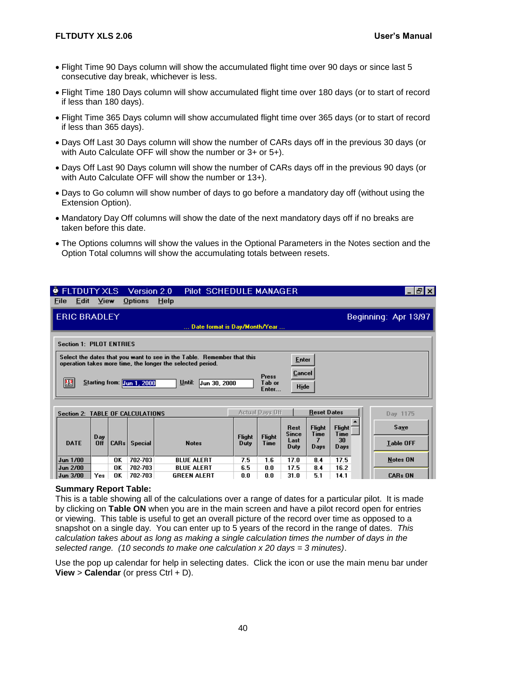- Flight Time 90 Days column will show the accumulated flight time over 90 days or since last 5 consecutive day break, whichever is less.
- Flight Time 180 Days column will show accumulated flight time over 180 days (or to start of record if less than 180 days).
- Flight Time 365 Days column will show accumulated flight time over 365 days (or to start of record if less than 365 days).
- Days Off Last 30 Days column will show the number of CARs days off in the previous 30 days (or with Auto Calculate OFF will show the number or 3+ or 5+).
- Days Off Last 90 Days column will show the number of CARs days off in the previous 90 days (or with Auto Calculate OFF will show the number or 13+).
- Days to Go column will show number of days to go before a mandatory day off (without using the Extension Option).
- Mandatory Day Off columns will show the date of the next mandatory days off if no breaks are taken before this date.
- The Options columns will show the values in the Optional Parameters in the Notes section and the Option Total columns will show the accumulating totals between resets.

| FLTDUTY XLS Version 2.0          |             |      |                                         |                                                                                                                                      | Pilot SCHEDULE MANAGER        |                       |                        |                      |                    |                     | - Ialxi              |
|----------------------------------|-------------|------|-----------------------------------------|--------------------------------------------------------------------------------------------------------------------------------------|-------------------------------|-----------------------|------------------------|----------------------|--------------------|---------------------|----------------------|
| File<br>Edit                     | <b>View</b> |      | <b>Options</b>                          | Help                                                                                                                                 |                               |                       |                        |                      |                    |                     |                      |
| <b>ERIC BRADLEY</b>              |             |      |                                         |                                                                                                                                      |                               |                       |                        |                      |                    |                     | Beginning: Apr 13/97 |
|                                  |             |      |                                         |                                                                                                                                      | Date format is Day/Month/Year |                       |                        |                      |                    |                     |                      |
| <b>Section 1: PILOT ENTRIES</b>  |             |      |                                         |                                                                                                                                      |                               |                       |                        |                      |                    |                     |                      |
|                                  |             |      |                                         | Select the dates that you want to see in the Table. Remember that this<br>operation takes more time, the longer the selected period. |                               |                       |                        | <b>Enter</b>         |                    |                     |                      |
|                                  |             |      |                                         |                                                                                                                                      |                               |                       | Press                  | Cancel               |                    |                     |                      |
| 匷                                |             |      | Starting from: <mark>Jun 1, 2000</mark> | Until:                                                                                                                               | Jun 30, 2000                  |                       | Tab or<br>Enter        | Hide                 |                    |                     |                      |
|                                  |             |      |                                         |                                                                                                                                      |                               |                       |                        |                      |                    |                     |                      |
| Section 2: TABLE OF CALCULATIONS |             |      |                                         |                                                                                                                                      |                               |                       | <b>Actual Days Off</b> |                      | <b>Reset Dates</b> |                     | Day 1175             |
|                                  |             |      |                                         |                                                                                                                                      |                               |                       |                        | Rest                 | <b>Flight</b>      | Flight <sup>-</sup> | Save                 |
| <b>DATE</b>                      | Day<br>Off  | CARS | Special                                 | <b>Notes</b>                                                                                                                         |                               | <b>Flight</b><br>Duty | <b>Flight</b><br>Time  | <b>Since</b><br>Last | Time               | Time<br>30          | <b>Table OFF</b>     |
|                                  |             |      |                                         |                                                                                                                                      |                               |                       |                        | Duty                 | Days               | Days                |                      |
| Jun 1/00                         |             | 0K   | 702-703                                 | <b>BLUE ALERT</b>                                                                                                                    |                               | 7.5                   | 1.6                    | 17.0                 | 8.4                | 17.5                | <b>Notes ON</b>      |

#### **Summary Report Table:**

 $Jun 3/00$  Yes OK

**OK** 

702-703

702-703

**BLUE ALERT** 

**GREEN ALERT** 

**Jun 2/00** 

This is a table showing all of the calculations over a range of dates for a particular pilot. It is made by clicking on **Table ON** when you are in the main screen and have a pilot record open for entries or viewing. This table is useful to get an overall picture of the record over time as opposed to a snapshot on a single day. You can enter up to 5 years of the record in the range of dates. *This calculation takes about as long as making a single calculation times the number of days in the selected range. (10 seconds to make one calculation x 20 days = 3 minutes)*.

6.5

 $\mathbf{0.0}$ 

 $17.5$ 

 $31.0$ 

84

 $5.1$ 

16.2

 $14.1$ 

**CARs ON** 

 $0.0$ 

 $0.0$ 

Use the pop up calendar for help in selecting dates. Click the icon or use the main menu bar under **View** > **Calendar** (or press Ctrl + D).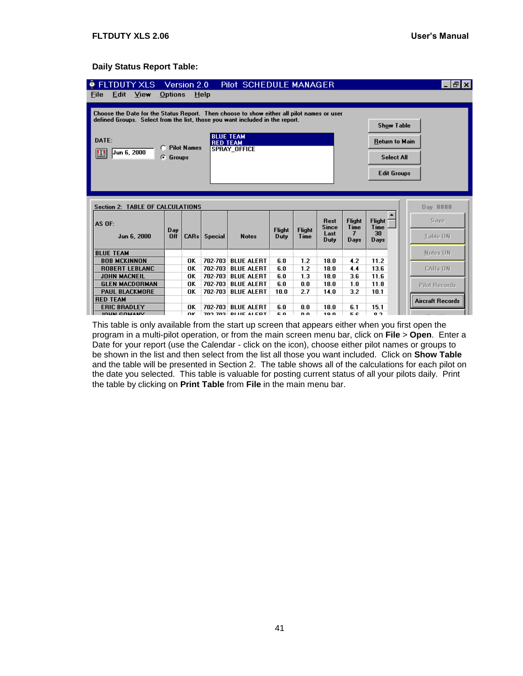#### **Daily Status Report Table:**

| <b>• FLTDUTY XLS</b>                                                                      |          | Version 2.0        |                 | Pilot SCHEDULE MANAGER                          |               |               |                             |                       |                              | - PI×                   |
|-------------------------------------------------------------------------------------------|----------|--------------------|-----------------|-------------------------------------------------|---------------|---------------|-----------------------------|-----------------------|------------------------------|-------------------------|
| Edit<br><b>View</b><br>File                                                               | Options  |                    | Help            |                                                 |               |               |                             |                       |                              |                         |
|                                                                                           |          |                    |                 |                                                 |               |               |                             |                       |                              |                         |
| Choose the Date for the Status Report. Then choose to show either all pilot names or user |          |                    |                 |                                                 |               |               |                             |                       |                              |                         |
| defined Groups. Select from the list, those you want included in the report.              |          |                    |                 |                                                 |               |               |                             |                       | <b>Show Table</b>            |                         |
| DATE:                                                                                     |          |                    | <b>RED TEAM</b> | <b>BLUE TEAM</b>                                |               |               |                             |                       | Return to Main               |                         |
| Jun 6, 2000<br>匷                                                                          |          | <b>Pilot Names</b> |                 | <b>SPRAY OFFICE</b>                             |               |               |                             |                       |                              |                         |
|                                                                                           | G Groups |                    |                 |                                                 |               |               |                             |                       | <b>Select All</b>            |                         |
|                                                                                           |          |                    |                 |                                                 |               |               |                             |                       |                              |                         |
|                                                                                           |          |                    |                 |                                                 |               |               |                             |                       | <b>Edit Groups</b>           |                         |
|                                                                                           |          |                    |                 |                                                 |               |               |                             |                       |                              |                         |
|                                                                                           |          |                    |                 |                                                 |               |               |                             |                       |                              |                         |
| <b>Section 2: TABLE OF CALCULATIONS</b>                                                   |          |                    |                 |                                                 |               |               |                             |                       |                              | Day ####                |
| AS OF:                                                                                    | Day.     |                    |                 |                                                 | <b>Flight</b> | <b>Flight</b> | <b>Rest</b><br><b>Since</b> | <b>Flight</b><br>Time | <b>Flight</b><br><b>Time</b> | Save                    |
| Jun 6, 2000                                                                               | Off      | CARS               | <b>Special</b>  | <b>Notes</b>                                    | Duty          | Time          | Last<br>Duty                | 7<br>Davs             | 30<br>Days                   | Table ON                |
| <b>BLUE TEAM</b>                                                                          |          |                    |                 |                                                 |               |               |                             |                       |                              | Notes ON                |
| <b>BOB MCKINNON</b>                                                                       |          | OK                 | 702-703         | <b>BLUE ALERT</b>                               | 6.0           | 1.2           | 18.0                        | 4.2                   | 11.2                         |                         |
| <b>ROBERT LEBLANC</b>                                                                     |          | OK                 | 702-703         | <b>BLUE ALERT</b>                               | 6.0           | 1.2           | 18.0                        | 4.4                   | 13.6                         | <b>CARs ON</b>          |
| <b>JOHN MACNEIL</b>                                                                       |          | OK                 | 702-703         | <b>BLUE ALERT</b>                               | 6.0           | 1.3           | 18.0                        | 3.6                   | 11.6                         |                         |
| <b>GLEN MACDORMAN</b>                                                                     |          | OK                 | 702-703         | <b>BLUE ALERT</b>                               | 6.0           | 0.0           | 18.0                        | 1.0                   | 11.8                         | <b>Pilot Records</b>    |
| <b>PAUL BLACKMORE</b>                                                                     |          | OK                 | 702-703         | <b>BLUE ALERT</b>                               | 10.0          | 2.7           | 14.0                        | 3.2                   | 10.1                         |                         |
| <b>RED TEAM</b>                                                                           |          |                    |                 |                                                 |               |               |                             |                       |                              | <b>Aircraft Records</b> |
| <b>ERIC BRADLEY</b><br><b>IOUN COMANY</b>                                                 |          | OK<br>ΠK           | 702-703         | <b>BLUE ALERT</b><br><b>702 702 DI HE ALEDT</b> | 6.0<br>бn     | 0.0<br>n n    | 18.0<br>10 N                | 6.1<br>БC.            | 15.1<br>0 <sup>2</sup>       |                         |

This table is only available from the start up screen that appears either when you first open the program in a multi-pilot operation, or from the main screen menu bar, click on **File** > **Open**. Enter a Date for your report (use the Calendar - click on the icon), choose either pilot names or groups to be shown in the list and then select from the list all those you want included. Click on **Show Table** and the table will be presented in Section 2. The table shows all of the calculations for each pilot on the date you selected. This table is valuable for posting current status of all your pilots daily. Print the table by clicking on **Print Table** from **File** in the main menu bar.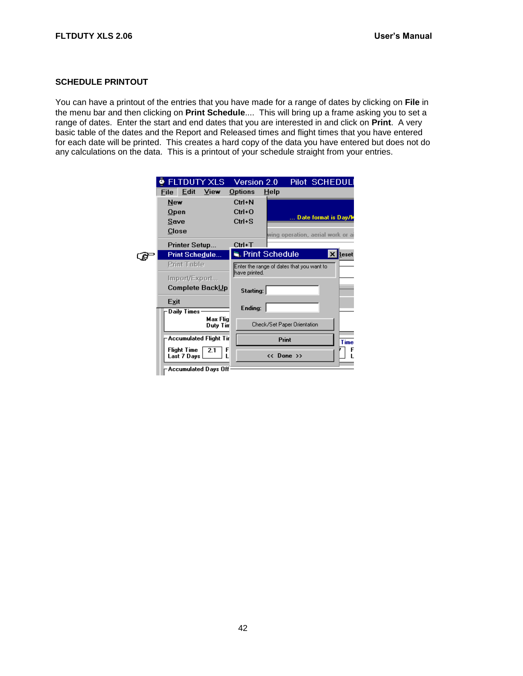#### <span id="page-45-0"></span>**SCHEDULE PRINTOUT**

You can have a printout of the entries that you have made for a range of dates by clicking on **File** in the menu bar and then clicking on **Print Schedule**.... This will bring up a frame asking you to set a range of dates. Enter the start and end dates that you are interested in and click on **Print**. A very basic table of the dates and the Report and Released times and flight times that you have entered for each date will be printed. This creates a hard copy of the data you have entered but does not do any calculations on the data. This is a printout of your schedule straight from your entries.

| $\bullet$ FLTDUTY XLS                              | Version 2.0    | Pilot SCHEDULI                            |
|----------------------------------------------------|----------------|-------------------------------------------|
| Edit<br>View<br>File                               | <b>Options</b> | HeIp                                      |
| New                                                | Ctrl+N         |                                           |
| $Q$ pen                                            | $Ctrl + O$     | Date format is Day/W                      |
| Save                                               | $Ctrl + S$     |                                           |
| Close                                              |                | wing operation, aerial work or ai         |
| <b>Printer Setup</b>                               | Ctrl+T         |                                           |
| <b>Print Schedule</b>                              |                | Print Schedule<br>$\times$<br>Reset       |
| <b>Print Table</b>                                 | have printed.  | Enter the range of dates that you want to |
| Import/Export<br>Complete BackUp                   | Starting:      |                                           |
| Exit<br>Daily Times:                               | Ending:        |                                           |
| Max Flig<br>Duty Tim                               |                | Check/Set Paper Orientation               |
| <b>Accumulated Flight Tir</b>                      |                | <b>Print</b><br><b>Time</b>               |
| <b>Flight Time</b><br>F<br>2.1<br>Last 7 Days<br>г |                | << Done >>                                |
| -Accumulated Days Off                              |                |                                           |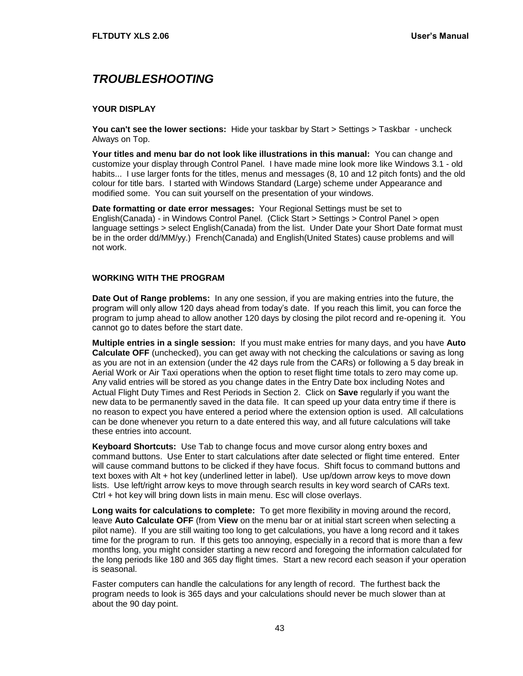# <span id="page-46-0"></span>*TROUBLESHOOTING*

#### <span id="page-46-1"></span>**YOUR DISPLAY**

**You can't see the lower sections:** Hide your taskbar by Start > Settings > Taskbar - uncheck Always on Top.

**Your titles and menu bar do not look like illustrations in this manual:** You can change and customize your display through Control Panel. I have made mine look more like Windows 3.1 - old habits... I use larger fonts for the titles, menus and messages (8, 10 and 12 pitch fonts) and the old colour for title bars. I started with Windows Standard (Large) scheme under Appearance and modified some. You can suit yourself on the presentation of your windows.

**Date formatting or date error messages:** Your Regional Settings must be set to English(Canada) - in Windows Control Panel. (Click Start > Settings > Control Panel > open language settings > select English(Canada) from the list. Under Date your Short Date format must be in the order dd/MM/yy.) French(Canada) and English(United States) cause problems and will not work.

#### <span id="page-46-2"></span>**WORKING WITH THE PROGRAM**

**Date Out of Range problems:** In any one session, if you are making entries into the future, the program will only allow 120 days ahead from today's date. If you reach this limit, you can force the program to jump ahead to allow another 120 days by closing the pilot record and re-opening it. You cannot go to dates before the start date.

**Multiple entries in a single session:** If you must make entries for many days, and you have **Auto Calculate OFF** (unchecked), you can get away with not checking the calculations or saving as long as you are not in an extension (under the 42 days rule from the CARs) or following a 5 day break in Aerial Work or Air Taxi operations when the option to reset flight time totals to zero may come up. Any valid entries will be stored as you change dates in the Entry Date box including Notes and Actual Flight Duty Times and Rest Periods in Section 2. Click on **Save** regularly if you want the new data to be permanently saved in the data file. It can speed up your data entry time if there is no reason to expect you have entered a period where the extension option is used. All calculations can be done whenever you return to a date entered this way, and all future calculations will take these entries into account.

**Keyboard Shortcuts:** Use Tab to change focus and move cursor along entry boxes and command buttons. Use Enter to start calculations after date selected or flight time entered. Enter will cause command buttons to be clicked if they have focus. Shift focus to command buttons and text boxes with Alt + hot key (underlined letter in label). Use up/down arrow keys to move down lists. Use left/right arrow keys to move through search results in key word search of CARs text. Ctrl + hot key will bring down lists in main menu. Esc will close overlays.

**Long waits for calculations to complete:** To get more flexibility in moving around the record, leave **Auto Calculate OFF** (from **View** on the menu bar or at initial start screen when selecting a pilot name). If you are still waiting too long to get calculations, you have a long record and it takes time for the program to run. If this gets too annoying, especially in a record that is more than a few months long, you might consider starting a new record and foregoing the information calculated for the long periods like 180 and 365 day flight times. Start a new record each season if your operation is seasonal.

Faster computers can handle the calculations for any length of record. The furthest back the program needs to look is 365 days and your calculations should never be much slower than at about the 90 day point.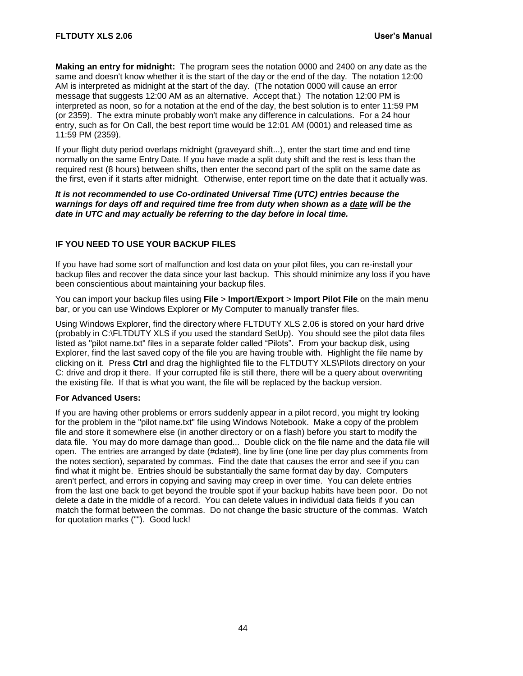**Making an entry for midnight:** The program sees the notation 0000 and 2400 on any date as the same and doesn't know whether it is the start of the day or the end of the day. The notation 12:00 AM is interpreted as midnight at the start of the day. (The notation 0000 will cause an error message that suggests 12:00 AM as an alternative. Accept that.) The notation 12:00 PM is interpreted as noon, so for a notation at the end of the day, the best solution is to enter 11:59 PM (or 2359). The extra minute probably won't make any difference in calculations. For a 24 hour entry, such as for On Call, the best report time would be 12:01 AM (0001) and released time as 11:59 PM (2359).

If your flight duty period overlaps midnight (graveyard shift...), enter the start time and end time normally on the same Entry Date. If you have made a split duty shift and the rest is less than the required rest (8 hours) between shifts, then enter the second part of the split on the same date as the first, even if it starts after midnight. Otherwise, enter report time on the date that it actually was.

#### *It is not recommended to use Co-ordinated Universal Time (UTC) entries because the warnings for days off and required time free from duty when shown as a date will be the date in UTC and may actually be referring to the day before in local time.*

#### <span id="page-47-0"></span>**IF YOU NEED TO USE YOUR BACKUP FILES**

If you have had some sort of malfunction and lost data on your pilot files, you can re-install your backup files and recover the data since your last backup. This should minimize any loss if you have been conscientious about maintaining your backup files.

You can import your backup files using **File** > **Import/Export** > **Import Pilot File** on the main menu bar, or you can use Windows Explorer or My Computer to manually transfer files.

Using Windows Explorer, find the directory where FLTDUTY XLS 2.06 is stored on your hard drive (probably in C:\FLTDUTY XLS if you used the standard SetUp). You should see the pilot data files listed as "pilot name.txt" files in a separate folder called "Pilots". From your backup disk, using Explorer, find the last saved copy of the file you are having trouble with. Highlight the file name by clicking on it. Press **Ctrl** and drag the highlighted file to the FLTDUTY XLS\Pilots directory on your C: drive and drop it there. If your corrupted file is still there, there will be a query about overwriting the existing file. If that is what you want, the file will be replaced by the backup version.

#### **For Advanced Users:**

If you are having other problems or errors suddenly appear in a pilot record, you might try looking for the problem in the "pilot name.txt" file using Windows Notebook. Make a copy of the problem file and store it somewhere else (in another directory or on a flash) before you start to modify the data file. You may do more damage than good... Double click on the file name and the data file will open. The entries are arranged by date (#date#), line by line (one line per day plus comments from the notes section), separated by commas. Find the date that causes the error and see if you can find what it might be. Entries should be substantially the same format day by day. Computers aren't perfect, and errors in copying and saving may creep in over time. You can delete entries from the last one back to get beyond the trouble spot if your backup habits have been poor. Do not delete a date in the middle of a record. You can delete values in individual data fields if you can match the format between the commas. Do not change the basic structure of the commas. Watch for quotation marks (""). Good luck!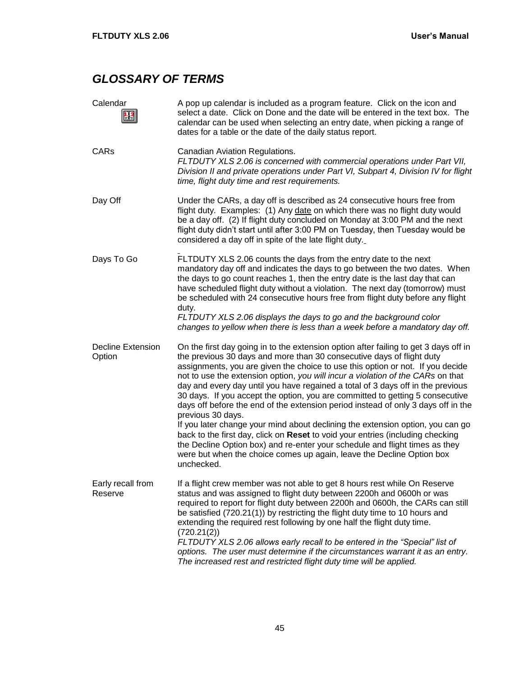# <span id="page-48-0"></span>*GLOSSARY OF TERMS*

| Calendar<br>F                      | A pop up calendar is included as a program feature. Click on the icon and<br>select a date. Click on Done and the date will be entered in the text box. The<br>calendar can be used when selecting an entry date, when picking a range of<br>dates for a table or the date of the daily status report.                                                                                                                                                                                                                                                                                                                                                                                                                                                                                                                                                                                                                                                     |
|------------------------------------|------------------------------------------------------------------------------------------------------------------------------------------------------------------------------------------------------------------------------------------------------------------------------------------------------------------------------------------------------------------------------------------------------------------------------------------------------------------------------------------------------------------------------------------------------------------------------------------------------------------------------------------------------------------------------------------------------------------------------------------------------------------------------------------------------------------------------------------------------------------------------------------------------------------------------------------------------------|
| CARs                               | Canadian Aviation Regulations.<br>FLTDUTY XLS 2.06 is concerned with commercial operations under Part VII,<br>Division II and private operations under Part VI, Subpart 4, Division IV for flight<br>time, flight duty time and rest requirements.                                                                                                                                                                                                                                                                                                                                                                                                                                                                                                                                                                                                                                                                                                         |
| Day Off                            | Under the CARs, a day off is described as 24 consecutive hours free from<br>flight duty. Examples: (1) Any date on which there was no flight duty would<br>be a day off. (2) If flight duty concluded on Monday at 3:00 PM and the next<br>flight duty didn't start until after 3:00 PM on Tuesday, then Tuesday would be<br>considered a day off in spite of the late flight duty.                                                                                                                                                                                                                                                                                                                                                                                                                                                                                                                                                                        |
| Days To Go                         | FLTDUTY XLS 2.06 counts the days from the entry date to the next<br>mandatory day off and indicates the days to go between the two dates. When<br>the days to go count reaches 1, then the entry date is the last day that can<br>have scheduled flight duty without a violation. The next day (tomorrow) must<br>be scheduled with 24 consecutive hours free from flight duty before any flight<br>duty.<br>FLTDUTY XLS 2.06 displays the days to go and the background color<br>changes to yellow when there is less than a week before a mandatory day off.                                                                                                                                                                                                                                                                                                                                                                                             |
| <b>Decline Extension</b><br>Option | On the first day going in to the extension option after failing to get 3 days off in<br>the previous 30 days and more than 30 consecutive days of flight duty<br>assignments, you are given the choice to use this option or not. If you decide<br>not to use the extension option, you will incur a violation of the CARs on that<br>day and every day until you have regained a total of 3 days off in the previous<br>30 days. If you accept the option, you are committed to getting 5 consecutive<br>days off before the end of the extension period instead of only 3 days off in the<br>previous 30 days.<br>If you later change your mind about declining the extension option, you can go<br>back to the first day, click on Reset to void your entries (including checking<br>the Decline Option box) and re-enter your schedule and flight times as they<br>were but when the choice comes up again, leave the Decline Option box<br>unchecked. |
| Early recall from<br>Reserve       | If a flight crew member was not able to get 8 hours rest while On Reserve<br>status and was assigned to flight duty between 2200h and 0600h or was<br>required to report for flight duty between 2200h and 0600h, the CARs can still<br>be satisfied (720.21(1)) by restricting the flight duty time to 10 hours and<br>extending the required rest following by one half the flight duty time.<br>(720.21(2))<br>FLTDUTY XLS 2.06 allows early recall to be entered in the "Special" list of<br>options. The user must determine if the circumstances warrant it as an entry.<br>The increased rest and restricted flight duty time will be applied.                                                                                                                                                                                                                                                                                                      |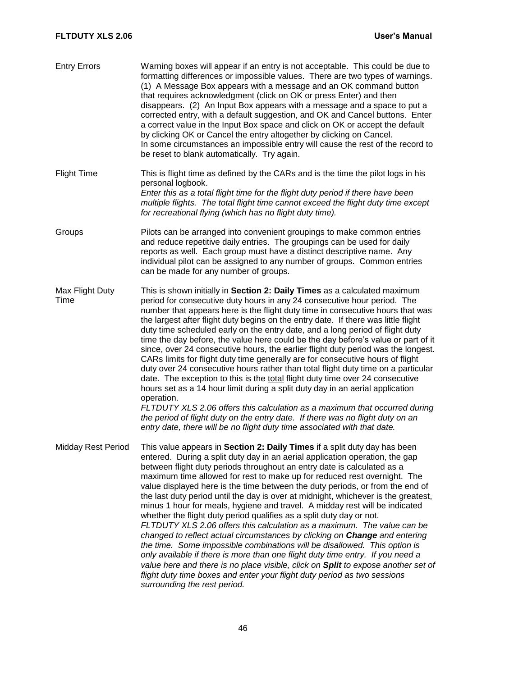#### **FLTDUTY XLS 2.06 User's Manual**

| <b>Entry Errors</b>       | Warning boxes will appear if an entry is not acceptable. This could be due to<br>formatting differences or impossible values. There are two types of warnings.<br>(1) A Message Box appears with a message and an OK command button<br>that requires acknowledgment (click on OK or press Enter) and then<br>disappears. (2) An Input Box appears with a message and a space to put a<br>corrected entry, with a default suggestion, and OK and Cancel buttons. Enter<br>a correct value in the Input Box space and click on OK or accept the default<br>by clicking OK or Cancel the entry altogether by clicking on Cancel.<br>In some circumstances an impossible entry will cause the rest of the record to<br>be reset to blank automatically. Try again.                                                                                                                                                                                                                                                                                                                                                                                                                              |
|---------------------------|---------------------------------------------------------------------------------------------------------------------------------------------------------------------------------------------------------------------------------------------------------------------------------------------------------------------------------------------------------------------------------------------------------------------------------------------------------------------------------------------------------------------------------------------------------------------------------------------------------------------------------------------------------------------------------------------------------------------------------------------------------------------------------------------------------------------------------------------------------------------------------------------------------------------------------------------------------------------------------------------------------------------------------------------------------------------------------------------------------------------------------------------------------------------------------------------|
| <b>Flight Time</b>        | This is flight time as defined by the CARs and is the time the pilot logs in his<br>personal logbook.<br>Enter this as a total flight time for the flight duty period if there have been<br>multiple flights. The total flight time cannot exceed the flight duty time except<br>for recreational flying (which has no flight duty time).                                                                                                                                                                                                                                                                                                                                                                                                                                                                                                                                                                                                                                                                                                                                                                                                                                                   |
| Groups                    | Pilots can be arranged into convenient groupings to make common entries<br>and reduce repetitive daily entries. The groupings can be used for daily<br>reports as well. Each group must have a distinct descriptive name. Any<br>individual pilot can be assigned to any number of groups. Common entries<br>can be made for any number of groups.                                                                                                                                                                                                                                                                                                                                                                                                                                                                                                                                                                                                                                                                                                                                                                                                                                          |
| Max Flight Duty<br>Time   | This is shown initially in Section 2: Daily Times as a calculated maximum<br>period for consecutive duty hours in any 24 consecutive hour period. The<br>number that appears here is the flight duty time in consecutive hours that was<br>the largest after flight duty begins on the entry date. If there was little flight<br>duty time scheduled early on the entry date, and a long period of flight duty<br>time the day before, the value here could be the day before's value or part of it<br>since, over 24 consecutive hours, the earlier flight duty period was the longest.<br>CARs limits for flight duty time generally are for consecutive hours of flight<br>duty over 24 consecutive hours rather than total flight duty time on a particular<br>date. The exception to this is the total flight duty time over 24 consecutive<br>hours set as a 14 hour limit during a split duty day in an aerial application<br>operation.<br>FLTDUTY XLS 2.06 offers this calculation as a maximum that occurred during<br>the period of flight duty on the entry date. If there was no flight duty on an<br>entry date, there will be no flight duty time associated with that date. |
| <b>Midday Rest Period</b> | This value appears in Section 2: Daily Times if a split duty day has been<br>entered. During a split duty day in an aerial application operation, the gap<br>between flight duty periods throughout an entry date is calculated as a<br>maximum time allowed for rest to make up for reduced rest overnight. The<br>value displayed here is the time between the duty periods, or from the end of<br>the last duty period until the day is over at midnight, whichever is the greatest,<br>minus 1 hour for meals, hygiene and travel. A midday rest will be indicated<br>whether the flight duty period qualifies as a split duty day or not.<br>FLTDUTY XLS 2.06 offers this calculation as a maximum. The value can be<br>changed to reflect actual circumstances by clicking on Change and entering<br>the time. Some impossible combinations will be disallowed. This option is<br>only available if there is more than one flight duty time entry. If you need a<br>value here and there is no place visible, click on Split to expose another set of<br>flight duty time boxes and enter your flight duty period as two sessions<br>surrounding the rest period.                     |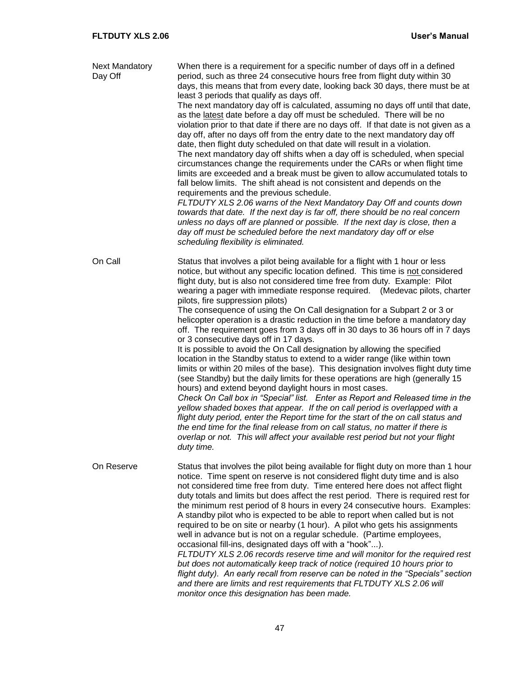| <b>Next Mandatory</b><br>Day Off | When there is a requirement for a specific number of days off in a defined<br>period, such as three 24 consecutive hours free from flight duty within 30<br>days, this means that from every date, looking back 30 days, there must be at<br>least 3 periods that qualify as days off.<br>The next mandatory day off is calculated, assuming no days off until that date,<br>as the latest date before a day off must be scheduled. There will be no<br>violation prior to that date if there are no days off. If that date is not given as a<br>day off, after no days off from the entry date to the next mandatory day off<br>date, then flight duty scheduled on that date will result in a violation.<br>The next mandatory day off shifts when a day off is scheduled, when special<br>circumstances change the requirements under the CARs or when flight time<br>limits are exceeded and a break must be given to allow accumulated totals to<br>fall below limits. The shift ahead is not consistent and depends on the<br>requirements and the previous schedule.<br>FLTDUTY XLS 2.06 warns of the Next Mandatory Day Off and counts down<br>towards that date. If the next day is far off, there should be no real concern<br>unless no days off are planned or possible. If the next day is close, then a<br>day off must be scheduled before the next mandatory day off or else<br>scheduling flexibility is eliminated.                                                          |
|----------------------------------|------------------------------------------------------------------------------------------------------------------------------------------------------------------------------------------------------------------------------------------------------------------------------------------------------------------------------------------------------------------------------------------------------------------------------------------------------------------------------------------------------------------------------------------------------------------------------------------------------------------------------------------------------------------------------------------------------------------------------------------------------------------------------------------------------------------------------------------------------------------------------------------------------------------------------------------------------------------------------------------------------------------------------------------------------------------------------------------------------------------------------------------------------------------------------------------------------------------------------------------------------------------------------------------------------------------------------------------------------------------------------------------------------------------------------------------------------------------------------------------------|
| On Call                          | Status that involves a pilot being available for a flight with 1 hour or less<br>notice, but without any specific location defined. This time is not considered<br>flight duty, but is also not considered time free from duty. Example: Pilot<br>wearing a pager with immediate response required. (Medevac pilots, charter<br>pilots, fire suppression pilots)<br>The consequence of using the On Call designation for a Subpart 2 or 3 or<br>helicopter operation is a drastic reduction in the time before a mandatory day<br>off. The requirement goes from 3 days off in 30 days to 36 hours off in 7 days<br>or 3 consecutive days off in 17 days.<br>It is possible to avoid the On Call designation by allowing the specified<br>location in the Standby status to extend to a wider range (like within town<br>limits or within 20 miles of the base). This designation involves flight duty time<br>(see Standby) but the daily limits for these operations are high (generally 15<br>hours) and extend beyond daylight hours in most cases.<br>Check On Call box in "Special" list. Enter as Report and Released time in the<br>yellow shaded boxes that appear. If the on call period is overlapped with a<br>flight duty period, enter the Report time for the start of the on call status and<br>the end time for the final release from on call status, no matter if there is<br>overlap or not. This will affect your available rest period but not your flight<br>duty time. |
| On Reserve                       | Status that involves the pilot being available for flight duty on more than 1 hour<br>notice. Time spent on reserve is not considered flight duty time and is also<br>not considered time free from duty. Time entered here does not affect flight<br>duty totals and limits but does affect the rest period. There is required rest for<br>the minimum rest period of 8 hours in every 24 consecutive hours. Examples:<br>A standby pilot who is expected to be able to report when called but is not<br>required to be on site or nearby (1 hour). A pilot who gets his assignments<br>well in advance but is not on a regular schedule. (Partime employees,<br>occasional fill-ins, designated days off with a "hook").<br>FLTDUTY XLS 2.06 records reserve time and will monitor for the required rest<br>but does not automatically keep track of notice (required 10 hours prior to<br>flight duty). An early recall from reserve can be noted in the "Specials" section<br>and there are limits and rest requirements that FLTDUTY XLS 2.06 will<br>monitor once this designation has been made.                                                                                                                                                                                                                                                                                                                                                                                        |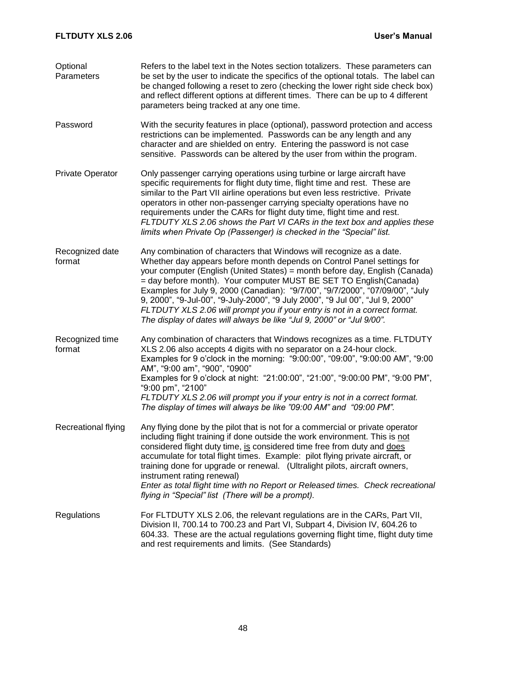| Optional<br>Parameters    | Refers to the label text in the Notes section totalizers. These parameters can<br>be set by the user to indicate the specifics of the optional totals. The label can<br>be changed following a reset to zero (checking the lower right side check box)<br>and reflect different options at different times. There can be up to 4 different<br>parameters being tracked at any one time.                                                                                                                                                                                                                                      |
|---------------------------|------------------------------------------------------------------------------------------------------------------------------------------------------------------------------------------------------------------------------------------------------------------------------------------------------------------------------------------------------------------------------------------------------------------------------------------------------------------------------------------------------------------------------------------------------------------------------------------------------------------------------|
| Password                  | With the security features in place (optional), password protection and access<br>restrictions can be implemented. Passwords can be any length and any<br>character and are shielded on entry. Entering the password is not case<br>sensitive. Passwords can be altered by the user from within the program.                                                                                                                                                                                                                                                                                                                 |
| <b>Private Operator</b>   | Only passenger carrying operations using turbine or large aircraft have<br>specific requirements for flight duty time, flight time and rest. These are<br>similar to the Part VII airline operations but even less restrictive. Private<br>operators in other non-passenger carrying specialty operations have no<br>requirements under the CARs for flight duty time, flight time and rest.<br>FLTDUTY XLS 2.06 shows the Part VI CARs in the text box and applies these<br>limits when Private Op (Passenger) is checked in the "Special" list.                                                                            |
| Recognized date<br>format | Any combination of characters that Windows will recognize as a date.<br>Whether day appears before month depends on Control Panel settings for<br>your computer (English (United States) = month before day, English (Canada)<br>= day before month). Your computer MUST BE SET TO English (Canada)<br>Examples for July 9, 2000 (Canadian): "9/7/00", "9/7/2000", "07/09/00", "July<br>9, 2000", "9-Jul-00", "9-July-2000", "9 July 2000", "9 Jul 00", "Jul 9, 2000"<br>FLTDUTY XLS 2.06 will prompt you if your entry is not in a correct format.<br>The display of dates will always be like "Jul 9, 2000" or "Jul 9/00". |
| Recognized time<br>format | Any combination of characters that Windows recognizes as a time. FLTDUTY<br>XLS 2.06 also accepts 4 digits with no separator on a 24-hour clock.<br>Examples for 9 o'clock in the morning: "9:00:00", "09:00", "9:00:00 AM", "9:00<br>AM", "9:00 am", "900", "0900"<br>Examples for 9 o'clock at night: "21:00:00", "21:00", "9:00:00 PM", "9:00 PM",<br>"9:00 pm", "2100"<br>FLTDUTY XLS 2.06 will prompt you if your entry is not in a correct format.<br>The display of times will always be like "09:00 AM" and "09:00 PM".                                                                                              |
| Recreational flying       | Any flying done by the pilot that is not for a commercial or private operator<br>including flight training if done outside the work environment. This is not<br>considered flight duty time, is considered time free from duty and does<br>accumulate for total flight times. Example: pilot flying private aircraft, or<br>training done for upgrade or renewal. (Ultralight pilots, aircraft owners,<br>instrument rating renewal)<br>Enter as total flight time with no Report or Released times. Check recreational<br>flying in "Special" list (There will be a prompt).                                                |
| Regulations               | For FLTDUTY XLS 2.06, the relevant regulations are in the CARs, Part VII,<br>Division II, 700.14 to 700.23 and Part VI, Subpart 4, Division IV, 604.26 to<br>604.33. These are the actual regulations governing flight time, flight duty time<br>and rest requirements and limits. (See Standards)                                                                                                                                                                                                                                                                                                                           |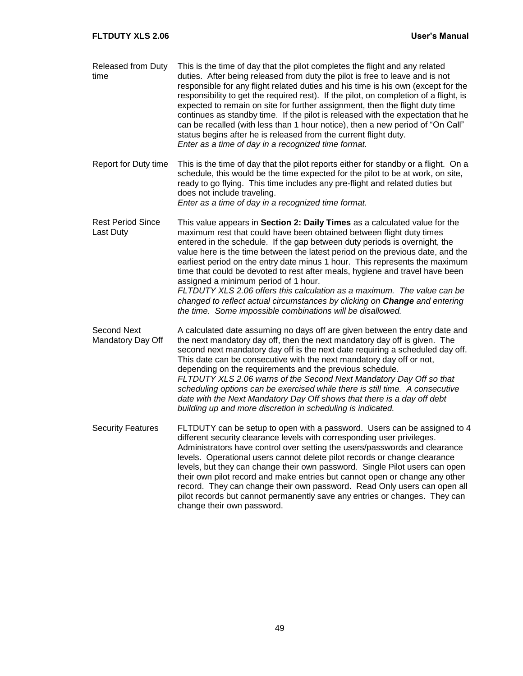| <b>Released from Duty</b><br>time            | This is the time of day that the pilot completes the flight and any related<br>duties. After being released from duty the pilot is free to leave and is not<br>responsible for any flight related duties and his time is his own (except for the<br>responsibility to get the required rest). If the pilot, on completion of a flight, is<br>expected to remain on site for further assignment, then the flight duty time<br>continues as standby time. If the pilot is released with the expectation that he<br>can be recalled (with less than 1 hour notice), then a new period of "On Call"<br>status begins after he is released from the current flight duty.<br>Enter as a time of day in a recognized time format.                       |
|----------------------------------------------|--------------------------------------------------------------------------------------------------------------------------------------------------------------------------------------------------------------------------------------------------------------------------------------------------------------------------------------------------------------------------------------------------------------------------------------------------------------------------------------------------------------------------------------------------------------------------------------------------------------------------------------------------------------------------------------------------------------------------------------------------|
| Report for Duty time                         | This is the time of day that the pilot reports either for standby or a flight. On a<br>schedule, this would be the time expected for the pilot to be at work, on site,<br>ready to go flying. This time includes any pre-flight and related duties but<br>does not include traveling.<br>Enter as a time of day in a recognized time format.                                                                                                                                                                                                                                                                                                                                                                                                     |
| <b>Rest Period Since</b><br><b>Last Duty</b> | This value appears in Section 2: Daily Times as a calculated value for the<br>maximum rest that could have been obtained between flight duty times<br>entered in the schedule. If the gap between duty periods is overnight, the<br>value here is the time between the latest period on the previous date, and the<br>earliest period on the entry date minus 1 hour. This represents the maximum<br>time that could be devoted to rest after meals, hygiene and travel have been<br>assigned a minimum period of 1 hour.<br>FLTDUTY XLS 2.06 offers this calculation as a maximum. The value can be<br>changed to reflect actual circumstances by clicking on Change and entering<br>the time. Some impossible combinations will be disallowed. |
| <b>Second Next</b><br>Mandatory Day Off      | A calculated date assuming no days off are given between the entry date and<br>the next mandatory day off, then the next mandatory day off is given. The<br>second next mandatory day off is the next date requiring a scheduled day off.<br>This date can be consecutive with the next mandatory day off or not,<br>depending on the requirements and the previous schedule.<br>FLTDUTY XLS 2.06 warns of the Second Next Mandatory Day Off so that<br>scheduling options can be exercised while there is still time. A consecutive<br>date with the Next Mandatory Day Off shows that there is a day off debt<br>building up and more discretion in scheduling is indicated.                                                                   |
| <b>Security Features</b>                     | FLTDUTY can be setup to open with a password. Users can be assigned to 4<br>different security clearance levels with corresponding user privileges.<br>Administrators have control over setting the users/passwords and clearance<br>levels. Operational users cannot delete pilot records or change clearance<br>levels, but they can change their own password. Single Pilot users can open<br>their own pilot record and make entries but cannot open or change any other<br>record. They can change their own password. Read Only users can open all<br>pilot records but cannot permanently save any entries or changes. They can<br>change their own password.                                                                             |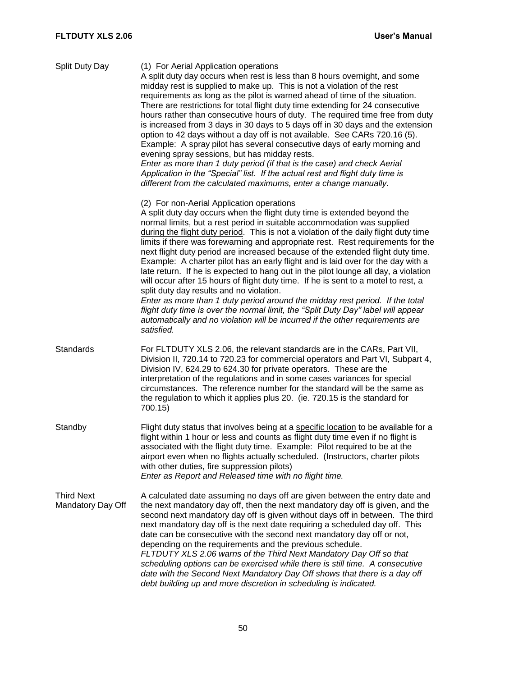| Split Duty Day                         | (1) For Aerial Application operations<br>A split duty day occurs when rest is less than 8 hours overnight, and some<br>midday rest is supplied to make up. This is not a violation of the rest<br>requirements as long as the pilot is warned ahead of time of the situation.<br>There are restrictions for total flight duty time extending for 24 consecutive<br>hours rather than consecutive hours of duty. The required time free from duty<br>is increased from 3 days in 30 days to 5 days off in 30 days and the extension<br>option to 42 days without a day off is not available. See CARs 720.16 (5).<br>Example: A spray pilot has several consecutive days of early morning and<br>evening spray sessions, but has midday rests.<br>Enter as more than 1 duty period (if that is the case) and check Aerial<br>Application in the "Special" list. If the actual rest and flight duty time is<br>different from the calculated maximums, enter a change manually.                                                                   |
|----------------------------------------|-------------------------------------------------------------------------------------------------------------------------------------------------------------------------------------------------------------------------------------------------------------------------------------------------------------------------------------------------------------------------------------------------------------------------------------------------------------------------------------------------------------------------------------------------------------------------------------------------------------------------------------------------------------------------------------------------------------------------------------------------------------------------------------------------------------------------------------------------------------------------------------------------------------------------------------------------------------------------------------------------------------------------------------------------|
|                                        | (2) For non-Aerial Application operations<br>A split duty day occurs when the flight duty time is extended beyond the<br>normal limits, but a rest period in suitable accommodation was supplied<br>during the flight duty period. This is not a violation of the daily flight duty time<br>limits if there was forewarning and appropriate rest. Rest requirements for the<br>next flight duty period are increased because of the extended flight duty time.<br>Example: A charter pilot has an early flight and is laid over for the day with a<br>late return. If he is expected to hang out in the pilot lounge all day, a violation<br>will occur after 15 hours of flight duty time. If he is sent to a motel to rest, a<br>split duty day results and no violation.<br>Enter as more than 1 duty period around the midday rest period. If the total<br>flight duty time is over the normal limit, the "Split Duty Day" label will appear<br>automatically and no violation will be incurred if the other requirements are<br>satisfied. |
| <b>Standards</b>                       | For FLTDUTY XLS 2.06, the relevant standards are in the CARs, Part VII,<br>Division II, 720.14 to 720.23 for commercial operators and Part VI, Subpart 4,<br>Division IV, 624.29 to 624.30 for private operators. These are the<br>interpretation of the regulations and in some cases variances for special<br>circumstances. The reference number for the standard will be the same as<br>the regulation to which it applies plus 20. (ie. 720.15 is the standard for<br>700.15)                                                                                                                                                                                                                                                                                                                                                                                                                                                                                                                                                              |
| Standby                                | Flight duty status that involves being at a specific location to be available for a<br>flight within 1 hour or less and counts as flight duty time even if no flight is<br>associated with the flight duty time. Example: Pilot required to be at the<br>airport even when no flights actually scheduled. (Instructors, charter pilots<br>with other duties, fire suppression pilots)<br>Enter as Report and Released time with no flight time.                                                                                                                                                                                                                                                                                                                                                                                                                                                                                                                                                                                                 |
| <b>Third Next</b><br>Mandatory Day Off | A calculated date assuming no days off are given between the entry date and<br>the next mandatory day off, then the next mandatory day off is given, and the<br>second next mandatory day off is given without days off in between. The third<br>next mandatory day off is the next date requiring a scheduled day off. This<br>date can be consecutive with the second next mandatory day off or not,<br>depending on the requirements and the previous schedule.<br>FLTDUTY XLS 2.06 warns of the Third Next Mandatory Day Off so that<br>scheduling options can be exercised while there is still time. A consecutive<br>date with the Second Next Mandatory Day Off shows that there is a day off<br>debt building up and more discretion in scheduling is indicated.                                                                                                                                                                                                                                                                       |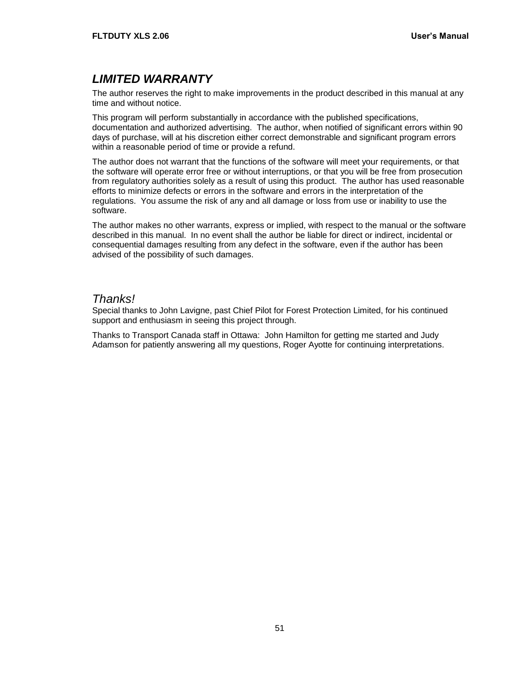# <span id="page-54-0"></span>*LIMITED WARRANTY*

The author reserves the right to make improvements in the product described in this manual at any time and without notice.

This program will perform substantially in accordance with the published specifications, documentation and authorized advertising. The author, when notified of significant errors within 90 days of purchase, will at his discretion either correct demonstrable and significant program errors within a reasonable period of time or provide a refund.

The author does not warrant that the functions of the software will meet your requirements, or that the software will operate error free or without interruptions, or that you will be free from prosecution from regulatory authorities solely as a result of using this product. The author has used reasonable efforts to minimize defects or errors in the software and errors in the interpretation of the regulations. You assume the risk of any and all damage or loss from use or inability to use the software.

The author makes no other warrants, express or implied, with respect to the manual or the software described in this manual. In no event shall the author be liable for direct or indirect, incidental or consequential damages resulting from any defect in the software, even if the author has been advised of the possibility of such damages.

#### *Thanks!*

Special thanks to John Lavigne, past Chief Pilot for Forest Protection Limited, for his continued support and enthusiasm in seeing this project through.

Thanks to Transport Canada staff in Ottawa: John Hamilton for getting me started and Judy Adamson for patiently answering all my questions, Roger Ayotte for continuing interpretations.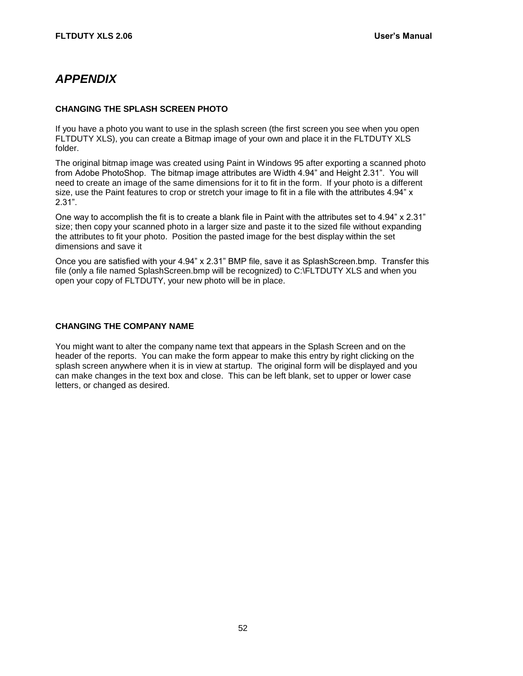# <span id="page-55-0"></span>*APPENDIX*

#### <span id="page-55-1"></span>**CHANGING THE SPLASH SCREEN PHOTO**

If you have a photo you want to use in the splash screen (the first screen you see when you open FLTDUTY XLS), you can create a Bitmap image of your own and place it in the FLTDUTY XLS folder.

The original bitmap image was created using Paint in Windows 95 after exporting a scanned photo from Adobe PhotoShop. The bitmap image attributes are Width 4.94" and Height 2.31". You will need to create an image of the same dimensions for it to fit in the form. If your photo is a different size, use the Paint features to crop or stretch your image to fit in a file with the attributes 4.94" x 2.31".

One way to accomplish the fit is to create a blank file in Paint with the attributes set to 4.94" x 2.31" size; then copy your scanned photo in a larger size and paste it to the sized file without expanding the attributes to fit your photo. Position the pasted image for the best display within the set dimensions and save it

Once you are satisfied with your 4.94" x 2.31" BMP file, save it as SplashScreen.bmp. Transfer this file (only a file named SplashScreen.bmp will be recognized) to C:\FLTDUTY XLS and when you open your copy of FLTDUTY, your new photo will be in place.

#### <span id="page-55-2"></span>**CHANGING THE COMPANY NAME**

You might want to alter the company name text that appears in the Splash Screen and on the header of the reports. You can make the form appear to make this entry by right clicking on the splash screen anywhere when it is in view at startup. The original form will be displayed and you can make changes in the text box and close. This can be left blank, set to upper or lower case letters, or changed as desired.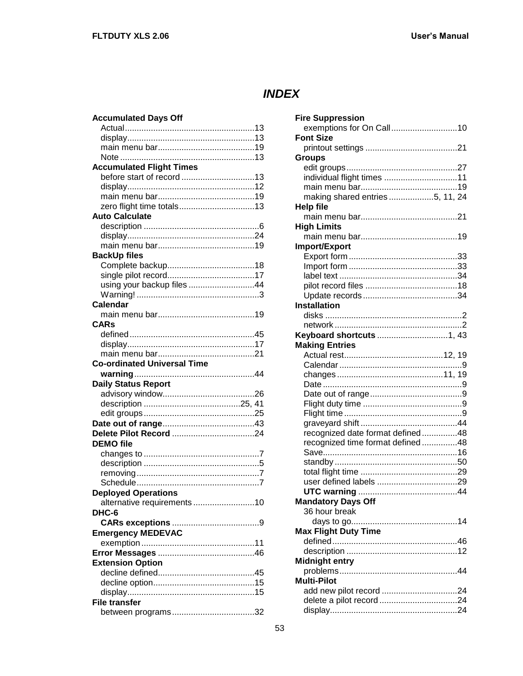# <span id="page-56-0"></span>*INDEX*

| <b>Accumulated Days Off</b>        |
|------------------------------------|
|                                    |
|                                    |
|                                    |
|                                    |
| <b>Accumulated Flight Times</b>    |
|                                    |
|                                    |
|                                    |
|                                    |
| <b>Auto Calculate</b>              |
|                                    |
|                                    |
|                                    |
| <b>BackUp files</b>                |
|                                    |
|                                    |
| using your backup files 44         |
|                                    |
| <b>Calendar</b>                    |
|                                    |
| <b>CARs</b>                        |
|                                    |
|                                    |
|                                    |
| <b>Co-ordinated Universal Time</b> |
|                                    |
|                                    |
|                                    |
| <b>Daily Status Report</b>         |
|                                    |
|                                    |
|                                    |
|                                    |
|                                    |
| <b>DEMO</b> file                   |
|                                    |
|                                    |
|                                    |
|                                    |
| <b>Deploved Operations</b>         |
| alternative requirements 10        |
| DHC-6                              |
|                                    |
| <b>Emergency MEDEVAC</b>           |
|                                    |
|                                    |
| <b>Extension Option</b>            |
|                                    |
|                                    |
|                                    |
| <b>File transfer</b>               |

| <b>Fire Suppression</b>          |
|----------------------------------|
| exemptions for On Call10         |
| <b>Font Size</b>                 |
|                                  |
| <b>Groups</b>                    |
|                                  |
|                                  |
|                                  |
| making shared entries 5, 11, 24  |
| <b>Help file</b>                 |
|                                  |
| <b>High Limits</b>               |
|                                  |
| Import/Export                    |
|                                  |
|                                  |
|                                  |
|                                  |
|                                  |
| <b>Installation</b>              |
|                                  |
|                                  |
|                                  |
| <b>Making Entries</b>            |
|                                  |
|                                  |
|                                  |
|                                  |
|                                  |
|                                  |
|                                  |
|                                  |
| recognized date format defined48 |
| recognized time format defined48 |
|                                  |
|                                  |
|                                  |
|                                  |
|                                  |
| <b>Mandatory Days Off</b>        |
| 36 hour break                    |
| <b>Max Flight Duty Time</b>      |
|                                  |
|                                  |
| <b>Midnight entry</b>            |
|                                  |
| <b>Multi-Pilot</b>               |
| add new pilot record 24          |
|                                  |
|                                  |
|                                  |